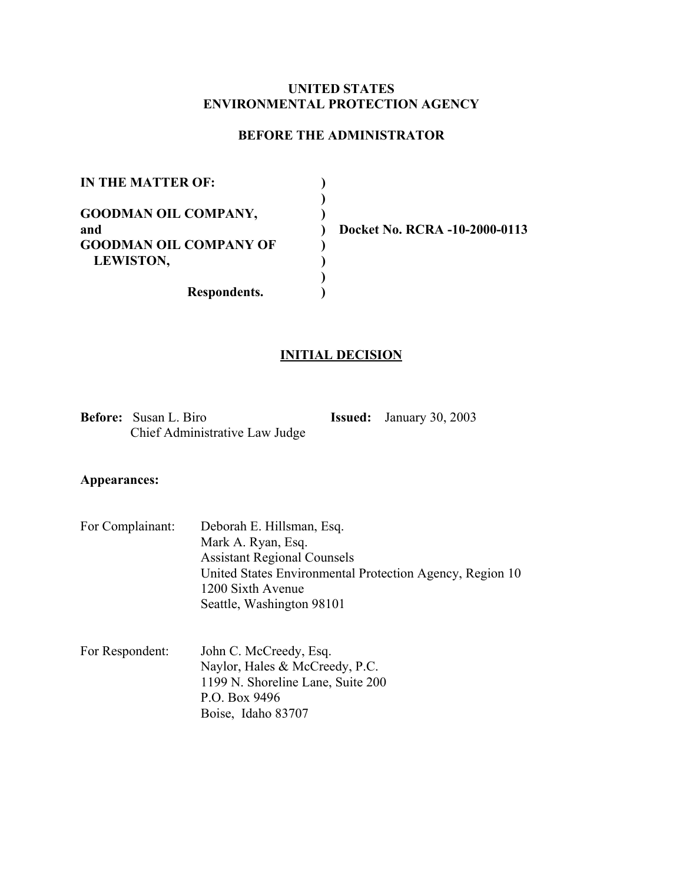# **UNITED STATES ENVIRONMENTAL PROTECTION AGENCY**

# **BEFORE THE ADMINISTRATOR**

| IN THE MATTER OF:             |              |
|-------------------------------|--------------|
|                               |              |
| <b>GOODMAN OIL COMPANY,</b>   |              |
| and                           | <b>Docke</b> |
| <b>GOODMAN OIL COMPANY OF</b> |              |
| <b>LEWISTON,</b>              |              |
|                               |              |

**Respondents. )** 

**Docket No. RCRA -10-2000-0113** 

# **INITIAL DECISION**

**Before:** Susan L. Biro **Issued:** January 30, 2003 Chief Administrative Law Judge

# **Appearances:**

| For Complainant: | Deborah E. Hillsman, Esq.                                |
|------------------|----------------------------------------------------------|
|                  | Mark A. Ryan, Esq.                                       |
|                  | <b>Assistant Regional Counsels</b>                       |
|                  | United States Environmental Protection Agency, Region 10 |
|                  | 1200 Sixth Avenue                                        |
|                  | Seattle, Washington 98101                                |

| For Respondent: | John C. McCreedy, Esq.            |
|-----------------|-----------------------------------|
|                 | Naylor, Hales & McCreedy, P.C.    |
|                 | 1199 N. Shoreline Lane, Suite 200 |
|                 | P.O. Box 9496                     |
|                 | Boise, Idaho 83707                |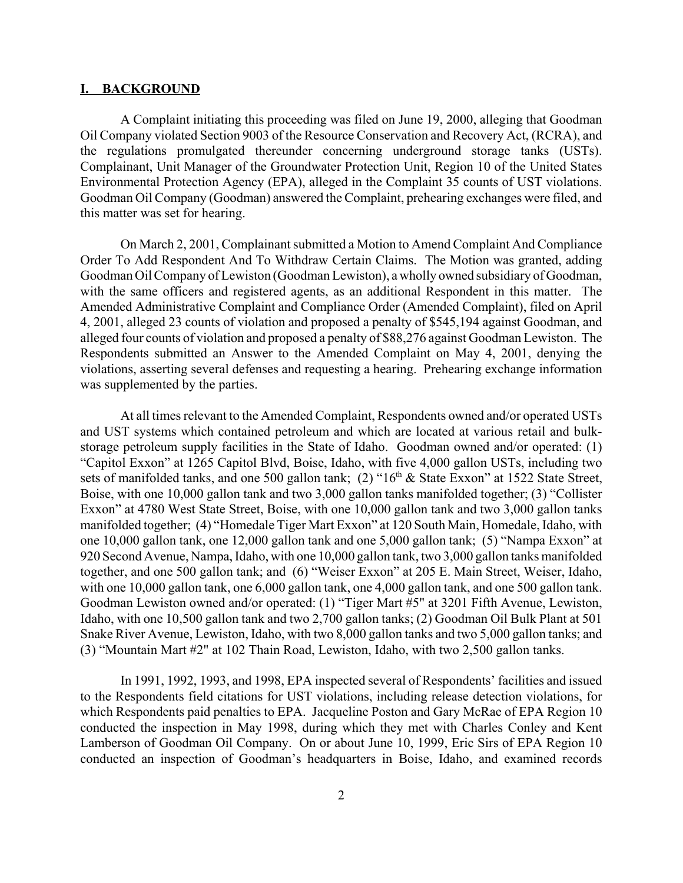#### **I. BACKGROUND**

A Complaint initiating this proceeding was filed on June 19, 2000, alleging that Goodman Oil Company violated Section 9003 of the Resource Conservation and Recovery Act, (RCRA), and the regulations promulgated thereunder concerning underground storage tanks (USTs). Complainant, Unit Manager of the Groundwater Protection Unit, Region 10 of the United States Environmental Protection Agency (EPA), alleged in the Complaint 35 counts of UST violations. Goodman Oil Company (Goodman) answered the Complaint, prehearing exchanges were filed, and this matter was set for hearing.

On March 2, 2001, Complainant submitted a Motion to Amend Complaint And Compliance Order To Add Respondent And To Withdraw Certain Claims. The Motion was granted, adding Goodman Oil Company of Lewiston (Goodman Lewiston), a wholly owned subsidiary of Goodman, with the same officers and registered agents, as an additional Respondent in this matter. The Amended Administrative Complaint and Compliance Order (Amended Complaint), filed on April 4, 2001, alleged 23 counts of violation and proposed a penalty of \$545,194 against Goodman, and alleged four counts of violation and proposed a penalty of \$88,276 against Goodman Lewiston. The Respondents submitted an Answer to the Amended Complaint on May 4, 2001, denying the violations, asserting several defenses and requesting a hearing. Prehearing exchange information was supplemented by the parties.

At all times relevant to the Amended Complaint, Respondents owned and/or operated USTs and UST systems which contained petroleum and which are located at various retail and bulkstorage petroleum supply facilities in the State of Idaho. Goodman owned and/or operated: (1) "Capitol Exxon" at 1265 Capitol Blvd, Boise, Idaho, with five 4,000 gallon USTs, including two sets of manifolded tanks, and one 500 gallon tank; (2) "16<sup>th</sup> & State Exxon" at 1522 State Street, Boise, with one 10,000 gallon tank and two 3,000 gallon tanks manifolded together; (3) "Collister Exxon" at 4780 West State Street, Boise, with one 10,000 gallon tank and two 3,000 gallon tanks manifolded together; (4) "Homedale Tiger Mart Exxon" at 120 South Main, Homedale, Idaho, with one 10,000 gallon tank, one 12,000 gallon tank and one 5,000 gallon tank; (5) "Nampa Exxon" at 920 Second Avenue, Nampa, Idaho, with one 10,000 gallon tank, two 3,000 gallon tanks manifolded together, and one 500 gallon tank; and (6) "Weiser Exxon" at 205 E. Main Street, Weiser, Idaho, with one 10,000 gallon tank, one 6,000 gallon tank, one 4,000 gallon tank, and one 500 gallon tank. Goodman Lewiston owned and/or operated: (1) "Tiger Mart #5" at 3201 Fifth Avenue, Lewiston, Idaho, with one 10,500 gallon tank and two 2,700 gallon tanks; (2) Goodman Oil Bulk Plant at 501 Snake River Avenue, Lewiston, Idaho, with two 8,000 gallon tanks and two 5,000 gallon tanks; and (3) "Mountain Mart #2" at 102 Thain Road, Lewiston, Idaho, with two 2,500 gallon tanks.

In 1991, 1992, 1993, and 1998, EPA inspected several of Respondents' facilities and issued to the Respondents field citations for UST violations, including release detection violations, for which Respondents paid penalties to EPA. Jacqueline Poston and Gary McRae of EPA Region 10 conducted the inspection in May 1998, during which they met with Charles Conley and Kent Lamberson of Goodman Oil Company. On or about June 10, 1999, Eric Sirs of EPA Region 10 conducted an inspection of Goodman's headquarters in Boise, Idaho, and examined records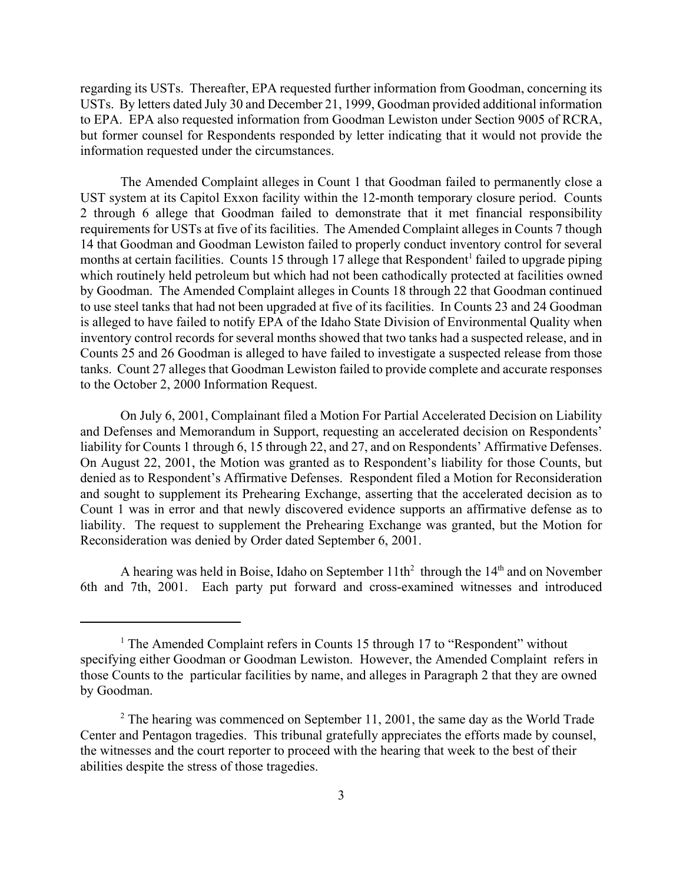regarding its USTs. Thereafter, EPA requested further information from Goodman, concerning its USTs. By letters dated July 30 and December 21, 1999, Goodman provided additional information to EPA. EPA also requested information from Goodman Lewiston under Section 9005 of RCRA, but former counsel for Respondents responded by letter indicating that it would not provide the information requested under the circumstances.

The Amended Complaint alleges in Count 1 that Goodman failed to permanently close a UST system at its Capitol Exxon facility within the 12-month temporary closure period. Counts 2 through 6 allege that Goodman failed to demonstrate that it met financial responsibility requirements for USTs at five of its facilities. The Amended Complaint alleges in Counts 7 though 14 that Goodman and Goodman Lewiston failed to properly conduct inventory control for several months at certain facilities. Counts 15 through 17 allege that Respondent<sup>1</sup> failed to upgrade piping which routinely held petroleum but which had not been cathodically protected at facilities owned by Goodman. The Amended Complaint alleges in Counts 18 through 22 that Goodman continued to use steel tanks that had not been upgraded at five of its facilities. In Counts 23 and 24 Goodman is alleged to have failed to notify EPA of the Idaho State Division of Environmental Quality when inventory control records for several months showed that two tanks had a suspected release, and in Counts 25 and 26 Goodman is alleged to have failed to investigate a suspected release from those tanks. Count 27 alleges that Goodman Lewiston failed to provide complete and accurate responses to the October 2, 2000 Information Request.

On July 6, 2001, Complainant filed a Motion For Partial Accelerated Decision on Liability and Defenses and Memorandum in Support, requesting an accelerated decision on Respondents' liability for Counts 1 through 6, 15 through 22, and 27, and on Respondents' Affirmative Defenses. On August 22, 2001, the Motion was granted as to Respondent's liability for those Counts, but denied as to Respondent's Affirmative Defenses. Respondent filed a Motion for Reconsideration and sought to supplement its Prehearing Exchange, asserting that the accelerated decision as to Count 1 was in error and that newly discovered evidence supports an affirmative defense as to liability. The request to supplement the Prehearing Exchange was granted, but the Motion for Reconsideration was denied by Order dated September 6, 2001.

A hearing was held in Boise, Idaho on September  $11th^2$  through the  $14<sup>th</sup>$  and on November 6th and 7th, 2001. Each party put forward and cross-examined witnesses and introduced

<sup>&</sup>lt;sup>1</sup> The Amended Complaint refers in Counts 15 through 17 to "Respondent" without specifying either Goodman or Goodman Lewiston. However, the Amended Complaint refers in those Counts to the particular facilities by name, and alleges in Paragraph 2 that they are owned by Goodman.

 $2^2$  The hearing was commenced on September 11, 2001, the same day as the World Trade Center and Pentagon tragedies. This tribunal gratefully appreciates the efforts made by counsel, the witnesses and the court reporter to proceed with the hearing that week to the best of their abilities despite the stress of those tragedies.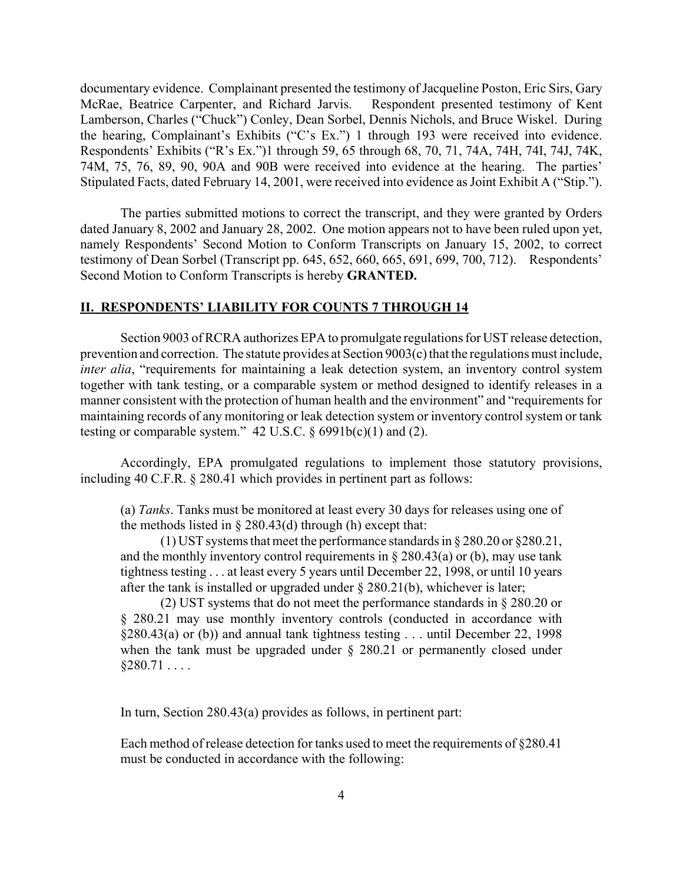documentary evidence. Complainant presented the testimony of Jacqueline Poston, Eric Sirs, Gary McRae, Beatrice Carpenter, and Richard Jarvis. Respondent presented testimony of Kent Lamberson, Charles ("Chuck") Conley, Dean Sorbel, Dennis Nichols, and Bruce Wiskel. During the hearing, Complainant's Exhibits ("C's Ex.") 1 through 193 were received into evidence. Respondents' Exhibits ("R's Ex.")1 through 59, 65 through 68, 70, 71, 74A, 74H, 74I, 74J, 74K, 74M, 75, 76, 89, 90, 90A and 90B were received into evidence at the hearing. The parties' Stipulated Facts, dated February 14, 2001, were received into evidence as Joint Exhibit A ("Stip.").

The parties submitted motions to correct the transcript, and they were granted by Orders dated January 8, 2002 and January 28, 2002. One motion appears not to have been ruled upon yet, namely Respondents' Second Motion to Conform Transcripts on January 15, 2002, to correct testimony of Dean Sorbel (Transcript pp. 645, 652, 660, 665, 691, 699, 700, 712). Respondents' Second Motion to Conform Transcripts is hereby **GRANTED.** 

## **II. RESPONDENTS' LIABILITY FOR COUNTS 7 THROUGH 14**

Section 9003 of RCRA authorizes EPA to promulgate regulations for UST release detection, prevention and correction. The statute provides at Section 9003(c) that the regulations must include, *inter alia*, "requirements for maintaining a leak detection system, an inventory control system together with tank testing, or a comparable system or method designed to identify releases in a manner consistent with the protection of human health and the environment" and "requirements for maintaining records of any monitoring or leak detection system or inventory control system or tank testing or comparable system."  $42 \text{ U.S.C.}$  §  $6991b(c)(1)$  and (2).

Accordingly, EPA promulgated regulations to implement those statutory provisions, including 40 C.F.R. § 280.41 which provides in pertinent part as follows:

(a) *Tanks*. Tanks must be monitored at least every 30 days for releases using one of the methods listed in  $\S 280.43$ (d) through (h) except that:

(1) UST systems that meet the performance standards in § 280.20 or §280.21, and the monthly inventory control requirements in  $\S 280.43(a)$  or (b), may use tank tightness testing . . . at least every 5 years until December 22, 1998, or until 10 years after the tank is installed or upgraded under § 280.21(b), whichever is later;

(2) UST systems that do not meet the performance standards in § 280.20 or § 280.21 may use monthly inventory controls (conducted in accordance with §280.43(a) or (b)) and annual tank tightness testing . . . until December 22, 1998 when the tank must be upgraded under § 280.21 or permanently closed under  $$280.71...$ 

In turn, Section 280.43(a) provides as follows, in pertinent part:

Each method of release detection for tanks used to meet the requirements of §280.41 must be conducted in accordance with the following: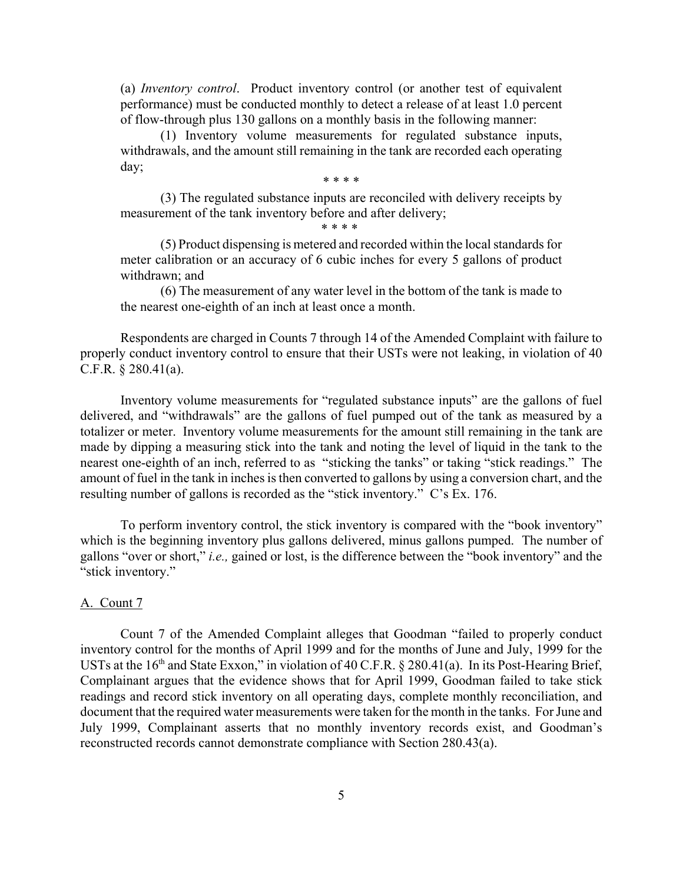(a) *Inventory control*. Product inventory control (or another test of equivalent performance) must be conducted monthly to detect a release of at least 1.0 percent of flow-through plus 130 gallons on a monthly basis in the following manner:

(1) Inventory volume measurements for regulated substance inputs, withdrawals, and the amount still remaining in the tank are recorded each operating day;

\* \* \* \*

(3) The regulated substance inputs are reconciled with delivery receipts by measurement of the tank inventory before and after delivery;

\* \* \* \*

(5) Product dispensing is metered and recorded within the local standards for meter calibration or an accuracy of 6 cubic inches for every 5 gallons of product withdrawn; and

(6) The measurement of any water level in the bottom of the tank is made to the nearest one-eighth of an inch at least once a month.

Respondents are charged in Counts 7 through 14 of the Amended Complaint with failure to properly conduct inventory control to ensure that their USTs were not leaking, in violation of 40 C.F.R. § 280.41(a).

Inventory volume measurements for "regulated substance inputs" are the gallons of fuel delivered, and "withdrawals" are the gallons of fuel pumped out of the tank as measured by a totalizer or meter. Inventory volume measurements for the amount still remaining in the tank are made by dipping a measuring stick into the tank and noting the level of liquid in the tank to the nearest one-eighth of an inch, referred to as "sticking the tanks" or taking "stick readings." The amount of fuel in the tank in inches is then converted to gallons by using a conversion chart, and the resulting number of gallons is recorded as the "stick inventory." C's Ex. 176.

To perform inventory control, the stick inventory is compared with the "book inventory" which is the beginning inventory plus gallons delivered, minus gallons pumped. The number of gallons "over or short," *i.e.,* gained or lost, is the difference between the "book inventory" and the "stick inventory."

# A. Count 7

Count 7 of the Amended Complaint alleges that Goodman "failed to properly conduct inventory control for the months of April 1999 and for the months of June and July, 1999 for the USTs at the  $16<sup>th</sup>$  and State Exxon," in violation of 40 C.F.R. § 280.41(a). In its Post-Hearing Brief, Complainant argues that the evidence shows that for April 1999, Goodman failed to take stick readings and record stick inventory on all operating days, complete monthly reconciliation, and document that the required water measurements were taken for the month in the tanks. For June and July 1999, Complainant asserts that no monthly inventory records exist, and Goodman's reconstructed records cannot demonstrate compliance with Section 280.43(a).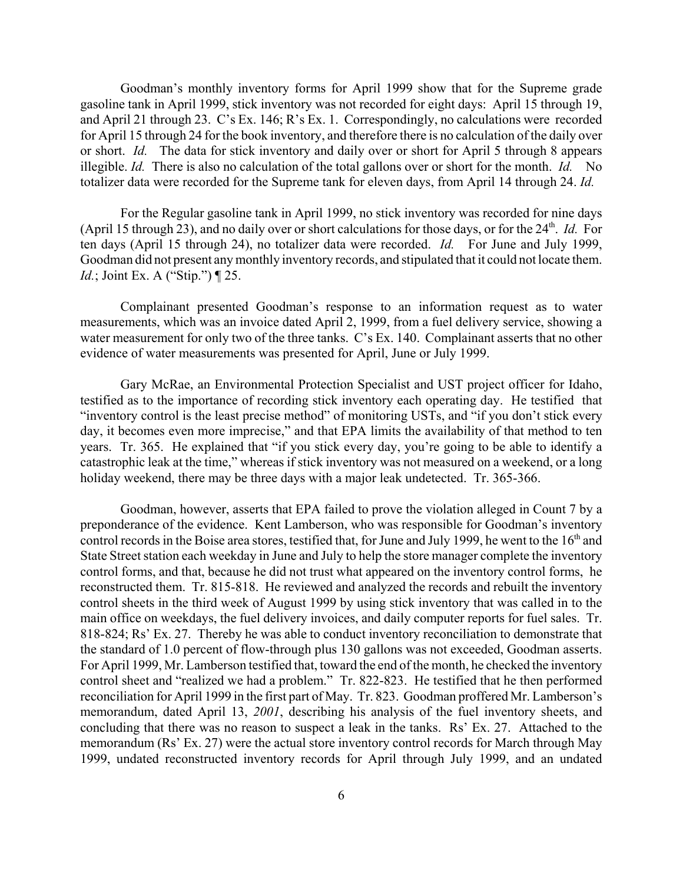Goodman's monthly inventory forms for April 1999 show that for the Supreme grade gasoline tank in April 1999, stick inventory was not recorded for eight days: April 15 through 19, and April 21 through 23. C's Ex. 146; R's Ex. 1. Correspondingly, no calculations were recorded for April 15 through 24 for the book inventory, and therefore there is no calculation of the daily over or short. *Id.* The data for stick inventory and daily over or short for April 5 through 8 appears illegible. *Id.* There is also no calculation of the total gallons over or short for the month. *Id.* No totalizer data were recorded for the Supreme tank for eleven days, from April 14 through 24. *Id.* 

For the Regular gasoline tank in April 1999, no stick inventory was recorded for nine days (April 15 through 23), and no daily over or short calculations for those days, or for the 24<sup>th</sup>. *Id.* For ten days (April 15 through 24), no totalizer data were recorded. *Id.* For June and July 1999, Goodman did not present any monthly inventory records, and stipulated that it could not locate them. *Id.*; Joint Ex. A ("Stip.") ¶ 25.

Complainant presented Goodman's response to an information request as to water measurements, which was an invoice dated April 2, 1999, from a fuel delivery service, showing a water measurement for only two of the three tanks. C's Ex. 140. Complainant asserts that no other evidence of water measurements was presented for April, June or July 1999.

Gary McRae, an Environmental Protection Specialist and UST project officer for Idaho, testified as to the importance of recording stick inventory each operating day. He testified that "inventory control is the least precise method" of monitoring USTs, and "if you don't stick every day, it becomes even more imprecise," and that EPA limits the availability of that method to ten years. Tr. 365. He explained that "if you stick every day, you're going to be able to identify a catastrophic leak at the time," whereas if stick inventory was not measured on a weekend, or a long holiday weekend, there may be three days with a major leak undetected. Tr. 365-366.

Goodman, however, asserts that EPA failed to prove the violation alleged in Count 7 by a preponderance of the evidence. Kent Lamberson, who was responsible for Goodman's inventory control records in the Boise area stores, testified that, for June and July 1999, he went to the  $16<sup>th</sup>$  and State Street station each weekday in June and July to help the store manager complete the inventory control forms, and that, because he did not trust what appeared on the inventory control forms, he reconstructed them. Tr. 815-818. He reviewed and analyzed the records and rebuilt the inventory control sheets in the third week of August 1999 by using stick inventory that was called in to the main office on weekdays, the fuel delivery invoices, and daily computer reports for fuel sales. Tr. 818-824; Rs' Ex. 27. Thereby he was able to conduct inventory reconciliation to demonstrate that the standard of 1.0 percent of flow-through plus 130 gallons was not exceeded, Goodman asserts. For April 1999, Mr. Lamberson testified that, toward the end of the month, he checked the inventory control sheet and "realized we had a problem." Tr. 822-823. He testified that he then performed reconciliation for April 1999 in the first part of May. Tr. 823. Goodman proffered Mr. Lamberson's memorandum, dated April 13, *2001*, describing his analysis of the fuel inventory sheets, and concluding that there was no reason to suspect a leak in the tanks. Rs' Ex. 27. Attached to the memorandum (Rs' Ex. 27) were the actual store inventory control records for March through May 1999, undated reconstructed inventory records for April through July 1999, and an undated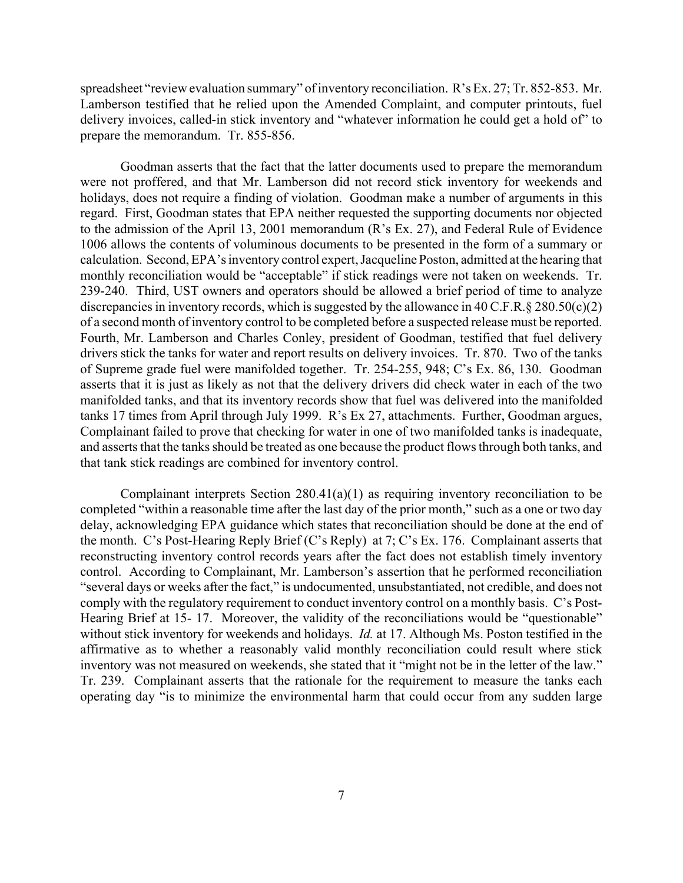spreadsheet "review evaluation summary" of inventory reconciliation. R's Ex. 27; Tr. 852-853. Mr. Lamberson testified that he relied upon the Amended Complaint, and computer printouts, fuel delivery invoices, called-in stick inventory and "whatever information he could get a hold of" to prepare the memorandum. Tr. 855-856.

Goodman asserts that the fact that the latter documents used to prepare the memorandum were not proffered, and that Mr. Lamberson did not record stick inventory for weekends and holidays, does not require a finding of violation. Goodman make a number of arguments in this regard. First, Goodman states that EPA neither requested the supporting documents nor objected to the admission of the April 13, 2001 memorandum (R's Ex. 27), and Federal Rule of Evidence 1006 allows the contents of voluminous documents to be presented in the form of a summary or calculation. Second, EPA's inventory control expert, Jacqueline Poston, admitted at the hearing that monthly reconciliation would be "acceptable" if stick readings were not taken on weekends. Tr. 239-240. Third, UST owners and operators should be allowed a brief period of time to analyze discrepancies in inventory records, which is suggested by the allowance in 40 C.F.R. § 280.50(c)(2) of a second month of inventory control to be completed before a suspected release must be reported. Fourth, Mr. Lamberson and Charles Conley, president of Goodman, testified that fuel delivery drivers stick the tanks for water and report results on delivery invoices. Tr. 870. Two of the tanks of Supreme grade fuel were manifolded together. Tr. 254-255, 948; C's Ex. 86, 130. Goodman asserts that it is just as likely as not that the delivery drivers did check water in each of the two manifolded tanks, and that its inventory records show that fuel was delivered into the manifolded tanks 17 times from April through July 1999. R's Ex 27, attachments. Further, Goodman argues, Complainant failed to prove that checking for water in one of two manifolded tanks is inadequate, and asserts that the tanks should be treated as one because the product flows through both tanks, and that tank stick readings are combined for inventory control.

Complainant interprets Section 280.41(a)(1) as requiring inventory reconciliation to be completed "within a reasonable time after the last day of the prior month," such as a one or two day delay, acknowledging EPA guidance which states that reconciliation should be done at the end of the month. C's Post-Hearing Reply Brief (C's Reply) at 7; C's Ex. 176. Complainant asserts that reconstructing inventory control records years after the fact does not establish timely inventory control. According to Complainant, Mr. Lamberson's assertion that he performed reconciliation "several days or weeks after the fact," is undocumented, unsubstantiated, not credible, and does not comply with the regulatory requirement to conduct inventory control on a monthly basis. C's Post-Hearing Brief at 15-17. Moreover, the validity of the reconciliations would be "questionable" without stick inventory for weekends and holidays. *Id.* at 17. Although Ms. Poston testified in the affirmative as to whether a reasonably valid monthly reconciliation could result where stick inventory was not measured on weekends, she stated that it "might not be in the letter of the law." Tr. 239. Complainant asserts that the rationale for the requirement to measure the tanks each operating day "is to minimize the environmental harm that could occur from any sudden large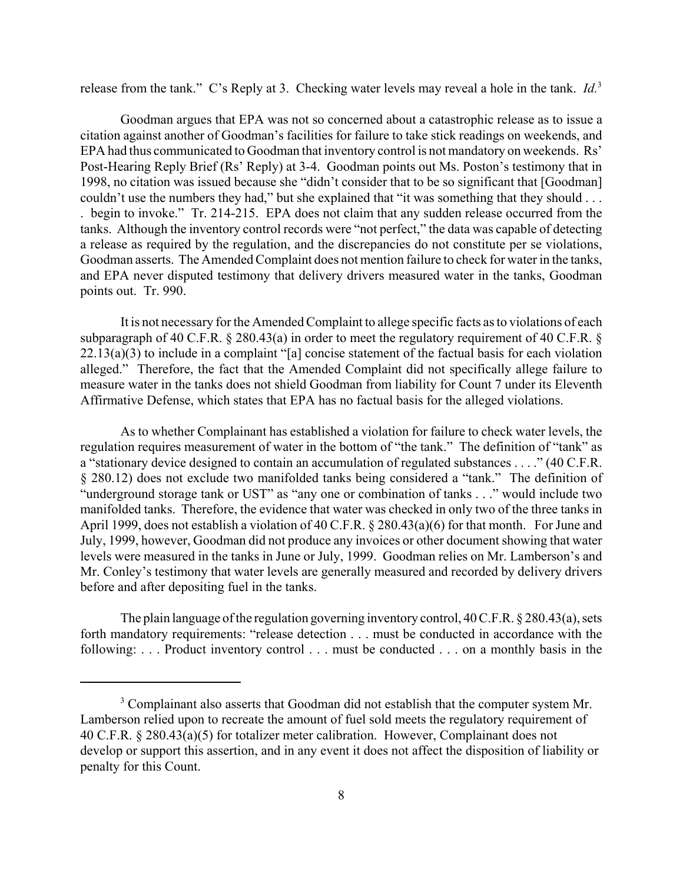release from the tank." C's Reply at 3. Checking water levels may reveal a hole in the tank. *Id.*<sup>3</sup>

Goodman argues that EPA was not so concerned about a catastrophic release as to issue a citation against another of Goodman's facilities for failure to take stick readings on weekends, and EPA had thus communicated to Goodman that inventory control is not mandatory on weekends. Rs' Post-Hearing Reply Brief (Rs' Reply) at 3-4. Goodman points out Ms. Poston's testimony that in 1998, no citation was issued because she "didn't consider that to be so significant that [Goodman] couldn't use the numbers they had," but she explained that "it was something that they should . . . . begin to invoke." Tr. 214-215. EPA does not claim that any sudden release occurred from the tanks. Although the inventory control records were "not perfect," the data was capable of detecting a release as required by the regulation, and the discrepancies do not constitute per se violations, Goodman asserts. The Amended Complaint does not mention failure to check for water in the tanks, and EPA never disputed testimony that delivery drivers measured water in the tanks, Goodman points out. Tr. 990.

It is not necessary for the Amended Complaint to allege specific facts as to violations of each subparagraph of 40 C.F.R. § 280.43(a) in order to meet the regulatory requirement of 40 C.F.R. §  $22.13(a)(3)$  to include in a complaint "[a] concise statement of the factual basis for each violation alleged." Therefore, the fact that the Amended Complaint did not specifically allege failure to measure water in the tanks does not shield Goodman from liability for Count 7 under its Eleventh Affirmative Defense, which states that EPA has no factual basis for the alleged violations.

As to whether Complainant has established a violation for failure to check water levels, the regulation requires measurement of water in the bottom of "the tank." The definition of "tank" as a "stationary device designed to contain an accumulation of regulated substances . . . ." (40 C.F.R. § 280.12) does not exclude two manifolded tanks being considered a "tank." The definition of "underground storage tank or UST" as "any one or combination of tanks . . ." would include two manifolded tanks. Therefore, the evidence that water was checked in only two of the three tanks in April 1999, does not establish a violation of 40 C.F.R. § 280.43(a)(6) for that month. For June and July, 1999, however, Goodman did not produce any invoices or other document showing that water levels were measured in the tanks in June or July, 1999. Goodman relies on Mr. Lamberson's and Mr. Conley's testimony that water levels are generally measured and recorded by delivery drivers before and after depositing fuel in the tanks.

The plain language of the regulation governing inventory control, 40 C.F.R. § 280.43(a), sets forth mandatory requirements: "release detection . . . must be conducted in accordance with the following: . . . Product inventory control . . . must be conducted . . . on a monthly basis in the

<sup>&</sup>lt;sup>3</sup> Complainant also asserts that Goodman did not establish that the computer system Mr. Lamberson relied upon to recreate the amount of fuel sold meets the regulatory requirement of 40 C.F.R. § 280.43(a)(5) for totalizer meter calibration. However, Complainant does not develop or support this assertion, and in any event it does not affect the disposition of liability or penalty for this Count.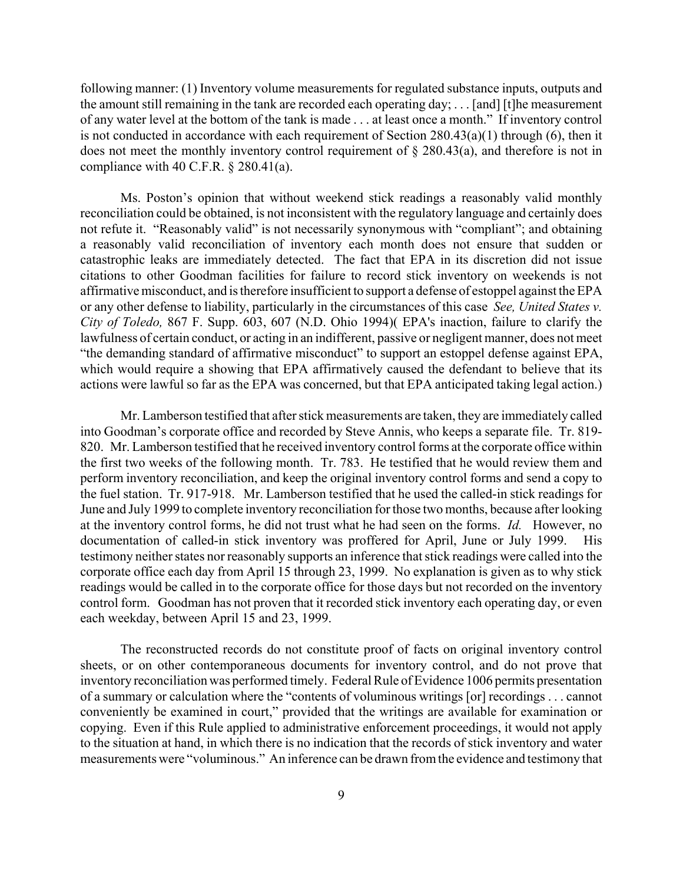following manner: (1) Inventory volume measurements for regulated substance inputs, outputs and the amount still remaining in the tank are recorded each operating day; . . . [and] [t]he measurement of any water level at the bottom of the tank is made . . . at least once a month." If inventory control is not conducted in accordance with each requirement of Section 280.43(a)(1) through (6), then it does not meet the monthly inventory control requirement of § 280.43(a), and therefore is not in compliance with 40 C.F.R. § 280.41(a).

Ms. Poston's opinion that without weekend stick readings a reasonably valid monthly reconciliation could be obtained, is not inconsistent with the regulatory language and certainly does not refute it. "Reasonably valid" is not necessarily synonymous with "compliant"; and obtaining a reasonably valid reconciliation of inventory each month does not ensure that sudden or catastrophic leaks are immediately detected. The fact that EPA in its discretion did not issue citations to other Goodman facilities for failure to record stick inventory on weekends is not affirmative misconduct, and is therefore insufficient to support a defense of estoppel against the EPA or any other defense to liability, particularly in the circumstances of this case *See, United States v. City of Toledo,* 867 F. Supp. 603, 607 (N.D. Ohio 1994)( EPA's inaction, failure to clarify the lawfulness of certain conduct, or acting in an indifferent, passive or negligent manner, does not meet "the demanding standard of affirmative misconduct" to support an estoppel defense against EPA, which would require a showing that EPA affirmatively caused the defendant to believe that its actions were lawful so far as the EPA was concerned, but that EPA anticipated taking legal action.)

Mr. Lamberson testified that after stick measurements are taken, they are immediately called into Goodman's corporate office and recorded by Steve Annis, who keeps a separate file. Tr. 819- 820. Mr. Lamberson testified that he received inventory control forms at the corporate office within the first two weeks of the following month. Tr. 783. He testified that he would review them and perform inventory reconciliation, and keep the original inventory control forms and send a copy to the fuel station. Tr. 917-918. Mr. Lamberson testified that he used the called-in stick readings for June and July 1999 to complete inventory reconciliation for those two months, because after looking at the inventory control forms, he did not trust what he had seen on the forms. *Id.* However, no documentation of called-in stick inventory was proffered for April, June or July 1999. His testimony neither states nor reasonably supports an inference that stick readings were called into the corporate office each day from April 15 through 23, 1999. No explanation is given as to why stick readings would be called in to the corporate office for those days but not recorded on the inventory control form. Goodman has not proven that it recorded stick inventory each operating day, or even each weekday, between April 15 and 23, 1999.

The reconstructed records do not constitute proof of facts on original inventory control sheets, or on other contemporaneous documents for inventory control, and do not prove that inventory reconciliation was performed timely. Federal Rule of Evidence 1006 permits presentation of a summary or calculation where the "contents of voluminous writings [or] recordings . . . cannot conveniently be examined in court," provided that the writings are available for examination or copying. Even if this Rule applied to administrative enforcement proceedings, it would not apply to the situation at hand, in which there is no indication that the records of stick inventory and water measurements were "voluminous." An inference can be drawn from the evidence and testimony that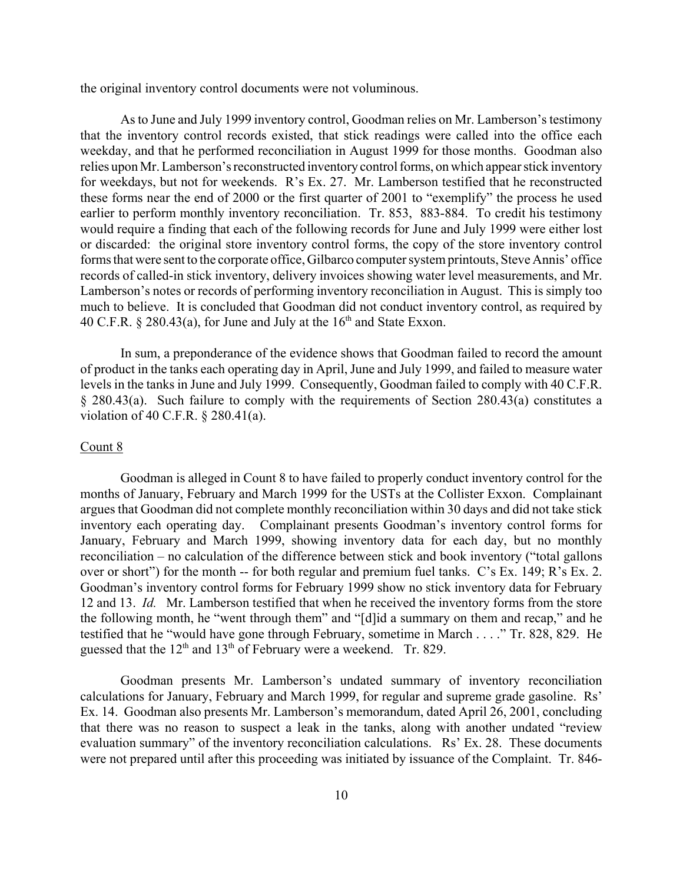the original inventory control documents were not voluminous.

As to June and July 1999 inventory control, Goodman relies on Mr. Lamberson's testimony that the inventory control records existed, that stick readings were called into the office each weekday, and that he performed reconciliation in August 1999 for those months. Goodman also relies upon Mr. Lamberson's reconstructed inventory control forms, on which appear stick inventory for weekdays, but not for weekends. R's Ex. 27. Mr. Lamberson testified that he reconstructed these forms near the end of 2000 or the first quarter of 2001 to "exemplify" the process he used earlier to perform monthly inventory reconciliation. Tr. 853, 883-884. To credit his testimony would require a finding that each of the following records for June and July 1999 were either lost or discarded: the original store inventory control forms, the copy of the store inventory control forms that were sent to the corporate office, Gilbarco computer system printouts, Steve Annis' office records of called-in stick inventory, delivery invoices showing water level measurements, and Mr. Lamberson's notes or records of performing inventory reconciliation in August. This is simply too much to believe. It is concluded that Goodman did not conduct inventory control, as required by 40 C.F.R.  $\S$  280.43(a), for June and July at the 16<sup>th</sup> and State Exxon.

In sum, a preponderance of the evidence shows that Goodman failed to record the amount of product in the tanks each operating day in April, June and July 1999, and failed to measure water levels in the tanks in June and July 1999. Consequently, Goodman failed to comply with 40 C.F.R. § 280.43(a). Such failure to comply with the requirements of Section 280.43(a) constitutes a violation of 40 C.F.R. § 280.41(a).

## Count 8

Goodman is alleged in Count 8 to have failed to properly conduct inventory control for the months of January, February and March 1999 for the USTs at the Collister Exxon. Complainant argues that Goodman did not complete monthly reconciliation within 30 days and did not take stick inventory each operating day. Complainant presents Goodman's inventory control forms for January, February and March 1999, showing inventory data for each day, but no monthly reconciliation – no calculation of the difference between stick and book inventory ("total gallons over or short") for the month -- for both regular and premium fuel tanks. C's Ex. 149; R's Ex. 2. Goodman's inventory control forms for February 1999 show no stick inventory data for February 12 and 13. *Id.* Mr. Lamberson testified that when he received the inventory forms from the store the following month, he "went through them" and "[d]id a summary on them and recap," and he testified that he "would have gone through February, sometime in March . . . ." Tr. 828, 829. He guessed that the  $12<sup>th</sup>$  and  $13<sup>th</sup>$  of February were a weekend. Tr. 829.

Goodman presents Mr. Lamberson's undated summary of inventory reconciliation calculations for January, February and March 1999, for regular and supreme grade gasoline. Rs' Ex. 14. Goodman also presents Mr. Lamberson's memorandum, dated April 26, 2001, concluding that there was no reason to suspect a leak in the tanks, along with another undated "review evaluation summary" of the inventory reconciliation calculations. Rs' Ex. 28. These documents were not prepared until after this proceeding was initiated by issuance of the Complaint. Tr. 846-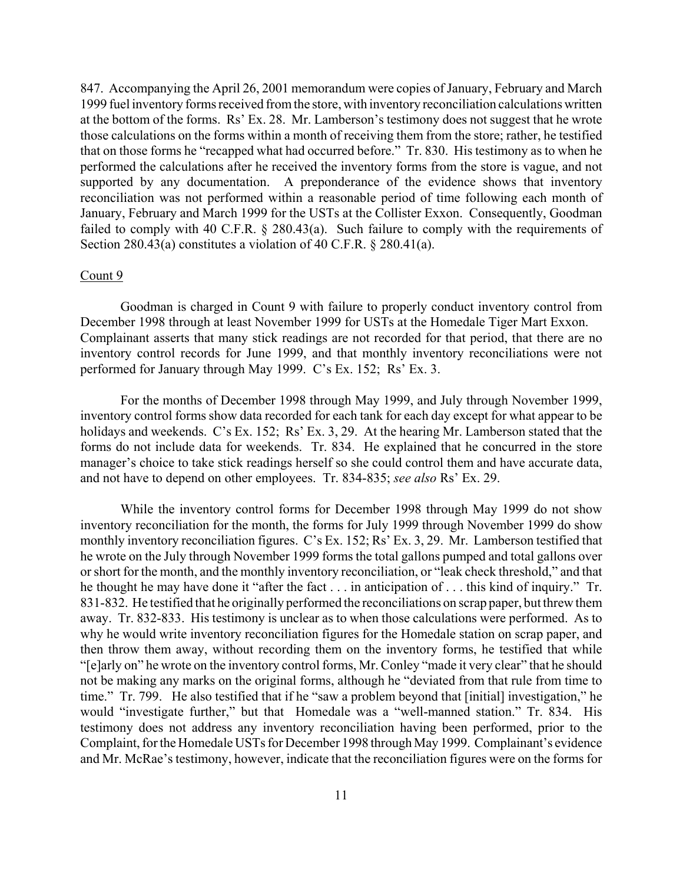847. Accompanying the April 26, 2001 memorandum were copies of January, February and March 1999 fuel inventory forms received from the store, with inventory reconciliation calculations written at the bottom of the forms. Rs' Ex. 28. Mr. Lamberson's testimony does not suggest that he wrote those calculations on the forms within a month of receiving them from the store; rather, he testified that on those forms he "recapped what had occurred before." Tr. 830. His testimony as to when he performed the calculations after he received the inventory forms from the store is vague, and not supported by any documentation. A preponderance of the evidence shows that inventory reconciliation was not performed within a reasonable period of time following each month of January, February and March 1999 for the USTs at the Collister Exxon. Consequently, Goodman failed to comply with 40 C.F.R. § 280.43(a). Such failure to comply with the requirements of Section 280.43(a) constitutes a violation of 40 C.F.R. § 280.41(a).

# Count 9

Goodman is charged in Count 9 with failure to properly conduct inventory control from December 1998 through at least November 1999 for USTs at the Homedale Tiger Mart Exxon. Complainant asserts that many stick readings are not recorded for that period, that there are no inventory control records for June 1999, and that monthly inventory reconciliations were not performed for January through May 1999. C's Ex. 152; Rs' Ex. 3.

For the months of December 1998 through May 1999, and July through November 1999, inventory control forms show data recorded for each tank for each day except for what appear to be holidays and weekends. C's Ex. 152; Rs' Ex. 3, 29. At the hearing Mr. Lamberson stated that the forms do not include data for weekends. Tr. 834. He explained that he concurred in the store manager's choice to take stick readings herself so she could control them and have accurate data, and not have to depend on other employees. Tr. 834-835; *see also* Rs' Ex. 29.

While the inventory control forms for December 1998 through May 1999 do not show inventory reconciliation for the month, the forms for July 1999 through November 1999 do show monthly inventory reconciliation figures. C's Ex. 152; Rs' Ex. 3, 29. Mr. Lamberson testified that he wrote on the July through November 1999 forms the total gallons pumped and total gallons over or short for the month, and the monthly inventory reconciliation, or "leak check threshold," and that he thought he may have done it "after the fact . . . in anticipation of . . . this kind of inquiry." Tr. 831-832. He testified that he originally performed the reconciliations on scrap paper, but threw them away. Tr. 832-833. His testimony is unclear as to when those calculations were performed. As to why he would write inventory reconciliation figures for the Homedale station on scrap paper, and then throw them away, without recording them on the inventory forms, he testified that while "[e]arly on" he wrote on the inventory control forms, Mr. Conley "made it very clear" that he should not be making any marks on the original forms, although he "deviated from that rule from time to time." Tr. 799. He also testified that if he "saw a problem beyond that [initial] investigation," he would "investigate further," but that Homedale was a "well-manned station." Tr. 834. His testimony does not address any inventory reconciliation having been performed, prior to the Complaint, for the Homedale USTs for December 1998 through May 1999. Complainant's evidence and Mr. McRae's testimony, however, indicate that the reconciliation figures were on the forms for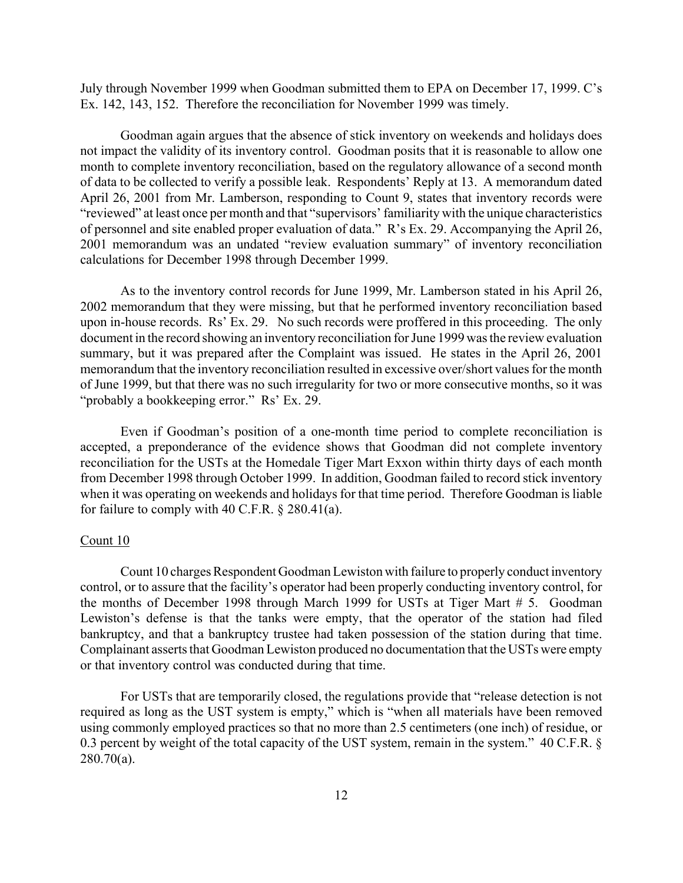July through November 1999 when Goodman submitted them to EPA on December 17, 1999. C's Ex. 142, 143, 152. Therefore the reconciliation for November 1999 was timely.

Goodman again argues that the absence of stick inventory on weekends and holidays does not impact the validity of its inventory control. Goodman posits that it is reasonable to allow one month to complete inventory reconciliation, based on the regulatory allowance of a second month of data to be collected to verify a possible leak. Respondents' Reply at 13. A memorandum dated April 26, 2001 from Mr. Lamberson, responding to Count 9, states that inventory records were "reviewed" at least once per month and that "supervisors' familiarity with the unique characteristics of personnel and site enabled proper evaluation of data." R's Ex. 29. Accompanying the April 26, 2001 memorandum was an undated "review evaluation summary" of inventory reconciliation calculations for December 1998 through December 1999.

As to the inventory control records for June 1999, Mr. Lamberson stated in his April 26, 2002 memorandum that they were missing, but that he performed inventory reconciliation based upon in-house records. Rs' Ex. 29. No such records were proffered in this proceeding. The only document in the record showing an inventory reconciliation for June 1999 was the review evaluation summary, but it was prepared after the Complaint was issued. He states in the April 26, 2001 memorandum that the inventory reconciliation resulted in excessive over/short values for the month of June 1999, but that there was no such irregularity for two or more consecutive months, so it was "probably a bookkeeping error." Rs' Ex. 29.

Even if Goodman's position of a one-month time period to complete reconciliation is accepted, a preponderance of the evidence shows that Goodman did not complete inventory reconciliation for the USTs at the Homedale Tiger Mart Exxon within thirty days of each month from December 1998 through October 1999. In addition, Goodman failed to record stick inventory when it was operating on weekends and holidays for that time period. Therefore Goodman is liable for failure to comply with 40 C.F.R.  $\S$  280.41(a).

## Count 10

Count 10 charges Respondent Goodman Lewiston with failure to properly conduct inventory control, or to assure that the facility's operator had been properly conducting inventory control, for the months of December 1998 through March 1999 for USTs at Tiger Mart # 5. Goodman Lewiston's defense is that the tanks were empty, that the operator of the station had filed bankruptcy, and that a bankruptcy trustee had taken possession of the station during that time. Complainant asserts that Goodman Lewiston produced no documentation that the USTs were empty or that inventory control was conducted during that time.

For USTs that are temporarily closed, the regulations provide that "release detection is not required as long as the UST system is empty," which is "when all materials have been removed using commonly employed practices so that no more than 2.5 centimeters (one inch) of residue, or 0.3 percent by weight of the total capacity of the UST system, remain in the system." 40 C.F.R. § 280.70(a).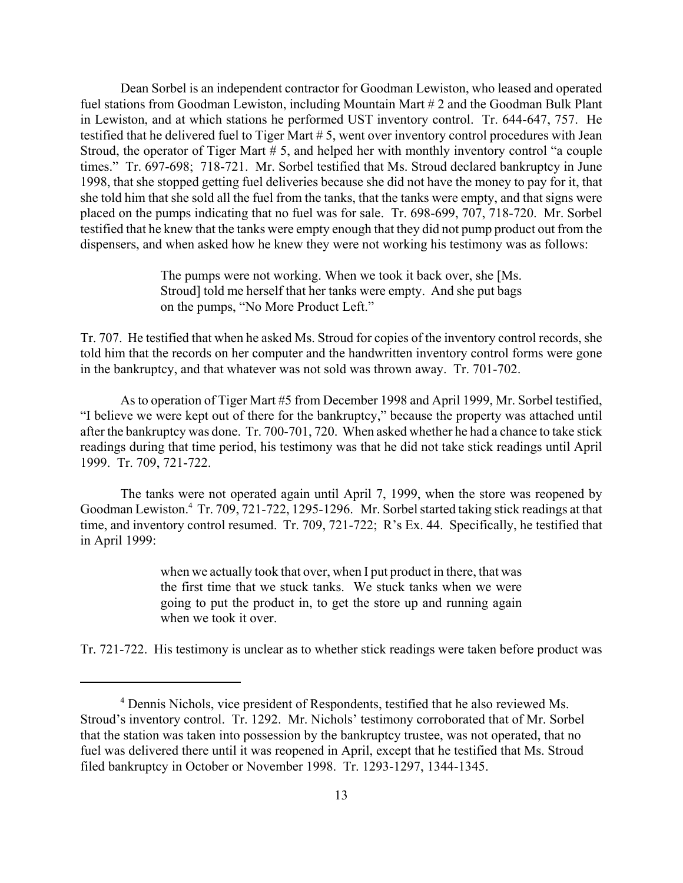Dean Sorbel is an independent contractor for Goodman Lewiston, who leased and operated fuel stations from Goodman Lewiston, including Mountain Mart # 2 and the Goodman Bulk Plant in Lewiston, and at which stations he performed UST inventory control. Tr. 644-647, 757. He testified that he delivered fuel to Tiger Mart # 5, went over inventory control procedures with Jean Stroud, the operator of Tiger Mart # 5, and helped her with monthly inventory control "a couple times." Tr. 697-698; 718-721. Mr. Sorbel testified that Ms. Stroud declared bankruptcy in June 1998, that she stopped getting fuel deliveries because she did not have the money to pay for it, that she told him that she sold all the fuel from the tanks, that the tanks were empty, and that signs were placed on the pumps indicating that no fuel was for sale. Tr. 698-699, 707, 718-720. Mr. Sorbel testified that he knew that the tanks were empty enough that they did not pump product out from the dispensers, and when asked how he knew they were not working his testimony was as follows:

> The pumps were not working. When we took it back over, she [Ms. Stroud] told me herself that her tanks were empty. And she put bags on the pumps, "No More Product Left."

Tr. 707. He testified that when he asked Ms. Stroud for copies of the inventory control records, she told him that the records on her computer and the handwritten inventory control forms were gone in the bankruptcy, and that whatever was not sold was thrown away. Tr. 701-702.

As to operation of Tiger Mart #5 from December 1998 and April 1999, Mr. Sorbel testified, "I believe we were kept out of there for the bankruptcy," because the property was attached until after the bankruptcy was done. Tr. 700-701, 720. When asked whether he had a chance to take stick readings during that time period, his testimony was that he did not take stick readings until April 1999. Tr. 709, 721-722.

The tanks were not operated again until April 7, 1999, when the store was reopened by Goodman Lewiston.4 Tr. 709, 721-722, 1295-1296. Mr. Sorbel started taking stick readings at that time, and inventory control resumed. Tr. 709, 721-722; R's Ex. 44. Specifically, he testified that in April 1999:

> when we actually took that over, when I put product in there, that was the first time that we stuck tanks. We stuck tanks when we were going to put the product in, to get the store up and running again when we took it over.

Tr. 721-722. His testimony is unclear as to whether stick readings were taken before product was

<sup>4</sup> Dennis Nichols, vice president of Respondents, testified that he also reviewed Ms. Stroud's inventory control. Tr. 1292. Mr. Nichols' testimony corroborated that of Mr. Sorbel that the station was taken into possession by the bankruptcy trustee, was not operated, that no fuel was delivered there until it was reopened in April, except that he testified that Ms. Stroud filed bankruptcy in October or November 1998. Tr. 1293-1297, 1344-1345.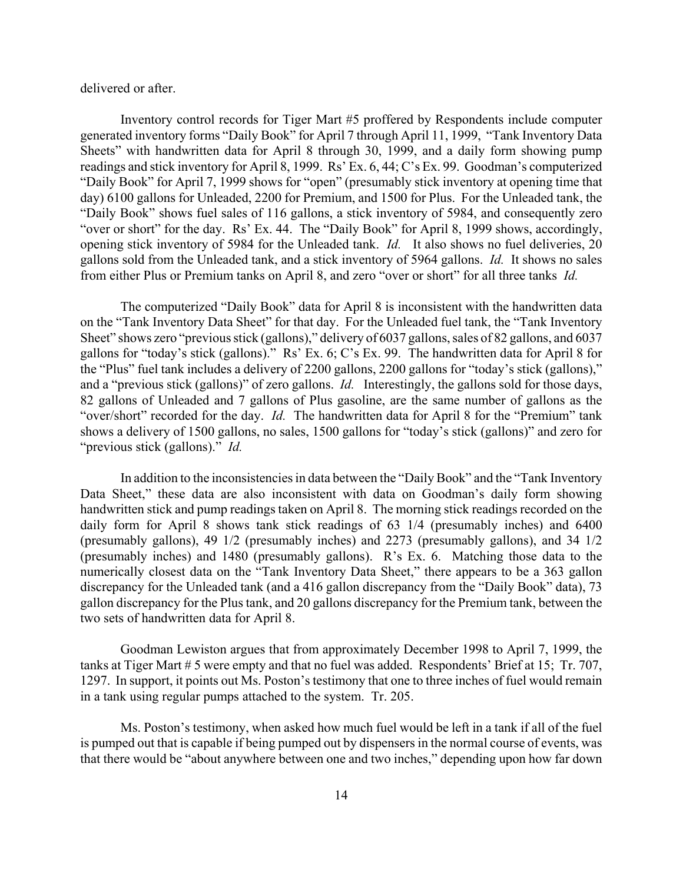delivered or after.

Inventory control records for Tiger Mart #5 proffered by Respondents include computer generated inventory forms "Daily Book" for April 7 through April 11, 1999, "Tank Inventory Data Sheets" with handwritten data for April 8 through 30, 1999, and a daily form showing pump readings and stick inventory for April 8, 1999. Rs' Ex. 6, 44; C's Ex. 99. Goodman's computerized "Daily Book" for April 7, 1999 shows for "open" (presumably stick inventory at opening time that day) 6100 gallons for Unleaded, 2200 for Premium, and 1500 for Plus. For the Unleaded tank, the "Daily Book" shows fuel sales of 116 gallons, a stick inventory of 5984, and consequently zero "over or short" for the day. Rs' Ex. 44. The "Daily Book" for April 8, 1999 shows, accordingly, opening stick inventory of 5984 for the Unleaded tank. *Id.* It also shows no fuel deliveries, 20 gallons sold from the Unleaded tank, and a stick inventory of 5964 gallons. *Id.* It shows no sales from either Plus or Premium tanks on April 8, and zero "over or short" for all three tanks *Id.* 

The computerized "Daily Book" data for April 8 is inconsistent with the handwritten data on the "Tank Inventory Data Sheet" for that day. For the Unleaded fuel tank, the "Tank Inventory Sheet" shows zero "previous stick (gallons)," delivery of 6037 gallons, sales of 82 gallons, and 6037 gallons for "today's stick (gallons)." Rs' Ex. 6; C's Ex. 99. The handwritten data for April 8 for the "Plus" fuel tank includes a delivery of 2200 gallons, 2200 gallons for "today's stick (gallons)," and a "previous stick (gallons)" of zero gallons. *Id.* Interestingly, the gallons sold for those days, 82 gallons of Unleaded and 7 gallons of Plus gasoline, are the same number of gallons as the "over/short" recorded for the day. *Id.* The handwritten data for April 8 for the "Premium" tank shows a delivery of 1500 gallons, no sales, 1500 gallons for "today's stick (gallons)" and zero for "previous stick (gallons)." *Id.* 

In addition to the inconsistencies in data between the "Daily Book" and the "Tank Inventory Data Sheet," these data are also inconsistent with data on Goodman's daily form showing handwritten stick and pump readings taken on April 8. The morning stick readings recorded on the daily form for April 8 shows tank stick readings of 63 1/4 (presumably inches) and 6400 (presumably gallons), 49 1/2 (presumably inches) and 2273 (presumably gallons), and 34 1/2 (presumably inches) and 1480 (presumably gallons). R's Ex. 6. Matching those data to the numerically closest data on the "Tank Inventory Data Sheet," there appears to be a 363 gallon discrepancy for the Unleaded tank (and a 416 gallon discrepancy from the "Daily Book" data), 73 gallon discrepancy for the Plus tank, and 20 gallons discrepancy for the Premium tank, between the two sets of handwritten data for April 8.

Goodman Lewiston argues that from approximately December 1998 to April 7, 1999, the tanks at Tiger Mart # 5 were empty and that no fuel was added. Respondents' Brief at 15; Tr. 707, 1297. In support, it points out Ms. Poston's testimony that one to three inches of fuel would remain in a tank using regular pumps attached to the system. Tr. 205.

Ms. Poston's testimony, when asked how much fuel would be left in a tank if all of the fuel is pumped out that is capable if being pumped out by dispensers in the normal course of events, was that there would be "about anywhere between one and two inches," depending upon how far down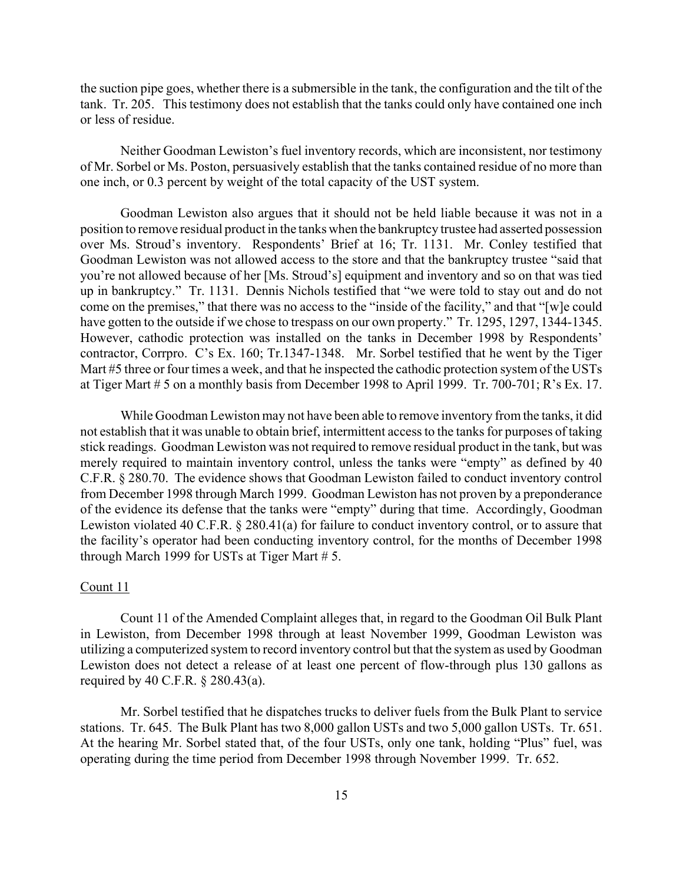the suction pipe goes, whether there is a submersible in the tank, the configuration and the tilt of the tank. Tr. 205. This testimony does not establish that the tanks could only have contained one inch or less of residue.

Neither Goodman Lewiston's fuel inventory records, which are inconsistent, nor testimony of Mr. Sorbel or Ms. Poston, persuasively establish that the tanks contained residue of no more than one inch, or 0.3 percent by weight of the total capacity of the UST system.

Goodman Lewiston also argues that it should not be held liable because it was not in a position to remove residual product in the tanks when the bankruptcy trustee had asserted possession over Ms. Stroud's inventory. Respondents' Brief at 16; Tr. 1131. Mr. Conley testified that Goodman Lewiston was not allowed access to the store and that the bankruptcy trustee "said that you're not allowed because of her [Ms. Stroud's] equipment and inventory and so on that was tied up in bankruptcy." Tr. 1131. Dennis Nichols testified that "we were told to stay out and do not come on the premises," that there was no access to the "inside of the facility," and that "[w]e could have gotten to the outside if we chose to trespass on our own property." Tr. 1295, 1297, 1344-1345. However, cathodic protection was installed on the tanks in December 1998 by Respondents' contractor, Corrpro. C's Ex. 160; Tr.1347-1348. Mr. Sorbel testified that he went by the Tiger Mart #5 three or four times a week, and that he inspected the cathodic protection system of the USTs at Tiger Mart # 5 on a monthly basis from December 1998 to April 1999. Tr. 700-701; R's Ex. 17.

While Goodman Lewiston may not have been able to remove inventory from the tanks, it did not establish that it was unable to obtain brief, intermittent access to the tanks for purposes of taking stick readings. Goodman Lewiston was not required to remove residual product in the tank, but was merely required to maintain inventory control, unless the tanks were "empty" as defined by 40 C.F.R. § 280.70. The evidence shows that Goodman Lewiston failed to conduct inventory control from December 1998 through March 1999. Goodman Lewiston has not proven by a preponderance of the evidence its defense that the tanks were "empty" during that time. Accordingly, Goodman Lewiston violated 40 C.F.R. § 280.41(a) for failure to conduct inventory control, or to assure that the facility's operator had been conducting inventory control, for the months of December 1998 through March 1999 for USTs at Tiger Mart # 5.

## Count 11

Count 11 of the Amended Complaint alleges that, in regard to the Goodman Oil Bulk Plant in Lewiston, from December 1998 through at least November 1999, Goodman Lewiston was utilizing a computerized system to record inventory control but that the system as used by Goodman Lewiston does not detect a release of at least one percent of flow-through plus 130 gallons as required by 40 C.F.R. § 280.43(a).

Mr. Sorbel testified that he dispatches trucks to deliver fuels from the Bulk Plant to service stations. Tr. 645. The Bulk Plant has two 8,000 gallon USTs and two 5,000 gallon USTs. Tr. 651. At the hearing Mr. Sorbel stated that, of the four USTs, only one tank, holding "Plus" fuel, was operating during the time period from December 1998 through November 1999. Tr. 652.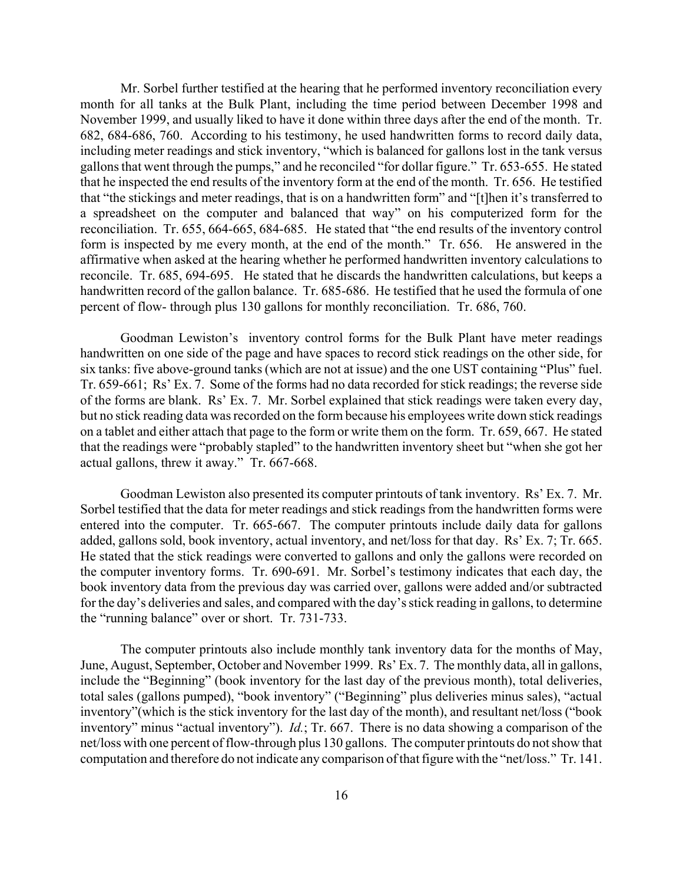Mr. Sorbel further testified at the hearing that he performed inventory reconciliation every month for all tanks at the Bulk Plant, including the time period between December 1998 and November 1999, and usually liked to have it done within three days after the end of the month. Tr. 682, 684-686, 760. According to his testimony, he used handwritten forms to record daily data, including meter readings and stick inventory, "which is balanced for gallons lost in the tank versus gallons that went through the pumps," and he reconciled "for dollar figure." Tr. 653-655. He stated that he inspected the end results of the inventory form at the end of the month. Tr. 656. He testified that "the stickings and meter readings, that is on a handwritten form" and "[t]hen it's transferred to a spreadsheet on the computer and balanced that way" on his computerized form for the reconciliation. Tr. 655, 664-665, 684-685. He stated that "the end results of the inventory control form is inspected by me every month, at the end of the month." Tr. 656. He answered in the affirmative when asked at the hearing whether he performed handwritten inventory calculations to reconcile. Tr. 685, 694-695. He stated that he discards the handwritten calculations, but keeps a handwritten record of the gallon balance. Tr. 685-686. He testified that he used the formula of one percent of flow- through plus 130 gallons for monthly reconciliation. Tr. 686, 760.

Goodman Lewiston's inventory control forms for the Bulk Plant have meter readings handwritten on one side of the page and have spaces to record stick readings on the other side, for six tanks: five above-ground tanks (which are not at issue) and the one UST containing "Plus" fuel. Tr. 659-661; Rs' Ex. 7. Some of the forms had no data recorded for stick readings; the reverse side of the forms are blank. Rs' Ex. 7. Mr. Sorbel explained that stick readings were taken every day, but no stick reading data was recorded on the form because his employees write down stick readings on a tablet and either attach that page to the form or write them on the form. Tr. 659, 667. He stated that the readings were "probably stapled" to the handwritten inventory sheet but "when she got her actual gallons, threw it away." Tr. 667-668.

Goodman Lewiston also presented its computer printouts of tank inventory. Rs' Ex. 7. Mr. Sorbel testified that the data for meter readings and stick readings from the handwritten forms were entered into the computer. Tr. 665-667. The computer printouts include daily data for gallons added, gallons sold, book inventory, actual inventory, and net/loss for that day. Rs' Ex. 7; Tr. 665. He stated that the stick readings were converted to gallons and only the gallons were recorded on the computer inventory forms. Tr. 690-691. Mr. Sorbel's testimony indicates that each day, the book inventory data from the previous day was carried over, gallons were added and/or subtracted for the day's deliveries and sales, and compared with the day's stick reading in gallons, to determine the "running balance" over or short. Tr. 731-733.

The computer printouts also include monthly tank inventory data for the months of May, June, August, September, October and November 1999. Rs' Ex. 7. The monthly data, all in gallons, include the "Beginning" (book inventory for the last day of the previous month), total deliveries, total sales (gallons pumped), "book inventory" ("Beginning" plus deliveries minus sales), "actual inventory"(which is the stick inventory for the last day of the month), and resultant net/loss ("book inventory" minus "actual inventory"). *Id.*; Tr. 667. There is no data showing a comparison of the net/loss with one percent of flow-through plus 130 gallons. The computer printouts do not show that computation and therefore do not indicate any comparison of that figure with the "net/loss." Tr. 141.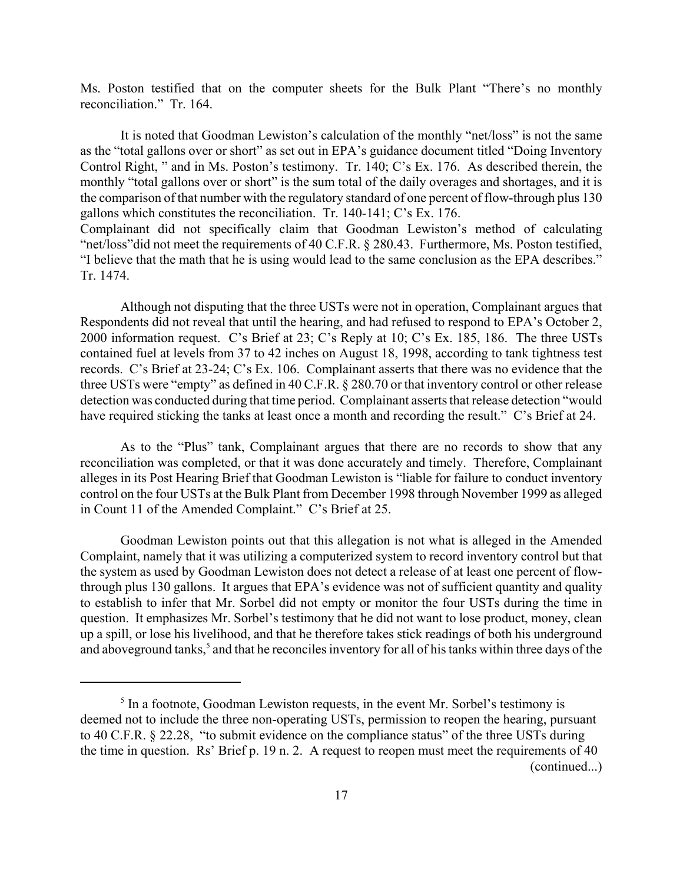Ms. Poston testified that on the computer sheets for the Bulk Plant "There's no monthly reconciliation." Tr. 164.

It is noted that Goodman Lewiston's calculation of the monthly "net/loss" is not the same as the "total gallons over or short" as set out in EPA's guidance document titled "Doing Inventory Control Right, " and in Ms. Poston's testimony. Tr. 140; C's Ex. 176. As described therein, the monthly "total gallons over or short" is the sum total of the daily overages and shortages, and it is the comparison of that number with the regulatory standard of one percent of flow-through plus 130 gallons which constitutes the reconciliation. Tr. 140-141; C's Ex. 176. Complainant did not specifically claim that Goodman Lewiston's method of calculating "net/loss"did not meet the requirements of 40 C.F.R. § 280.43. Furthermore, Ms. Poston testified, "I believe that the math that he is using would lead to the same conclusion as the EPA describes."

Tr. 1474.

Although not disputing that the three USTs were not in operation, Complainant argues that Respondents did not reveal that until the hearing, and had refused to respond to EPA's October 2, 2000 information request. C's Brief at 23; C's Reply at 10; C's Ex. 185, 186. The three USTs contained fuel at levels from 37 to 42 inches on August 18, 1998, according to tank tightness test records. C's Brief at 23-24; C's Ex. 106. Complainant asserts that there was no evidence that the three USTs were "empty" as defined in 40 C.F.R. § 280.70 or that inventory control or other release detection was conducted during that time period. Complainant asserts that release detection "would have required sticking the tanks at least once a month and recording the result." C's Brief at 24.

As to the "Plus" tank, Complainant argues that there are no records to show that any reconciliation was completed, or that it was done accurately and timely. Therefore, Complainant alleges in its Post Hearing Brief that Goodman Lewiston is "liable for failure to conduct inventory control on the four USTs at the Bulk Plant from December 1998 through November 1999 as alleged in Count 11 of the Amended Complaint." C's Brief at 25.

Goodman Lewiston points out that this allegation is not what is alleged in the Amended Complaint, namely that it was utilizing a computerized system to record inventory control but that the system as used by Goodman Lewiston does not detect a release of at least one percent of flowthrough plus 130 gallons. It argues that EPA's evidence was not of sufficient quantity and quality to establish to infer that Mr. Sorbel did not empty or monitor the four USTs during the time in question. It emphasizes Mr. Sorbel's testimony that he did not want to lose product, money, clean up a spill, or lose his livelihood, and that he therefore takes stick readings of both his underground and aboveground tanks,<sup>5</sup> and that he reconciles inventory for all of his tanks within three days of the

<sup>&</sup>lt;sup>5</sup> In a footnote, Goodman Lewiston requests, in the event Mr. Sorbel's testimony is deemed not to include the three non-operating USTs, permission to reopen the hearing, pursuant to 40 C.F.R. § 22.28, "to submit evidence on the compliance status" of the three USTs during the time in question. Rs' Brief p. 19 n. 2. A request to reopen must meet the requirements of 40 (continued...)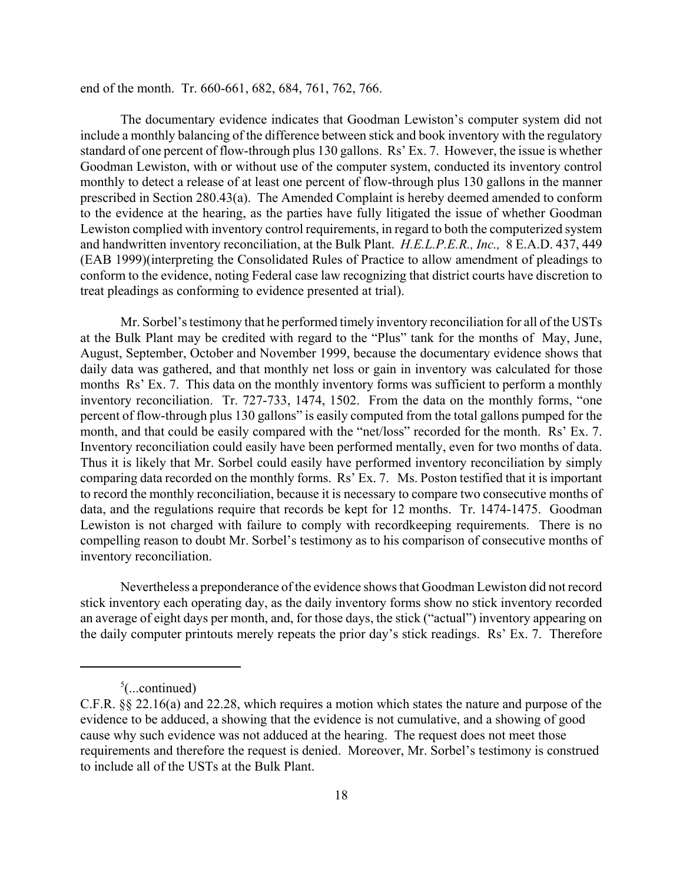end of the month. Tr. 660-661, 682, 684, 761, 762, 766.

The documentary evidence indicates that Goodman Lewiston's computer system did not include a monthly balancing of the difference between stick and book inventory with the regulatory standard of one percent of flow-through plus 130 gallons. Rs' Ex. 7. However, the issue is whether Goodman Lewiston, with or without use of the computer system, conducted its inventory control monthly to detect a release of at least one percent of flow-through plus 130 gallons in the manner prescribed in Section 280.43(a). The Amended Complaint is hereby deemed amended to conform to the evidence at the hearing, as the parties have fully litigated the issue of whether Goodman Lewiston complied with inventory control requirements, in regard to both the computerized system and handwritten inventory reconciliation, at the Bulk Plant. *H.E.L.P.E.R., Inc.,* 8 E.A.D. 437, 449 (EAB 1999)(interpreting the Consolidated Rules of Practice to allow amendment of pleadings to conform to the evidence, noting Federal case law recognizing that district courts have discretion to treat pleadings as conforming to evidence presented at trial).

Mr. Sorbel's testimony that he performed timely inventory reconciliation for all of the USTs at the Bulk Plant may be credited with regard to the "Plus" tank for the months of May, June, August, September, October and November 1999, because the documentary evidence shows that daily data was gathered, and that monthly net loss or gain in inventory was calculated for those months Rs' Ex. 7. This data on the monthly inventory forms was sufficient to perform a monthly inventory reconciliation. Tr. 727-733, 1474, 1502. From the data on the monthly forms, "one percent of flow-through plus 130 gallons" is easily computed from the total gallons pumped for the month, and that could be easily compared with the "net/loss" recorded for the month. Rs' Ex. 7. Inventory reconciliation could easily have been performed mentally, even for two months of data. Thus it is likely that Mr. Sorbel could easily have performed inventory reconciliation by simply comparing data recorded on the monthly forms. Rs' Ex. 7. Ms. Poston testified that it is important to record the monthly reconciliation, because it is necessary to compare two consecutive months of data, and the regulations require that records be kept for 12 months. Tr. 1474-1475. Goodman Lewiston is not charged with failure to comply with recordkeeping requirements. There is no compelling reason to doubt Mr. Sorbel's testimony as to his comparison of consecutive months of inventory reconciliation.

Nevertheless a preponderance of the evidence shows that Goodman Lewiston did not record stick inventory each operating day, as the daily inventory forms show no stick inventory recorded an average of eight days per month, and, for those days, the stick ("actual") inventory appearing on the daily computer printouts merely repeats the prior day's stick readings. Rs' Ex. 7. Therefore

 $5$ (...continued)

C.F.R. §§ 22.16(a) and 22.28, which requires a motion which states the nature and purpose of the evidence to be adduced, a showing that the evidence is not cumulative, and a showing of good cause why such evidence was not adduced at the hearing. The request does not meet those requirements and therefore the request is denied. Moreover, Mr. Sorbel's testimony is construed to include all of the USTs at the Bulk Plant.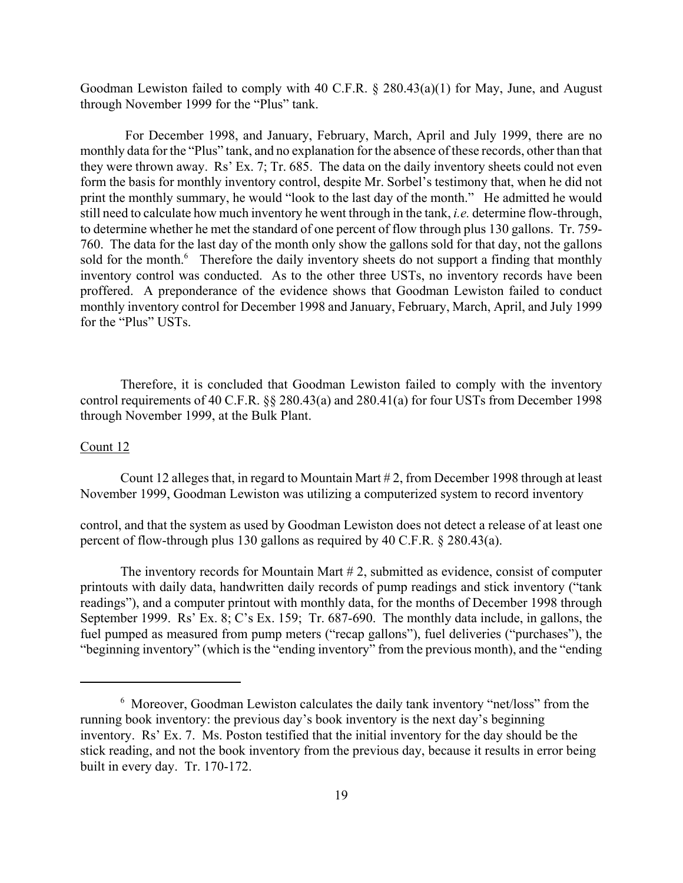Goodman Lewiston failed to comply with 40 C.F.R. § 280.43(a)(1) for May, June, and August through November 1999 for the "Plus" tank.

For December 1998, and January, February, March, April and July 1999, there are no monthly data for the "Plus" tank, and no explanation for the absence of these records, other than that they were thrown away. Rs' Ex. 7; Tr. 685. The data on the daily inventory sheets could not even form the basis for monthly inventory control, despite Mr. Sorbel's testimony that, when he did not print the monthly summary, he would "look to the last day of the month." He admitted he would still need to calculate how much inventory he went through in the tank, *i.e.* determine flow-through, to determine whether he met the standard of one percent of flow through plus 130 gallons. Tr. 759- 760. The data for the last day of the month only show the gallons sold for that day, not the gallons sold for the month.<sup>6</sup> Therefore the daily inventory sheets do not support a finding that monthly inventory control was conducted. As to the other three USTs, no inventory records have been proffered. A preponderance of the evidence shows that Goodman Lewiston failed to conduct monthly inventory control for December 1998 and January, February, March, April, and July 1999 for the "Plus" USTs.

Therefore, it is concluded that Goodman Lewiston failed to comply with the inventory control requirements of 40 C.F.R. §§ 280.43(a) and 280.41(a) for four USTs from December 1998 through November 1999, at the Bulk Plant.

## Count 12

Count 12 alleges that, in regard to Mountain Mart # 2, from December 1998 through at least November 1999, Goodman Lewiston was utilizing a computerized system to record inventory

control, and that the system as used by Goodman Lewiston does not detect a release of at least one percent of flow-through plus 130 gallons as required by 40 C.F.R. § 280.43(a).

The inventory records for Mountain Mart # 2, submitted as evidence, consist of computer printouts with daily data, handwritten daily records of pump readings and stick inventory ("tank readings"), and a computer printout with monthly data, for the months of December 1998 through September 1999. Rs' Ex. 8; C's Ex. 159; Tr. 687-690. The monthly data include, in gallons, the fuel pumped as measured from pump meters ("recap gallons"), fuel deliveries ("purchases"), the "beginning inventory" (which is the "ending inventory" from the previous month), and the "ending

<sup>6</sup> Moreover, Goodman Lewiston calculates the daily tank inventory "net/loss" from the running book inventory: the previous day's book inventory is the next day's beginning inventory. Rs' Ex. 7. Ms. Poston testified that the initial inventory for the day should be the stick reading, and not the book inventory from the previous day, because it results in error being built in every day. Tr. 170-172.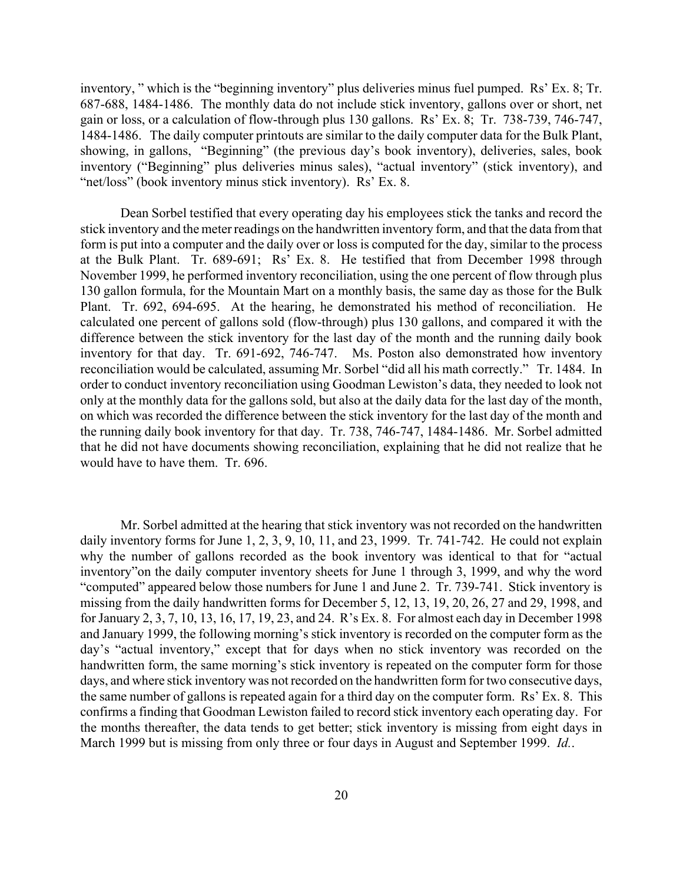inventory, " which is the "beginning inventory" plus deliveries minus fuel pumped. Rs' Ex. 8; Tr. 687-688, 1484-1486. The monthly data do not include stick inventory, gallons over or short, net gain or loss, or a calculation of flow-through plus 130 gallons. Rs' Ex. 8; Tr. 738-739, 746-747, 1484-1486. The daily computer printouts are similar to the daily computer data for the Bulk Plant, showing, in gallons, "Beginning" (the previous day's book inventory), deliveries, sales, book inventory ("Beginning" plus deliveries minus sales), "actual inventory" (stick inventory), and "net/loss" (book inventory minus stick inventory). Rs' Ex. 8.

Dean Sorbel testified that every operating day his employees stick the tanks and record the stick inventory and the meter readings on the handwritten inventory form, and that the data from that form is put into a computer and the daily over or loss is computed for the day, similar to the process at the Bulk Plant. Tr. 689-691; Rs' Ex. 8. He testified that from December 1998 through November 1999, he performed inventory reconciliation, using the one percent of flow through plus 130 gallon formula, for the Mountain Mart on a monthly basis, the same day as those for the Bulk Plant. Tr. 692, 694-695. At the hearing, he demonstrated his method of reconciliation. He calculated one percent of gallons sold (flow-through) plus 130 gallons, and compared it with the difference between the stick inventory for the last day of the month and the running daily book inventory for that day. Tr. 691-692, 746-747. Ms. Poston also demonstrated how inventory reconciliation would be calculated, assuming Mr. Sorbel "did all his math correctly." Tr. 1484. In order to conduct inventory reconciliation using Goodman Lewiston's data, they needed to look not only at the monthly data for the gallons sold, but also at the daily data for the last day of the month, on which was recorded the difference between the stick inventory for the last day of the month and the running daily book inventory for that day. Tr. 738, 746-747, 1484-1486. Mr. Sorbel admitted that he did not have documents showing reconciliation, explaining that he did not realize that he would have to have them. Tr. 696.

Mr. Sorbel admitted at the hearing that stick inventory was not recorded on the handwritten daily inventory forms for June 1, 2, 3, 9, 10, 11, and 23, 1999. Tr. 741-742. He could not explain why the number of gallons recorded as the book inventory was identical to that for "actual inventory"on the daily computer inventory sheets for June 1 through 3, 1999, and why the word "computed" appeared below those numbers for June 1 and June 2. Tr. 739-741. Stick inventory is missing from the daily handwritten forms for December 5, 12, 13, 19, 20, 26, 27 and 29, 1998, and for January 2, 3, 7, 10, 13, 16, 17, 19, 23, and 24. R's Ex. 8. For almost each day in December 1998 and January 1999, the following morning's stick inventory is recorded on the computer form as the day's "actual inventory," except that for days when no stick inventory was recorded on the handwritten form, the same morning's stick inventory is repeated on the computer form for those days, and where stick inventory was not recorded on the handwritten form for two consecutive days, the same number of gallons is repeated again for a third day on the computer form. Rs' Ex. 8. This confirms a finding that Goodman Lewiston failed to record stick inventory each operating day. For the months thereafter, the data tends to get better; stick inventory is missing from eight days in March 1999 but is missing from only three or four days in August and September 1999. *Id.*.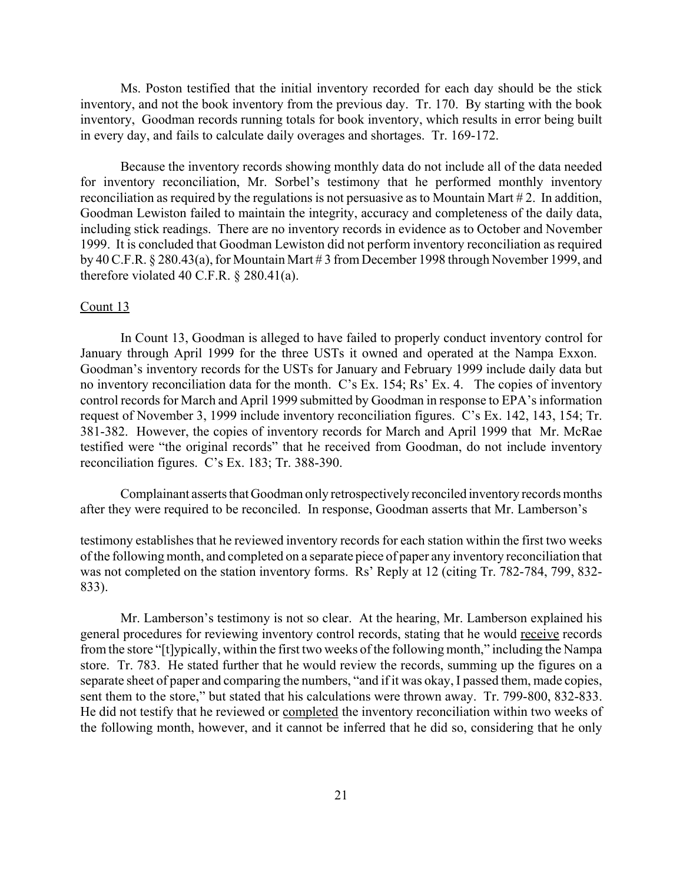Ms. Poston testified that the initial inventory recorded for each day should be the stick inventory, and not the book inventory from the previous day. Tr. 170. By starting with the book inventory, Goodman records running totals for book inventory, which results in error being built in every day, and fails to calculate daily overages and shortages. Tr. 169-172.

Because the inventory records showing monthly data do not include all of the data needed for inventory reconciliation, Mr. Sorbel's testimony that he performed monthly inventory reconciliation as required by the regulations is not persuasive as to Mountain Mart # 2. In addition, Goodman Lewiston failed to maintain the integrity, accuracy and completeness of the daily data, including stick readings. There are no inventory records in evidence as to October and November 1999. It is concluded that Goodman Lewiston did not perform inventory reconciliation as required by 40 C.F.R. § 280.43(a), for Mountain Mart # 3 from December 1998 through November 1999, and therefore violated 40 C.F.R. § 280.41(a).

#### Count 13

In Count 13, Goodman is alleged to have failed to properly conduct inventory control for January through April 1999 for the three USTs it owned and operated at the Nampa Exxon. Goodman's inventory records for the USTs for January and February 1999 include daily data but no inventory reconciliation data for the month. C's Ex. 154; Rs' Ex. 4. The copies of inventory control records for March and April 1999 submitted by Goodman in response to EPA's information request of November 3, 1999 include inventory reconciliation figures. C's Ex. 142, 143, 154; Tr. 381-382. However, the copies of inventory records for March and April 1999 that Mr. McRae testified were "the original records" that he received from Goodman, do not include inventory reconciliation figures. C's Ex. 183; Tr. 388-390.

Complainant asserts that Goodman only retrospectively reconciled inventory records months after they were required to be reconciled. In response, Goodman asserts that Mr. Lamberson's

testimony establishes that he reviewed inventory records for each station within the first two weeks of the following month, and completed on a separate piece of paper any inventory reconciliation that was not completed on the station inventory forms. Rs' Reply at 12 (citing Tr. 782-784, 799, 832- 833).

Mr. Lamberson's testimony is not so clear. At the hearing, Mr. Lamberson explained his general procedures for reviewing inventory control records, stating that he would receive records from the store "[t]ypically, within the first two weeks of the following month," including the Nampa store. Tr. 783. He stated further that he would review the records, summing up the figures on a separate sheet of paper and comparing the numbers, "and if it was okay, I passed them, made copies, sent them to the store," but stated that his calculations were thrown away. Tr. 799-800, 832-833. He did not testify that he reviewed or completed the inventory reconciliation within two weeks of the following month, however, and it cannot be inferred that he did so, considering that he only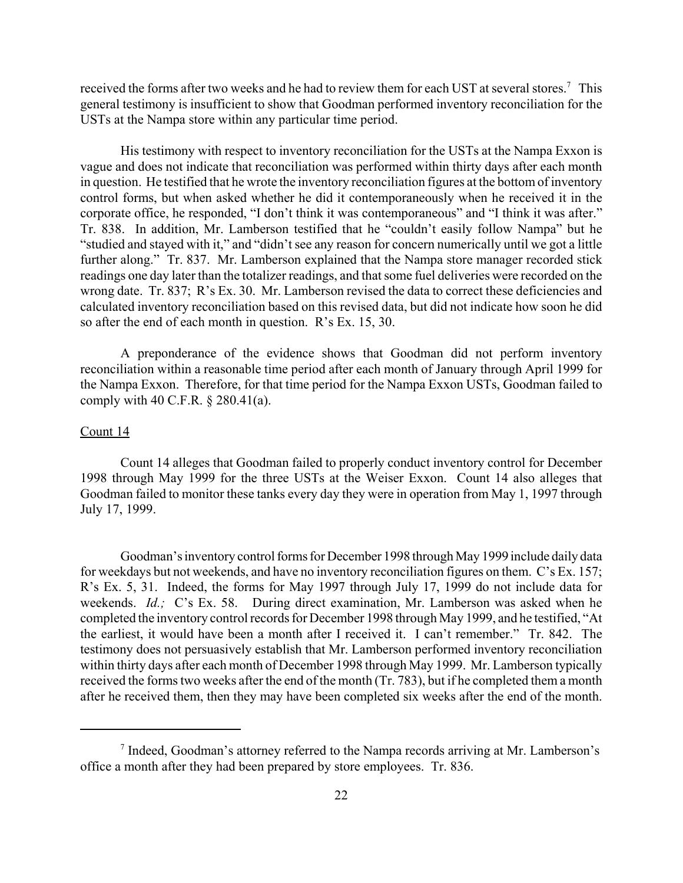received the forms after two weeks and he had to review them for each UST at several stores.<sup>7</sup> This general testimony is insufficient to show that Goodman performed inventory reconciliation for the USTs at the Nampa store within any particular time period.

His testimony with respect to inventory reconciliation for the USTs at the Nampa Exxon is vague and does not indicate that reconciliation was performed within thirty days after each month in question. He testified that he wrote the inventory reconciliation figures at the bottom of inventory control forms, but when asked whether he did it contemporaneously when he received it in the corporate office, he responded, "I don't think it was contemporaneous" and "I think it was after." Tr. 838. In addition, Mr. Lamberson testified that he "couldn't easily follow Nampa" but he "studied and stayed with it," and "didn't see any reason for concern numerically until we got a little further along." Tr. 837. Mr. Lamberson explained that the Nampa store manager recorded stick readings one day later than the totalizer readings, and that some fuel deliveries were recorded on the wrong date. Tr. 837; R's Ex. 30. Mr. Lamberson revised the data to correct these deficiencies and calculated inventory reconciliation based on this revised data, but did not indicate how soon he did so after the end of each month in question. R's Ex. 15, 30.

A preponderance of the evidence shows that Goodman did not perform inventory reconciliation within a reasonable time period after each month of January through April 1999 for the Nampa Exxon. Therefore, for that time period for the Nampa Exxon USTs, Goodman failed to comply with 40 C.F.R. § 280.41(a).

## Count 14

Count 14 alleges that Goodman failed to properly conduct inventory control for December 1998 through May 1999 for the three USTs at the Weiser Exxon. Count 14 also alleges that Goodman failed to monitor these tanks every day they were in operation from May 1, 1997 through July 17, 1999.

Goodman's inventory control forms for December 1998 through May 1999 include daily data for weekdays but not weekends, and have no inventory reconciliation figures on them. C's Ex. 157; R's Ex. 5, 31. Indeed, the forms for May 1997 through July 17, 1999 do not include data for weekends. *Id.;* C's Ex. 58. During direct examination, Mr. Lamberson was asked when he completed the inventory control records for December 1998 through May 1999, and he testified, "At the earliest, it would have been a month after I received it. I can't remember." Tr. 842. The testimony does not persuasively establish that Mr. Lamberson performed inventory reconciliation within thirty days after each month of December 1998 through May 1999. Mr. Lamberson typically received the forms two weeks after the end of the month (Tr. 783), but if he completed them a month after he received them, then they may have been completed six weeks after the end of the month.

<sup>&</sup>lt;sup>7</sup> Indeed, Goodman's attorney referred to the Nampa records arriving at Mr. Lamberson's office a month after they had been prepared by store employees. Tr. 836.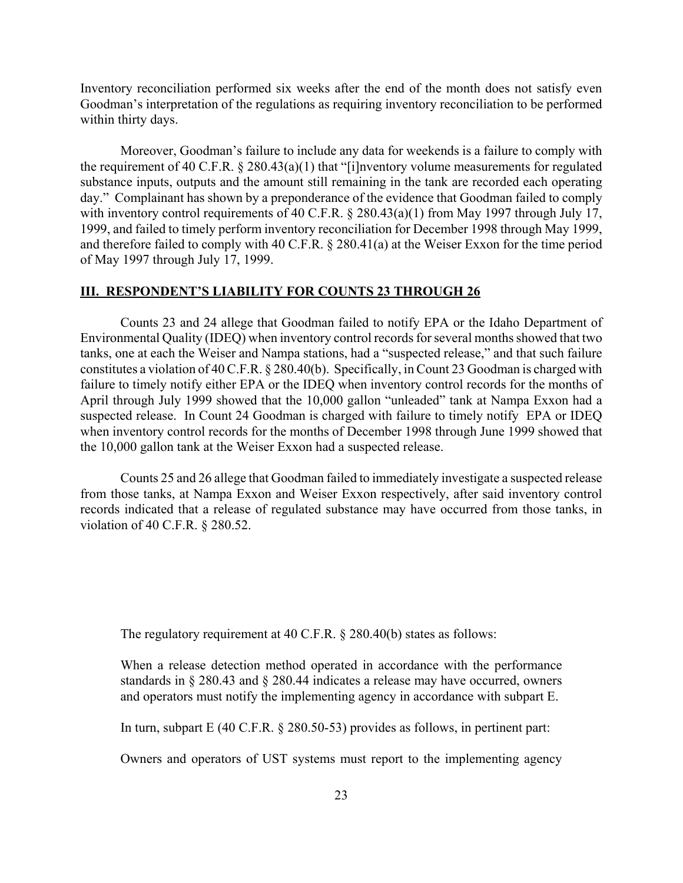Inventory reconciliation performed six weeks after the end of the month does not satisfy even Goodman's interpretation of the regulations as requiring inventory reconciliation to be performed within thirty days.

Moreover, Goodman's failure to include any data for weekends is a failure to comply with the requirement of 40 C.F.R. § 280.43(a)(1) that "[i]nventory volume measurements for regulated substance inputs, outputs and the amount still remaining in the tank are recorded each operating day." Complainant has shown by a preponderance of the evidence that Goodman failed to comply with inventory control requirements of 40 C.F.R. § 280.43(a)(1) from May 1997 through July 17, 1999, and failed to timely perform inventory reconciliation for December 1998 through May 1999, and therefore failed to comply with 40 C.F.R. § 280.41(a) at the Weiser Exxon for the time period of May 1997 through July 17, 1999.

# **III. RESPONDENT'S LIABILITY FOR COUNTS 23 THROUGH 26**

Counts 23 and 24 allege that Goodman failed to notify EPA or the Idaho Department of Environmental Quality (IDEQ) when inventory control records for several months showed that two tanks, one at each the Weiser and Nampa stations, had a "suspected release," and that such failure constitutes a violation of 40 C.F.R. § 280.40(b). Specifically, in Count 23 Goodman is charged with failure to timely notify either EPA or the IDEQ when inventory control records for the months of April through July 1999 showed that the 10,000 gallon "unleaded" tank at Nampa Exxon had a suspected release. In Count 24 Goodman is charged with failure to timely notify EPA or IDEQ when inventory control records for the months of December 1998 through June 1999 showed that the 10,000 gallon tank at the Weiser Exxon had a suspected release.

Counts 25 and 26 allege that Goodman failed to immediately investigate a suspected release from those tanks, at Nampa Exxon and Weiser Exxon respectively, after said inventory control records indicated that a release of regulated substance may have occurred from those tanks, in violation of 40 C.F.R. § 280.52.

The regulatory requirement at 40 C.F.R. § 280.40(b) states as follows:

When a release detection method operated in accordance with the performance standards in § 280.43 and § 280.44 indicates a release may have occurred, owners and operators must notify the implementing agency in accordance with subpart E.

In turn, subpart E (40 C.F.R. § 280.50-53) provides as follows, in pertinent part:

Owners and operators of UST systems must report to the implementing agency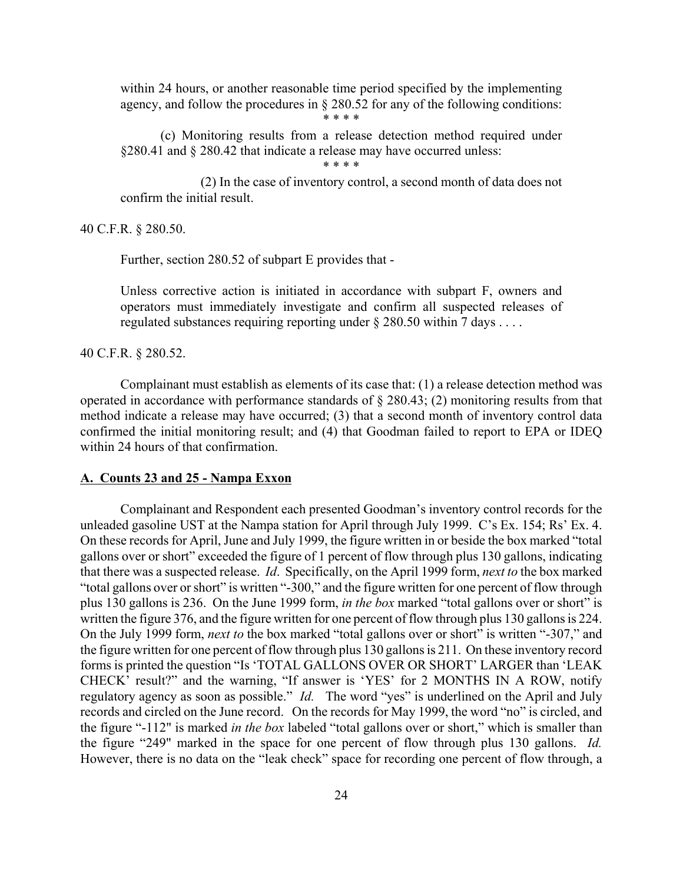within 24 hours, or another reasonable time period specified by the implementing agency, and follow the procedures in § 280.52 for any of the following conditions:

\* \* \* \*

(c) Monitoring results from a release detection method required under §280.41 and § 280.42 that indicate a release may have occurred unless:

\* \* \* \*

(2) In the case of inventory control, a second month of data does not confirm the initial result.

40 C.F.R. § 280.50.

Further, section 280.52 of subpart E provides that -

Unless corrective action is initiated in accordance with subpart F, owners and operators must immediately investigate and confirm all suspected releases of regulated substances requiring reporting under § 280.50 within 7 days . . . .

40 C.F.R. § 280.52.

Complainant must establish as elements of its case that: (1) a release detection method was operated in accordance with performance standards of § 280.43; (2) monitoring results from that method indicate a release may have occurred; (3) that a second month of inventory control data confirmed the initial monitoring result; and (4) that Goodman failed to report to EPA or IDEQ within 24 hours of that confirmation.

# **A. Counts 23 and 25 - Nampa Exxon**

Complainant and Respondent each presented Goodman's inventory control records for the unleaded gasoline UST at the Nampa station for April through July 1999. C's Ex. 154; Rs' Ex. 4. On these records for April, June and July 1999, the figure written in or beside the box marked "total gallons over or short" exceeded the figure of 1 percent of flow through plus 130 gallons, indicating that there was a suspected release. *Id*. Specifically, on the April 1999 form, *next to* the box marked "total gallons over or short" is written "-300," and the figure written for one percent of flow through plus 130 gallons is 236. On the June 1999 form, *in the box* marked "total gallons over or short" is written the figure 376, and the figure written for one percent of flow through plus 130 gallons is 224. On the July 1999 form, *next to* the box marked "total gallons over or short" is written "-307," and the figure written for one percent of flow through plus 130 gallons is 211. On these inventory record forms is printed the question "Is 'TOTAL GALLONS OVER OR SHORT' LARGER than 'LEAK CHECK' result?" and the warning, "If answer is 'YES' for 2 MONTHS IN A ROW, notify regulatory agency as soon as possible." *Id.* The word "yes" is underlined on the April and July records and circled on the June record. On the records for May 1999, the word "no" is circled, and the figure "-112" is marked *in the box* labeled "total gallons over or short," which is smaller than the figure "249" marked in the space for one percent of flow through plus 130 gallons. *Id.*  However, there is no data on the "leak check" space for recording one percent of flow through, a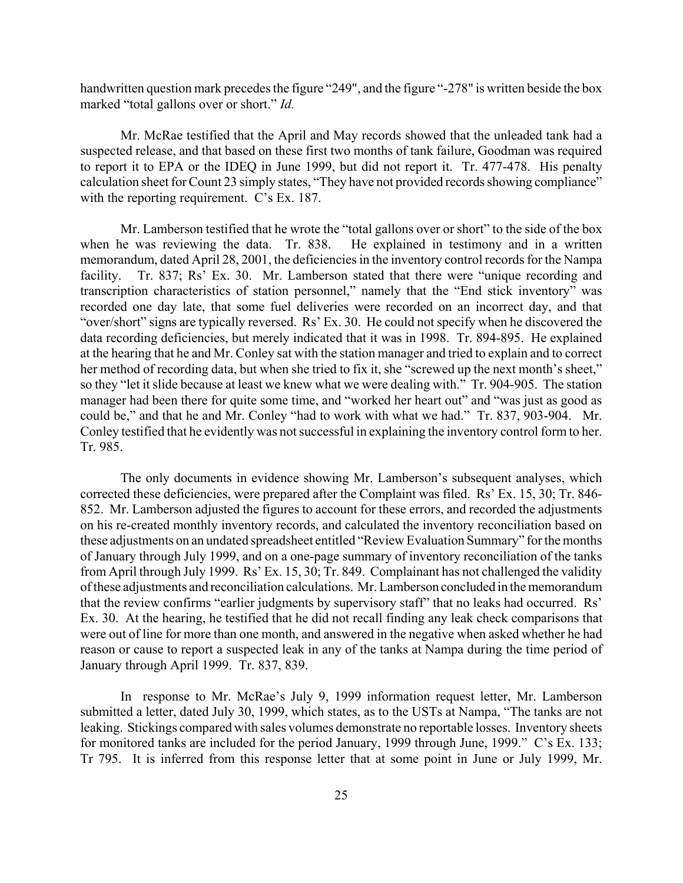handwritten question mark precedes the figure "249", and the figure "-278" is written beside the box marked "total gallons over or short." *Id.* 

Mr. McRae testified that the April and May records showed that the unleaded tank had a suspected release, and that based on these first two months of tank failure, Goodman was required to report it to EPA or the IDEQ in June 1999, but did not report it. Tr. 477-478. His penalty calculation sheet for Count 23 simply states, "They have not provided records showing compliance" with the reporting requirement. C's Ex. 187.

Mr. Lamberson testified that he wrote the "total gallons over or short" to the side of the box when he was reviewing the data. Tr. 838. He explained in testimony and in a written memorandum, dated April 28, 2001, the deficiencies in the inventory control records for the Nampa facility. Tr. 837; Rs' Ex. 30. Mr. Lamberson stated that there were "unique recording and transcription characteristics of station personnel," namely that the "End stick inventory" was recorded one day late, that some fuel deliveries were recorded on an incorrect day, and that "over/short" signs are typically reversed. Rs' Ex. 30. He could not specify when he discovered the data recording deficiencies, but merely indicated that it was in 1998. Tr. 894-895. He explained at the hearing that he and Mr. Conley sat with the station manager and tried to explain and to correct her method of recording data, but when she tried to fix it, she "screwed up the next month's sheet," so they "let it slide because at least we knew what we were dealing with." Tr. 904-905. The station manager had been there for quite some time, and "worked her heart out" and "was just as good as could be," and that he and Mr. Conley "had to work with what we had." Tr. 837, 903-904. Mr. Conley testified that he evidently was not successful in explaining the inventory control form to her. Tr. 985.

The only documents in evidence showing Mr. Lamberson's subsequent analyses, which corrected these deficiencies, were prepared after the Complaint was filed. Rs' Ex. 15, 30; Tr. 846- 852. Mr. Lamberson adjusted the figures to account for these errors, and recorded the adjustments on his re-created monthly inventory records, and calculated the inventory reconciliation based on these adjustments on an undated spreadsheet entitled "Review Evaluation Summary" for the months of January through July 1999, and on a one-page summary of inventory reconciliation of the tanks from April through July 1999. Rs' Ex. 15, 30; Tr. 849. Complainant has not challenged the validity of these adjustments and reconciliation calculations. Mr. Lamberson concluded in the memorandum that the review confirms "earlier judgments by supervisory staff" that no leaks had occurred. Rs' Ex. 30. At the hearing, he testified that he did not recall finding any leak check comparisons that were out of line for more than one month, and answered in the negative when asked whether he had reason or cause to report a suspected leak in any of the tanks at Nampa during the time period of January through April 1999. Tr. 837, 839.

In response to Mr. McRae's July 9, 1999 information request letter, Mr. Lamberson submitted a letter, dated July 30, 1999, which states, as to the USTs at Nampa, "The tanks are not leaking. Stickings compared with sales volumes demonstrate no reportable losses. Inventory sheets for monitored tanks are included for the period January, 1999 through June, 1999." C's Ex. 133; Tr 795. It is inferred from this response letter that at some point in June or July 1999, Mr.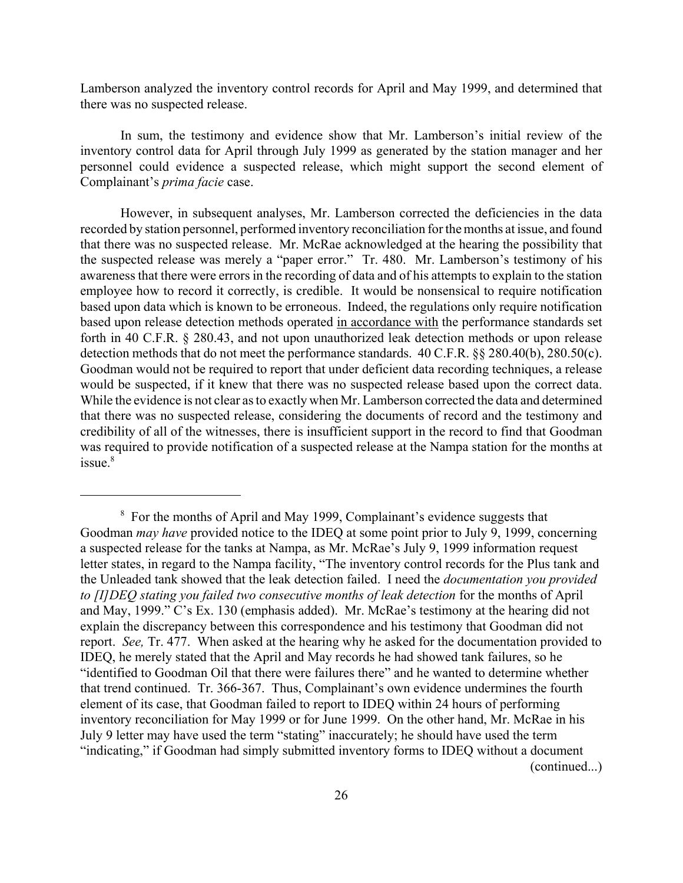Lamberson analyzed the inventory control records for April and May 1999, and determined that there was no suspected release.

In sum, the testimony and evidence show that Mr. Lamberson's initial review of the inventory control data for April through July 1999 as generated by the station manager and her personnel could evidence a suspected release, which might support the second element of Complainant's *prima facie* case.

However, in subsequent analyses, Mr. Lamberson corrected the deficiencies in the data recorded by station personnel, performed inventory reconciliation for the months at issue, and found that there was no suspected release. Mr. McRae acknowledged at the hearing the possibility that the suspected release was merely a "paper error." Tr. 480. Mr. Lamberson's testimony of his awareness that there were errors in the recording of data and of his attempts to explain to the station employee how to record it correctly, is credible. It would be nonsensical to require notification based upon data which is known to be erroneous. Indeed, the regulations only require notification based upon release detection methods operated in accordance with the performance standards set forth in 40 C.F.R. § 280.43, and not upon unauthorized leak detection methods or upon release detection methods that do not meet the performance standards. 40 C.F.R. §§ 280.40(b), 280.50(c). Goodman would not be required to report that under deficient data recording techniques, a release would be suspected, if it knew that there was no suspected release based upon the correct data. While the evidence is not clear as to exactly when Mr. Lamberson corrected the data and determined that there was no suspected release, considering the documents of record and the testimony and credibility of all of the witnesses, there is insufficient support in the record to find that Goodman was required to provide notification of a suspected release at the Nampa station for the months at  $is <sup>8</sup>$ 

<sup>8</sup> For the months of April and May 1999, Complainant's evidence suggests that Goodman *may have* provided notice to the IDEQ at some point prior to July 9, 1999, concerning a suspected release for the tanks at Nampa, as Mr. McRae's July 9, 1999 information request letter states, in regard to the Nampa facility, "The inventory control records for the Plus tank and the Unleaded tank showed that the leak detection failed. I need the *documentation you provided to [I]DEQ stating you failed two consecutive months of leak detection* for the months of April and May, 1999." C's Ex. 130 (emphasis added). Mr. McRae's testimony at the hearing did not explain the discrepancy between this correspondence and his testimony that Goodman did not report. *See,* Tr. 477. When asked at the hearing why he asked for the documentation provided to IDEQ, he merely stated that the April and May records he had showed tank failures, so he "identified to Goodman Oil that there were failures there" and he wanted to determine whether that trend continued. Tr. 366-367. Thus, Complainant's own evidence undermines the fourth element of its case, that Goodman failed to report to IDEQ within 24 hours of performing inventory reconciliation for May 1999 or for June 1999. On the other hand, Mr. McRae in his July 9 letter may have used the term "stating" inaccurately; he should have used the term "indicating," if Goodman had simply submitted inventory forms to IDEQ without a document (continued...)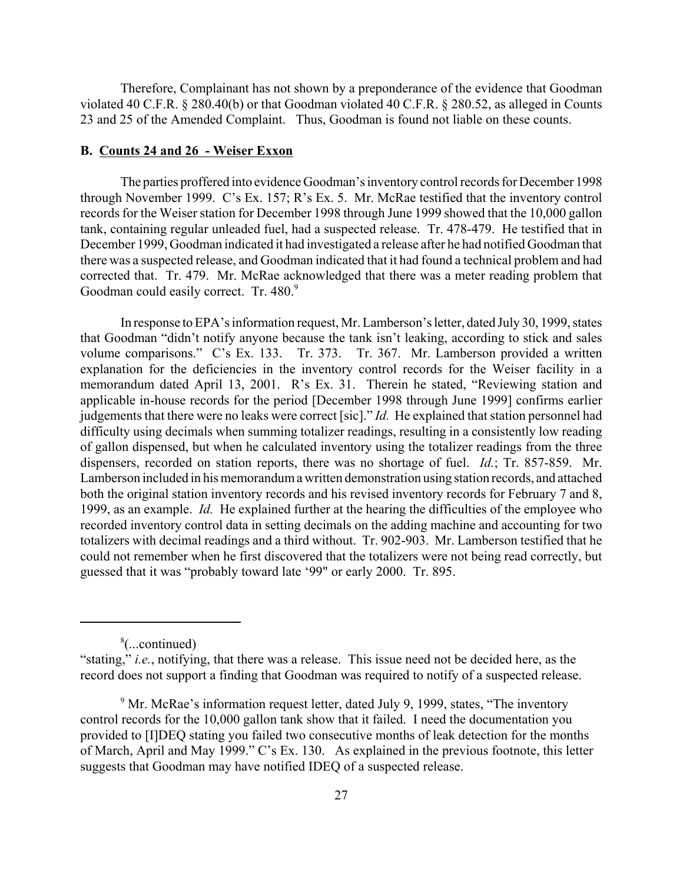Therefore, Complainant has not shown by a preponderance of the evidence that Goodman violated 40 C.F.R. § 280.40(b) or that Goodman violated 40 C.F.R. § 280.52, as alleged in Counts 23 and 25 of the Amended Complaint. Thus, Goodman is found not liable on these counts.

### **B. Counts 24 and 26 - Weiser Exxon**

The parties proffered into evidence Goodman's inventory control records for December 1998 through November 1999. C's Ex. 157; R's Ex. 5. Mr. McRae testified that the inventory control records for the Weiser station for December 1998 through June 1999 showed that the 10,000 gallon tank, containing regular unleaded fuel, had a suspected release. Tr. 478-479. He testified that in December 1999, Goodman indicated it had investigated a release after he had notified Goodman that there was a suspected release, and Goodman indicated that it had found a technical problem and had corrected that. Tr. 479. Mr. McRae acknowledged that there was a meter reading problem that Goodman could easily correct. Tr. 480.9

In response to EPA's information request, Mr. Lamberson's letter, dated July 30, 1999, states that Goodman "didn't notify anyone because the tank isn't leaking, according to stick and sales volume comparisons." C's Ex. 133. Tr. 373. Tr. 367. Mr. Lamberson provided a written explanation for the deficiencies in the inventory control records for the Weiser facility in a memorandum dated April 13, 2001. R's Ex. 31. Therein he stated, "Reviewing station and applicable in-house records for the period [December 1998 through June 1999] confirms earlier judgements that there were no leaks were correct [sic]." *Id.* He explained that station personnel had difficulty using decimals when summing totalizer readings, resulting in a consistently low reading of gallon dispensed, but when he calculated inventory using the totalizer readings from the three dispensers, recorded on station reports, there was no shortage of fuel. *Id.*; Tr. 857-859. Mr. Lamberson included in his memorandum a written demonstration using station records, and attached both the original station inventory records and his revised inventory records for February 7 and 8, 1999, as an example. *Id.* He explained further at the hearing the difficulties of the employee who recorded inventory control data in setting decimals on the adding machine and accounting for two totalizers with decimal readings and a third without. Tr. 902-903. Mr. Lamberson testified that he could not remember when he first discovered that the totalizers were not being read correctly, but guessed that it was "probably toward late '99" or early 2000. Tr. 895.

<sup>8</sup> (...continued)

<sup>&</sup>quot;stating," *i.e.*, notifying, that there was a release. This issue need not be decided here, as the record does not support a finding that Goodman was required to notify of a suspected release.

<sup>&</sup>lt;sup>9</sup> Mr. McRae's information request letter, dated July 9, 1999, states, "The inventory control records for the 10,000 gallon tank show that it failed. I need the documentation you provided to [I]DEQ stating you failed two consecutive months of leak detection for the months of March, April and May 1999." C's Ex. 130. As explained in the previous footnote, this letter suggests that Goodman may have notified IDEQ of a suspected release.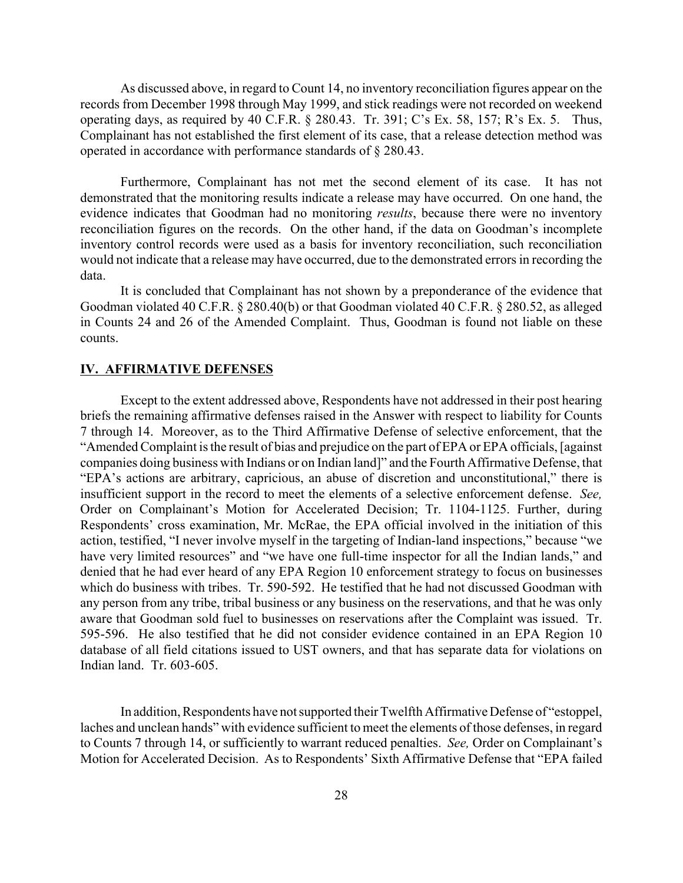As discussed above, in regard to Count 14, no inventory reconciliation figures appear on the records from December 1998 through May 1999, and stick readings were not recorded on weekend operating days, as required by 40 C.F.R. § 280.43. Tr. 391; C's Ex. 58, 157; R's Ex. 5. Thus, Complainant has not established the first element of its case, that a release detection method was operated in accordance with performance standards of § 280.43.

Furthermore, Complainant has not met the second element of its case. It has not demonstrated that the monitoring results indicate a release may have occurred. On one hand, the evidence indicates that Goodman had no monitoring *results*, because there were no inventory reconciliation figures on the records. On the other hand, if the data on Goodman's incomplete inventory control records were used as a basis for inventory reconciliation, such reconciliation would not indicate that a release may have occurred, due to the demonstrated errors in recording the data.

It is concluded that Complainant has not shown by a preponderance of the evidence that Goodman violated 40 C.F.R. § 280.40(b) or that Goodman violated 40 C.F.R. § 280.52, as alleged in Counts 24 and 26 of the Amended Complaint. Thus, Goodman is found not liable on these counts.

## **IV. AFFIRMATIVE DEFENSES**

Except to the extent addressed above, Respondents have not addressed in their post hearing briefs the remaining affirmative defenses raised in the Answer with respect to liability for Counts 7 through 14. Moreover, as to the Third Affirmative Defense of selective enforcement, that the "Amended Complaint is the result of bias and prejudice on the part of EPA or EPA officials, [against companies doing business with Indians or on Indian land]" and the Fourth Affirmative Defense, that "EPA's actions are arbitrary, capricious, an abuse of discretion and unconstitutional," there is insufficient support in the record to meet the elements of a selective enforcement defense. *See,*  Order on Complainant's Motion for Accelerated Decision; Tr. 1104-1125. Further, during Respondents' cross examination, Mr. McRae, the EPA official involved in the initiation of this action, testified, "I never involve myself in the targeting of Indian-land inspections," because "we have very limited resources" and "we have one full-time inspector for all the Indian lands," and denied that he had ever heard of any EPA Region 10 enforcement strategy to focus on businesses which do business with tribes. Tr. 590-592. He testified that he had not discussed Goodman with any person from any tribe, tribal business or any business on the reservations, and that he was only aware that Goodman sold fuel to businesses on reservations after the Complaint was issued. Tr. 595-596. He also testified that he did not consider evidence contained in an EPA Region 10 database of all field citations issued to UST owners, and that has separate data for violations on Indian land. Tr. 603-605.

In addition, Respondents have not supported their Twelfth Affirmative Defense of "estoppel, laches and unclean hands" with evidence sufficient to meet the elements of those defenses, in regard to Counts 7 through 14, or sufficiently to warrant reduced penalties. *See,* Order on Complainant's Motion for Accelerated Decision. As to Respondents' Sixth Affirmative Defense that "EPA failed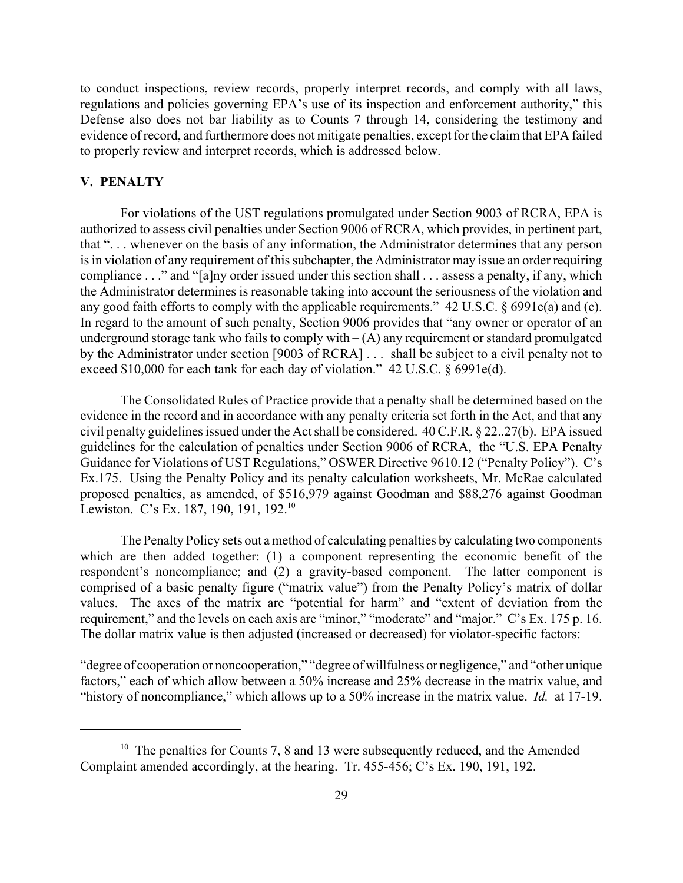to conduct inspections, review records, properly interpret records, and comply with all laws, regulations and policies governing EPA's use of its inspection and enforcement authority," this Defense also does not bar liability as to Counts 7 through 14, considering the testimony and evidence of record, and furthermore does not mitigate penalties, except for the claim that EPA failed to properly review and interpret records, which is addressed below.

# **V. PENALTY**

For violations of the UST regulations promulgated under Section 9003 of RCRA, EPA is authorized to assess civil penalties under Section 9006 of RCRA, which provides, in pertinent part, that ". . . whenever on the basis of any information, the Administrator determines that any person is in violation of any requirement of this subchapter, the Administrator may issue an order requiring compliance . . ." and "[a]ny order issued under this section shall . . . assess a penalty, if any, which the Administrator determines is reasonable taking into account the seriousness of the violation and any good faith efforts to comply with the applicable requirements." 42 U.S.C. § 6991e(a) and (c). In regard to the amount of such penalty, Section 9006 provides that "any owner or operator of an underground storage tank who fails to comply with  $-(A)$  any requirement or standard promulgated by the Administrator under section [9003 of RCRA] . . . shall be subject to a civil penalty not to exceed \$10,000 for each tank for each day of violation." 42 U.S.C. § 6991e(d).

The Consolidated Rules of Practice provide that a penalty shall be determined based on the evidence in the record and in accordance with any penalty criteria set forth in the Act, and that any civil penalty guidelines issued under the Act shall be considered. 40 C.F.R. § 22..27(b). EPA issued guidelines for the calculation of penalties under Section 9006 of RCRA, the "U.S. EPA Penalty Guidance for Violations of UST Regulations," OSWER Directive 9610.12 ("Penalty Policy"). C's Ex.175. Using the Penalty Policy and its penalty calculation worksheets, Mr. McRae calculated proposed penalties, as amended, of \$516,979 against Goodman and \$88,276 against Goodman Lewiston. C's Ex. 187, 190, 191, 192.<sup>10</sup>

The Penalty Policy sets out a method of calculating penalties by calculating two components which are then added together: (1) a component representing the economic benefit of the respondent's noncompliance; and (2) a gravity-based component. The latter component is comprised of a basic penalty figure ("matrix value") from the Penalty Policy's matrix of dollar values. The axes of the matrix are "potential for harm" and "extent of deviation from the requirement," and the levels on each axis are "minor," "moderate" and "major." C's Ex. 175 p. 16. The dollar matrix value is then adjusted (increased or decreased) for violator-specific factors:

"degree of cooperation or noncooperation," "degree of willfulness or negligence," and "other unique factors," each of which allow between a 50% increase and 25% decrease in the matrix value, and "history of noncompliance," which allows up to a 50% increase in the matrix value. *Id.* at 17-19.

<sup>&</sup>lt;sup>10</sup> The penalties for Counts 7, 8 and 13 were subsequently reduced, and the Amended Complaint amended accordingly, at the hearing. Tr. 455-456; C's Ex. 190, 191, 192.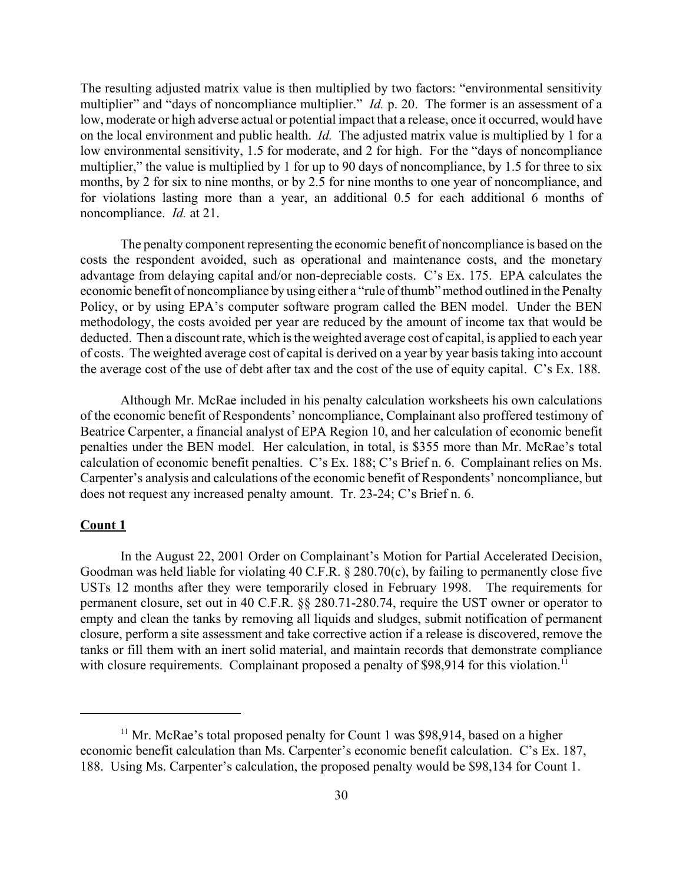The resulting adjusted matrix value is then multiplied by two factors: "environmental sensitivity multiplier" and "days of noncompliance multiplier." *Id.* p. 20. The former is an assessment of a low, moderate or high adverse actual or potential impact that a release, once it occurred, would have on the local environment and public health. *Id.* The adjusted matrix value is multiplied by 1 for a low environmental sensitivity, 1.5 for moderate, and 2 for high. For the "days of noncompliance multiplier," the value is multiplied by 1 for up to 90 days of noncompliance, by 1.5 for three to six months, by 2 for six to nine months, or by 2.5 for nine months to one year of noncompliance, and for violations lasting more than a year, an additional 0.5 for each additional 6 months of noncompliance. *Id.* at 21.

The penalty component representing the economic benefit of noncompliance is based on the costs the respondent avoided, such as operational and maintenance costs, and the monetary advantage from delaying capital and/or non-depreciable costs. C's Ex. 175. EPA calculates the economic benefit of noncompliance by using either a "rule of thumb" method outlined in the Penalty Policy, or by using EPA's computer software program called the BEN model. Under the BEN methodology, the costs avoided per year are reduced by the amount of income tax that would be deducted. Then a discount rate, which is the weighted average cost of capital, is applied to each year of costs. The weighted average cost of capital is derived on a year by year basis taking into account the average cost of the use of debt after tax and the cost of the use of equity capital. C's Ex. 188.

Although Mr. McRae included in his penalty calculation worksheets his own calculations of the economic benefit of Respondents' noncompliance, Complainant also proffered testimony of Beatrice Carpenter, a financial analyst of EPA Region 10, and her calculation of economic benefit penalties under the BEN model. Her calculation, in total, is \$355 more than Mr. McRae's total calculation of economic benefit penalties. C's Ex. 188; C's Brief n. 6. Complainant relies on Ms. Carpenter's analysis and calculations of the economic benefit of Respondents' noncompliance, but does not request any increased penalty amount. Tr. 23-24; C's Brief n. 6.

### **Count 1**

In the August 22, 2001 Order on Complainant's Motion for Partial Accelerated Decision, Goodman was held liable for violating 40 C.F.R. § 280.70(c), by failing to permanently close five USTs 12 months after they were temporarily closed in February 1998. The requirements for permanent closure, set out in 40 C.F.R. §§ 280.71-280.74, require the UST owner or operator to empty and clean the tanks by removing all liquids and sludges, submit notification of permanent closure, perform a site assessment and take corrective action if a release is discovered, remove the tanks or fill them with an inert solid material, and maintain records that demonstrate compliance with closure requirements. Complainant proposed a penalty of  $$98,914$  for this violation.<sup>11</sup>

 $11$  Mr. McRae's total proposed penalty for Count 1 was \$98,914, based on a higher economic benefit calculation than Ms. Carpenter's economic benefit calculation. C's Ex. 187, 188. Using Ms. Carpenter's calculation, the proposed penalty would be \$98,134 for Count 1.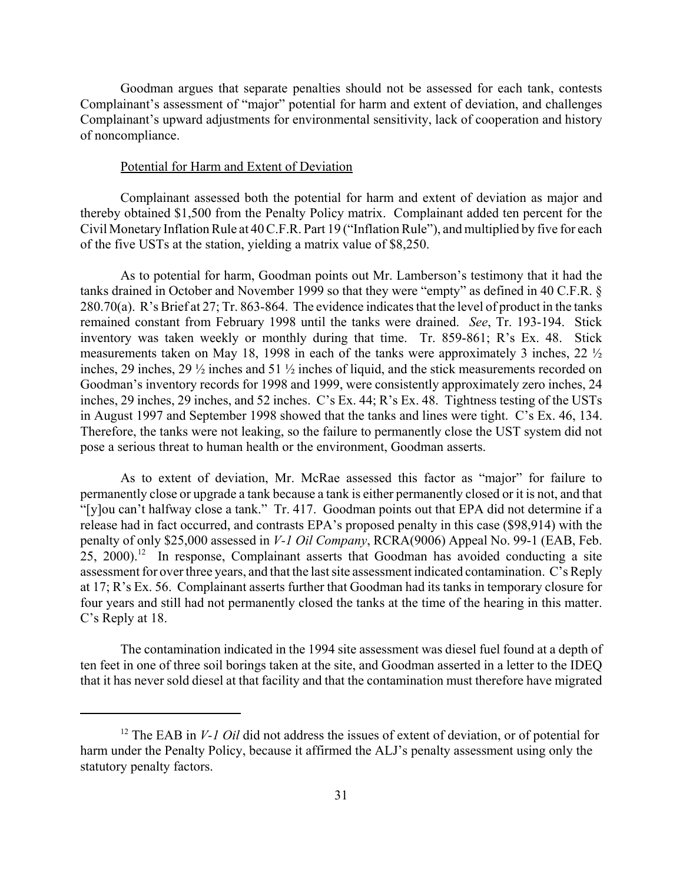Goodman argues that separate penalties should not be assessed for each tank, contests Complainant's assessment of "major" potential for harm and extent of deviation, and challenges Complainant's upward adjustments for environmental sensitivity, lack of cooperation and history of noncompliance.

# Potential for Harm and Extent of Deviation

Complainant assessed both the potential for harm and extent of deviation as major and thereby obtained \$1,500 from the Penalty Policy matrix. Complainant added ten percent for the Civil Monetary Inflation Rule at 40 C.F.R. Part 19 ("Inflation Rule"), and multiplied by five for each of the five USTs at the station, yielding a matrix value of \$8,250.

As to potential for harm, Goodman points out Mr. Lamberson's testimony that it had the tanks drained in October and November 1999 so that they were "empty" as defined in 40 C.F.R. § 280.70(a). R's Brief at 27; Tr. 863-864. The evidence indicates that the level of product in the tanks remained constant from February 1998 until the tanks were drained. *See*, Tr. 193-194. Stick inventory was taken weekly or monthly during that time. Tr. 859-861; R's Ex. 48. Stick measurements taken on May 18, 1998 in each of the tanks were approximately 3 inches, 22 ½ inches, 29 inches, 29 ½ inches and 51 ½ inches of liquid, and the stick measurements recorded on Goodman's inventory records for 1998 and 1999, were consistently approximately zero inches, 24 inches, 29 inches, 29 inches, and 52 inches. C's Ex. 44; R's Ex. 48. Tightness testing of the USTs in August 1997 and September 1998 showed that the tanks and lines were tight. C's Ex. 46, 134. Therefore, the tanks were not leaking, so the failure to permanently close the UST system did not pose a serious threat to human health or the environment, Goodman asserts.

As to extent of deviation, Mr. McRae assessed this factor as "major" for failure to permanently close or upgrade a tank because a tank is either permanently closed or it is not, and that "[y]ou can't halfway close a tank." Tr. 417. Goodman points out that EPA did not determine if a release had in fact occurred, and contrasts EPA's proposed penalty in this case (\$98,914) with the penalty of only \$25,000 assessed in *V-1 Oil Company*, RCRA(9006) Appeal No. 99-1 (EAB, Feb.  $25$ ,  $2000$ .<sup>12</sup> In response, Complainant asserts that Goodman has avoided conducting a site assessment for over three years, and that the last site assessment indicated contamination. C's Reply at 17; R's Ex. 56. Complainant asserts further that Goodman had its tanks in temporary closure for four years and still had not permanently closed the tanks at the time of the hearing in this matter. C's Reply at 18.

The contamination indicated in the 1994 site assessment was diesel fuel found at a depth of ten feet in one of three soil borings taken at the site, and Goodman asserted in a letter to the IDEQ that it has never sold diesel at that facility and that the contamination must therefore have migrated

<sup>&</sup>lt;sup>12</sup> The EAB in *V-1 Oil* did not address the issues of extent of deviation, or of potential for harm under the Penalty Policy, because it affirmed the ALJ's penalty assessment using only the statutory penalty factors.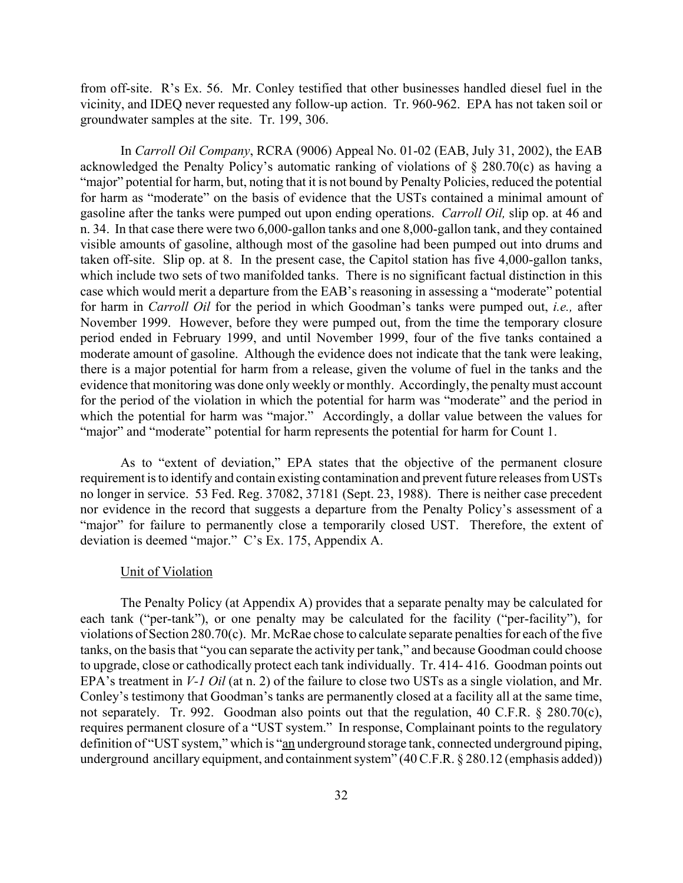from off-site. R's Ex. 56. Mr. Conley testified that other businesses handled diesel fuel in the vicinity, and IDEQ never requested any follow-up action. Tr. 960-962. EPA has not taken soil or groundwater samples at the site. Tr. 199, 306.

In *Carroll Oil Company*, RCRA (9006) Appeal No. 01-02 (EAB, July 31, 2002), the EAB acknowledged the Penalty Policy's automatic ranking of violations of § 280.70(c) as having a "major" potential for harm, but, noting that it is not bound by Penalty Policies, reduced the potential for harm as "moderate" on the basis of evidence that the USTs contained a minimal amount of gasoline after the tanks were pumped out upon ending operations. *Carroll Oil,* slip op. at 46 and n. 34. In that case there were two 6,000-gallon tanks and one 8,000-gallon tank, and they contained visible amounts of gasoline, although most of the gasoline had been pumped out into drums and taken off-site. Slip op. at 8. In the present case, the Capitol station has five 4,000-gallon tanks, which include two sets of two manifolded tanks. There is no significant factual distinction in this case which would merit a departure from the EAB's reasoning in assessing a "moderate" potential for harm in *Carroll Oil* for the period in which Goodman's tanks were pumped out, *i.e.,* after November 1999. However, before they were pumped out, from the time the temporary closure period ended in February 1999, and until November 1999, four of the five tanks contained a moderate amount of gasoline. Although the evidence does not indicate that the tank were leaking, there is a major potential for harm from a release, given the volume of fuel in the tanks and the evidence that monitoring was done only weekly or monthly. Accordingly, the penalty must account for the period of the violation in which the potential for harm was "moderate" and the period in which the potential for harm was "major." Accordingly, a dollar value between the values for "major" and "moderate" potential for harm represents the potential for harm for Count 1.

As to "extent of deviation," EPA states that the objective of the permanent closure requirement is to identify and contain existing contamination and prevent future releases from USTs no longer in service. 53 Fed. Reg. 37082, 37181 (Sept. 23, 1988). There is neither case precedent nor evidence in the record that suggests a departure from the Penalty Policy's assessment of a "major" for failure to permanently close a temporarily closed UST. Therefore, the extent of deviation is deemed "major." C's Ex. 175, Appendix A.

#### Unit of Violation

The Penalty Policy (at Appendix A) provides that a separate penalty may be calculated for each tank ("per-tank"), or one penalty may be calculated for the facility ("per-facility"), for violations of Section 280.70(c). Mr. McRae chose to calculate separate penalties for each of the five tanks, on the basis that "you can separate the activity per tank," and because Goodman could choose to upgrade, close or cathodically protect each tank individually. Tr. 414- 416. Goodman points out EPA's treatment in *V-1 Oil* (at n. 2) of the failure to close two USTs as a single violation, and Mr. Conley's testimony that Goodman's tanks are permanently closed at a facility all at the same time, not separately. Tr. 992. Goodman also points out that the regulation, 40 C.F.R. § 280.70(c), requires permanent closure of a "UST system." In response, Complainant points to the regulatory definition of "UST system," which is "an underground storage tank, connected underground piping, underground ancillary equipment, and containment system" (40 C.F.R. § 280.12 (emphasis added))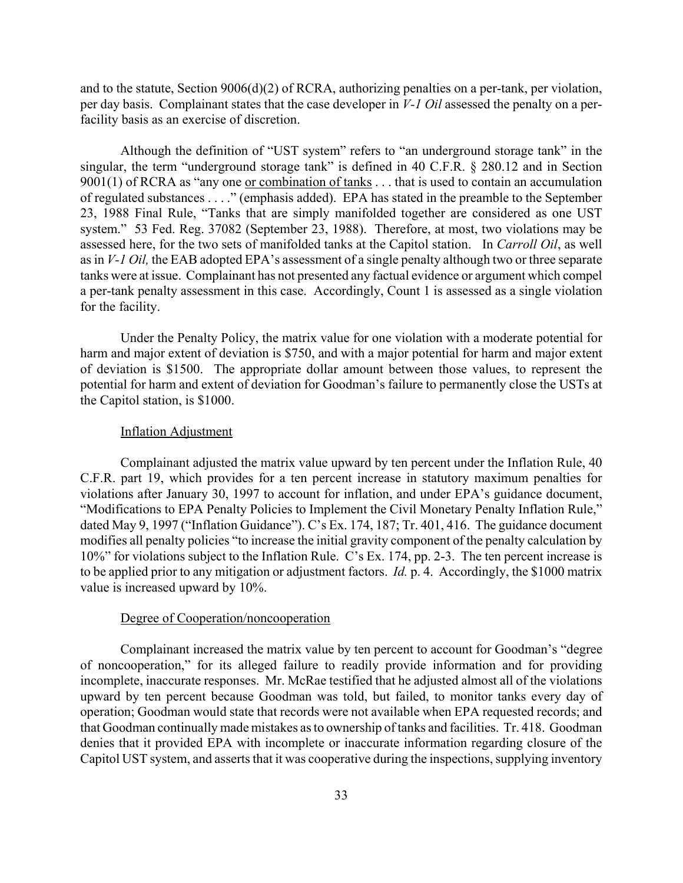and to the statute, Section 9006(d)(2) of RCRA, authorizing penalties on a per-tank, per violation, per day basis. Complainant states that the case developer in *V-1 Oil* assessed the penalty on a perfacility basis as an exercise of discretion.

Although the definition of "UST system" refers to "an underground storage tank" in the singular, the term "underground storage tank" is defined in 40 C.F.R. § 280.12 and in Section 9001(1) of RCRA as "any one or combination of tanks . . . that is used to contain an accumulation of regulated substances . . . ." (emphasis added). EPA has stated in the preamble to the September 23, 1988 Final Rule, "Tanks that are simply manifolded together are considered as one UST system." 53 Fed. Reg. 37082 (September 23, 1988). Therefore, at most, two violations may be assessed here, for the two sets of manifolded tanks at the Capitol station. In *Carroll Oil*, as well as in *V-1 Oil,* the EAB adopted EPA's assessment of a single penalty although two or three separate tanks were at issue. Complainant has not presented any factual evidence or argument which compel a per-tank penalty assessment in this case. Accordingly, Count 1 is assessed as a single violation for the facility.

Under the Penalty Policy, the matrix value for one violation with a moderate potential for harm and major extent of deviation is \$750, and with a major potential for harm and major extent of deviation is \$1500. The appropriate dollar amount between those values, to represent the potential for harm and extent of deviation for Goodman's failure to permanently close the USTs at the Capitol station, is \$1000.

#### Inflation Adjustment

Complainant adjusted the matrix value upward by ten percent under the Inflation Rule, 40 C.F.R. part 19, which provides for a ten percent increase in statutory maximum penalties for violations after January 30, 1997 to account for inflation, and under EPA's guidance document, "Modifications to EPA Penalty Policies to Implement the Civil Monetary Penalty Inflation Rule," dated May 9, 1997 ("Inflation Guidance"). C's Ex. 174, 187; Tr. 401, 416. The guidance document modifies all penalty policies "to increase the initial gravity component of the penalty calculation by 10%" for violations subject to the Inflation Rule. C's Ex. 174, pp. 2-3. The ten percent increase is to be applied prior to any mitigation or adjustment factors. *Id.* p. 4. Accordingly, the \$1000 matrix value is increased upward by 10%.

### Degree of Cooperation/noncooperation

Complainant increased the matrix value by ten percent to account for Goodman's "degree of noncooperation," for its alleged failure to readily provide information and for providing incomplete, inaccurate responses. Mr. McRae testified that he adjusted almost all of the violations upward by ten percent because Goodman was told, but failed, to monitor tanks every day of operation; Goodman would state that records were not available when EPA requested records; and that Goodman continually made mistakes as to ownership of tanks and facilities. Tr. 418. Goodman denies that it provided EPA with incomplete or inaccurate information regarding closure of the Capitol UST system, and asserts that it was cooperative during the inspections, supplying inventory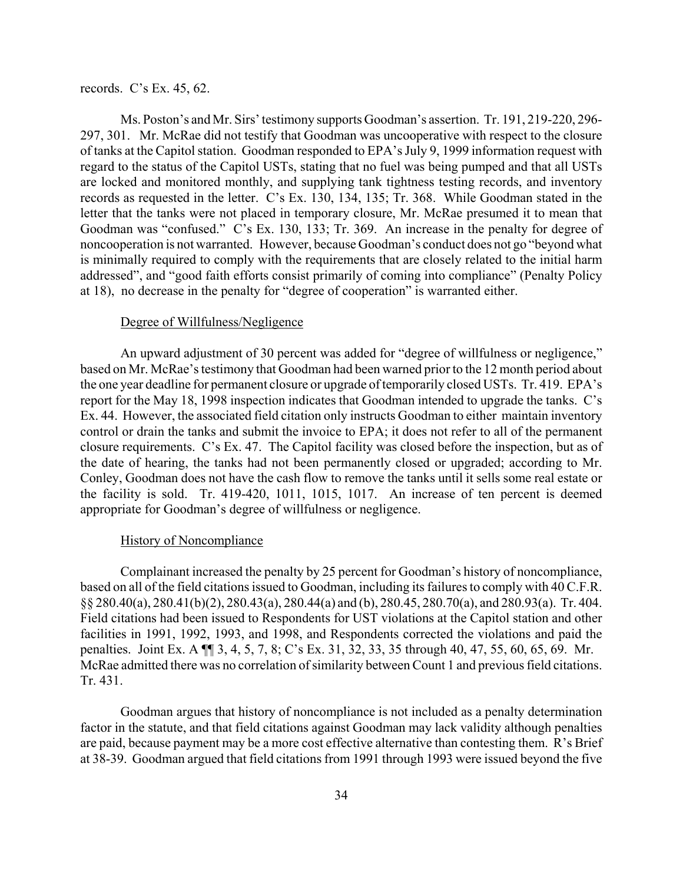### records. C's Ex. 45, 62.

Ms. Poston's and Mr. Sirs' testimony supports Goodman's assertion. Tr. 191, 219-220, 296- 297, 301. Mr. McRae did not testify that Goodman was uncooperative with respect to the closure of tanks at the Capitol station. Goodman responded to EPA's July 9, 1999 information request with regard to the status of the Capitol USTs, stating that no fuel was being pumped and that all USTs are locked and monitored monthly, and supplying tank tightness testing records, and inventory records as requested in the letter. C's Ex. 130, 134, 135; Tr. 368. While Goodman stated in the letter that the tanks were not placed in temporary closure, Mr. McRae presumed it to mean that Goodman was "confused." C's Ex. 130, 133; Tr. 369. An increase in the penalty for degree of noncooperation is not warranted. However, because Goodman's conduct does not go "beyond what is minimally required to comply with the requirements that are closely related to the initial harm addressed", and "good faith efforts consist primarily of coming into compliance" (Penalty Policy at 18), no decrease in the penalty for "degree of cooperation" is warranted either.

#### Degree of Willfulness/Negligence

An upward adjustment of 30 percent was added for "degree of willfulness or negligence," based on Mr. McRae's testimony that Goodman had been warned prior to the 12 month period about the one year deadline for permanent closure or upgrade of temporarily closed USTs. Tr. 419. EPA's report for the May 18, 1998 inspection indicates that Goodman intended to upgrade the tanks. C's Ex. 44. However, the associated field citation only instructs Goodman to either maintain inventory control or drain the tanks and submit the invoice to EPA; it does not refer to all of the permanent closure requirements. C's Ex. 47. The Capitol facility was closed before the inspection, but as of the date of hearing, the tanks had not been permanently closed or upgraded; according to Mr. Conley, Goodman does not have the cash flow to remove the tanks until it sells some real estate or the facility is sold. Tr. 419-420, 1011, 1015, 1017. An increase of ten percent is deemed appropriate for Goodman's degree of willfulness or negligence.

#### History of Noncompliance

Complainant increased the penalty by 25 percent for Goodman's history of noncompliance, based on all of the field citations issued to Goodman, including its failures to comply with 40 C.F.R. §§ 280.40(a), 280.41(b)(2), 280.43(a), 280.44(a) and (b), 280.45, 280.70(a), and 280.93(a). Tr. 404. Field citations had been issued to Respondents for UST violations at the Capitol station and other facilities in 1991, 1992, 1993, and 1998, and Respondents corrected the violations and paid the penalties. Joint Ex. A ¶¶ 3, 4, 5, 7, 8; C's Ex. 31, 32, 33, 35 through 40, 47, 55, 60, 65, 69. Mr. McRae admitted there was no correlation of similarity between Count 1 and previous field citations. Tr. 431.

Goodman argues that history of noncompliance is not included as a penalty determination factor in the statute, and that field citations against Goodman may lack validity although penalties are paid, because payment may be a more cost effective alternative than contesting them. R's Brief at 38-39. Goodman argued that field citations from 1991 through 1993 were issued beyond the five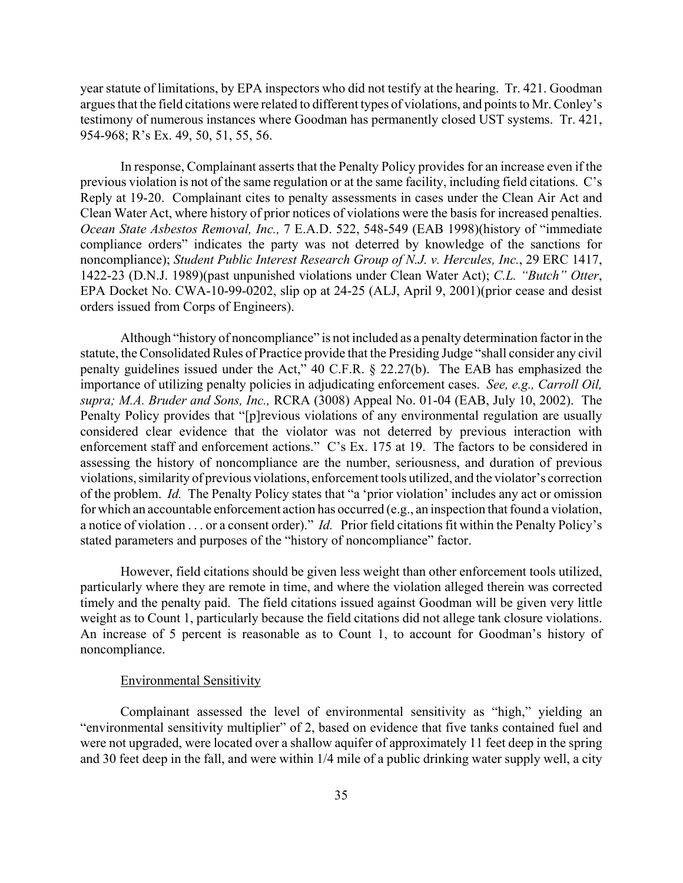year statute of limitations, by EPA inspectors who did not testify at the hearing. Tr. 421. Goodman argues that the field citations were related to different types of violations, and points to Mr. Conley's testimony of numerous instances where Goodman has permanently closed UST systems. Tr. 421, 954-968; R's Ex. 49, 50, 51, 55, 56.

In response, Complainant asserts that the Penalty Policy provides for an increase even if the previous violation is not of the same regulation or at the same facility, including field citations. C's Reply at 19-20. Complainant cites to penalty assessments in cases under the Clean Air Act and Clean Water Act, where history of prior notices of violations were the basis for increased penalties. *Ocean State Asbestos Removal, Inc.,* 7 E.A.D. 522, 548-549 (EAB 1998)(history of "immediate compliance orders" indicates the party was not deterred by knowledge of the sanctions for noncompliance); *Student Public Interest Research Group of N.J. v. Hercules, Inc.*, 29 ERC 1417, 1422-23 (D.N.J. 1989)(past unpunished violations under Clean Water Act); *C.L. "Butch" Otter*, EPA Docket No. CWA-10-99-0202, slip op at 24-25 (ALJ, April 9, 2001)(prior cease and desist orders issued from Corps of Engineers).

Although "history of noncompliance" is not included as a penalty determination factor in the statute, the Consolidated Rules of Practice provide that the Presiding Judge "shall consider any civil penalty guidelines issued under the Act," 40 C.F.R. § 22.27(b). The EAB has emphasized the importance of utilizing penalty policies in adjudicating enforcement cases. *See, e.g., Carroll Oil, supra; M.A. Bruder and Sons, Inc.,* RCRA (3008) Appeal No. 01-04 (EAB, July 10, 2002). The Penalty Policy provides that "[p]revious violations of any environmental regulation are usually considered clear evidence that the violator was not deterred by previous interaction with enforcement staff and enforcement actions." C's Ex. 175 at 19. The factors to be considered in assessing the history of noncompliance are the number, seriousness, and duration of previous violations, similarity of previous violations, enforcement tools utilized, and the violator's correction of the problem. *Id.* The Penalty Policy states that "a 'prior violation' includes any act or omission for which an accountable enforcement action has occurred (e.g., an inspection that found a violation, a notice of violation . . . or a consent order)." *Id.* Prior field citations fit within the Penalty Policy's stated parameters and purposes of the "history of noncompliance" factor.

However, field citations should be given less weight than other enforcement tools utilized, particularly where they are remote in time, and where the violation alleged therein was corrected timely and the penalty paid. The field citations issued against Goodman will be given very little weight as to Count 1, particularly because the field citations did not allege tank closure violations. An increase of 5 percent is reasonable as to Count 1, to account for Goodman's history of noncompliance.

#### Environmental Sensitivity

Complainant assessed the level of environmental sensitivity as "high," yielding an "environmental sensitivity multiplier" of 2, based on evidence that five tanks contained fuel and were not upgraded, were located over a shallow aquifer of approximately 11 feet deep in the spring and 30 feet deep in the fall, and were within 1/4 mile of a public drinking water supply well, a city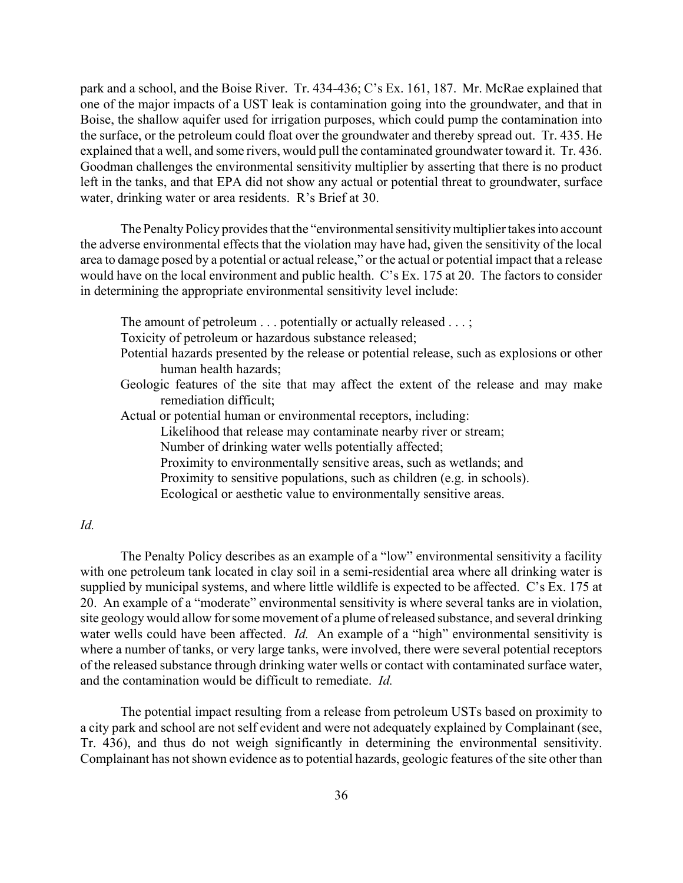park and a school, and the Boise River. Tr. 434-436; C's Ex. 161, 187. Mr. McRae explained that one of the major impacts of a UST leak is contamination going into the groundwater, and that in Boise, the shallow aquifer used for irrigation purposes, which could pump the contamination into the surface, or the petroleum could float over the groundwater and thereby spread out. Tr. 435. He explained that a well, and some rivers, would pull the contaminated groundwater toward it. Tr. 436. Goodman challenges the environmental sensitivity multiplier by asserting that there is no product left in the tanks, and that EPA did not show any actual or potential threat to groundwater, surface water, drinking water or area residents. R's Brief at 30.

The Penalty Policy provides that the "environmental sensitivity multiplier takes into account the adverse environmental effects that the violation may have had, given the sensitivity of the local area to damage posed by a potential or actual release," or the actual or potential impact that a release would have on the local environment and public health. C's Ex. 175 at 20. The factors to consider in determining the appropriate environmental sensitivity level include:

The amount of petroleum . . . potentially or actually released . . . ;

Toxicity of petroleum or hazardous substance released;

- Potential hazards presented by the release or potential release, such as explosions or other human health hazards;
- Geologic features of the site that may affect the extent of the release and may make remediation difficult;

Actual or potential human or environmental receptors, including:

Likelihood that release may contaminate nearby river or stream;

Number of drinking water wells potentially affected;

Proximity to environmentally sensitive areas, such as wetlands; and

Proximity to sensitive populations, such as children (e.g. in schools).

Ecological or aesthetic value to environmentally sensitive areas.

## *Id.*

The Penalty Policy describes as an example of a "low" environmental sensitivity a facility with one petroleum tank located in clay soil in a semi-residential area where all drinking water is supplied by municipal systems, and where little wildlife is expected to be affected. C's Ex. 175 at 20. An example of a "moderate" environmental sensitivity is where several tanks are in violation, site geology would allow for some movement of a plume of released substance, and several drinking water wells could have been affected. *Id.* An example of a "high" environmental sensitivity is where a number of tanks, or very large tanks, were involved, there were several potential receptors of the released substance through drinking water wells or contact with contaminated surface water, and the contamination would be difficult to remediate. *Id.* 

The potential impact resulting from a release from petroleum USTs based on proximity to a city park and school are not self evident and were not adequately explained by Complainant (see, Tr. 436), and thus do not weigh significantly in determining the environmental sensitivity. Complainant has not shown evidence as to potential hazards, geologic features of the site other than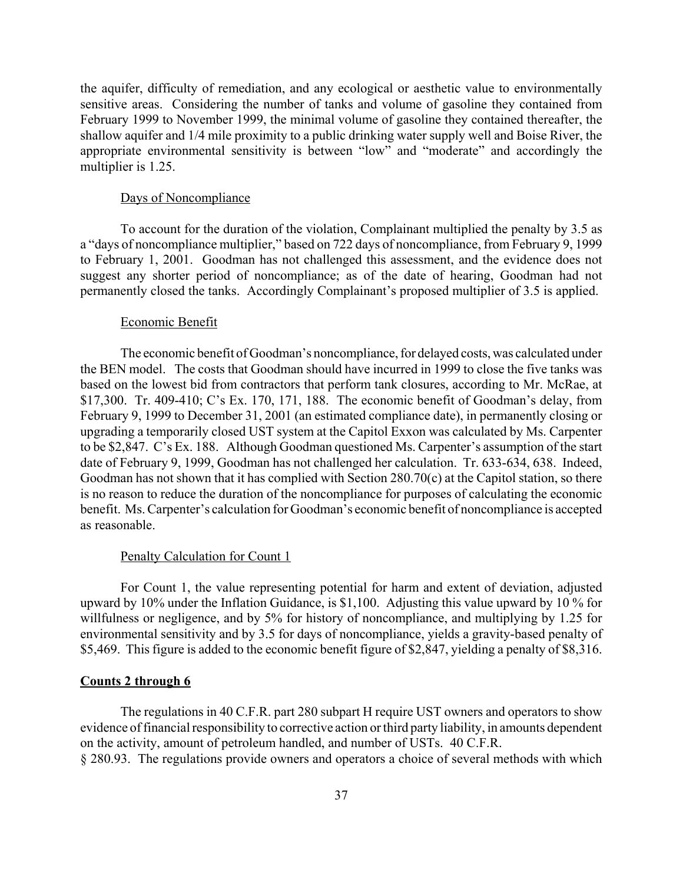the aquifer, difficulty of remediation, and any ecological or aesthetic value to environmentally sensitive areas. Considering the number of tanks and volume of gasoline they contained from February 1999 to November 1999, the minimal volume of gasoline they contained thereafter, the shallow aquifer and 1/4 mile proximity to a public drinking water supply well and Boise River, the appropriate environmental sensitivity is between "low" and "moderate" and accordingly the multiplier is 1.25.

#### Days of Noncompliance

To account for the duration of the violation, Complainant multiplied the penalty by 3.5 as a "days of noncompliance multiplier," based on 722 days of noncompliance, from February 9, 1999 to February 1, 2001. Goodman has not challenged this assessment, and the evidence does not suggest any shorter period of noncompliance; as of the date of hearing, Goodman had not permanently closed the tanks. Accordingly Complainant's proposed multiplier of 3.5 is applied.

#### Economic Benefit

The economic benefit of Goodman's noncompliance, for delayed costs, was calculated under the BEN model. The costs that Goodman should have incurred in 1999 to close the five tanks was based on the lowest bid from contractors that perform tank closures, according to Mr. McRae, at \$17,300. Tr. 409-410; C's Ex. 170, 171, 188. The economic benefit of Goodman's delay, from February 9, 1999 to December 31, 2001 (an estimated compliance date), in permanently closing or upgrading a temporarily closed UST system at the Capitol Exxon was calculated by Ms. Carpenter to be \$2,847. C's Ex. 188. Although Goodman questioned Ms. Carpenter's assumption of the start date of February 9, 1999, Goodman has not challenged her calculation. Tr. 633-634, 638. Indeed, Goodman has not shown that it has complied with Section 280.70(c) at the Capitol station, so there is no reason to reduce the duration of the noncompliance for purposes of calculating the economic benefit. Ms. Carpenter's calculation for Goodman's economic benefit of noncompliance is accepted as reasonable.

#### Penalty Calculation for Count 1

For Count 1, the value representing potential for harm and extent of deviation, adjusted upward by 10% under the Inflation Guidance, is \$1,100. Adjusting this value upward by 10 % for willfulness or negligence, and by 5% for history of noncompliance, and multiplying by 1.25 for environmental sensitivity and by 3.5 for days of noncompliance, yields a gravity-based penalty of \$5,469. This figure is added to the economic benefit figure of \$2,847, yielding a penalty of \$8,316.

## **Counts 2 through 6**

The regulations in 40 C.F.R. part 280 subpart H require UST owners and operators to show evidence of financial responsibility to corrective action or third party liability, in amounts dependent on the activity, amount of petroleum handled, and number of USTs. 40 C.F.R.

§ 280.93. The regulations provide owners and operators a choice of several methods with which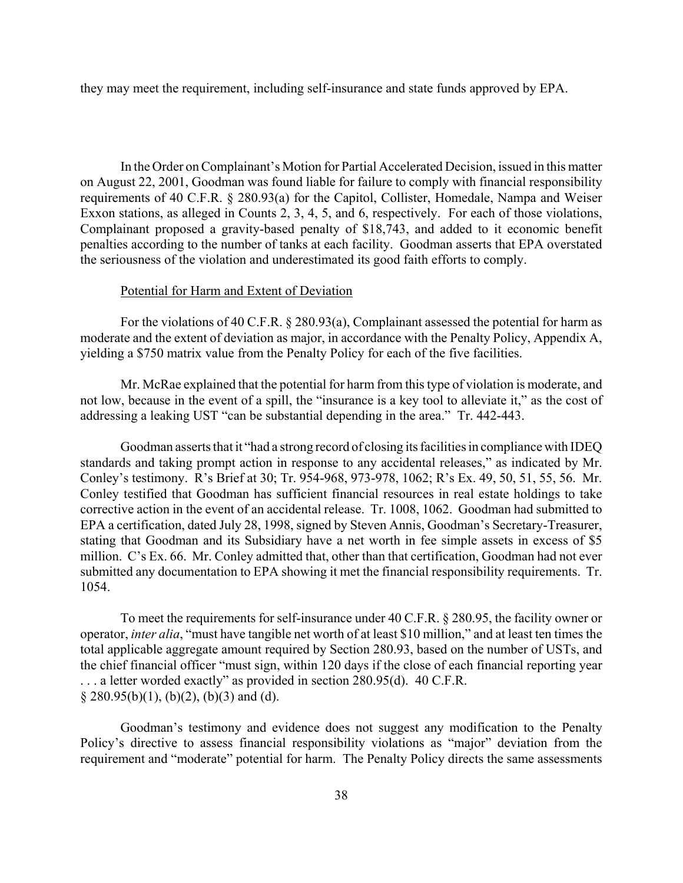they may meet the requirement, including self-insurance and state funds approved by EPA.

In the Order on Complainant's Motion for Partial Accelerated Decision, issued in this matter on August 22, 2001, Goodman was found liable for failure to comply with financial responsibility requirements of 40 C.F.R. § 280.93(a) for the Capitol, Collister, Homedale, Nampa and Weiser Exxon stations, as alleged in Counts 2, 3, 4, 5, and 6, respectively. For each of those violations, Complainant proposed a gravity-based penalty of \$18,743, and added to it economic benefit penalties according to the number of tanks at each facility. Goodman asserts that EPA overstated the seriousness of the violation and underestimated its good faith efforts to comply.

# Potential for Harm and Extent of Deviation

For the violations of 40 C.F.R. § 280.93(a), Complainant assessed the potential for harm as moderate and the extent of deviation as major, in accordance with the Penalty Policy, Appendix A, yielding a \$750 matrix value from the Penalty Policy for each of the five facilities.

Mr. McRae explained that the potential for harm from this type of violation is moderate, and not low, because in the event of a spill, the "insurance is a key tool to alleviate it," as the cost of addressing a leaking UST "can be substantial depending in the area." Tr. 442-443.

Goodman asserts that it "had a strong record of closing its facilities in compliance with IDEQ standards and taking prompt action in response to any accidental releases," as indicated by Mr. Conley's testimony. R's Brief at 30; Tr. 954-968, 973-978, 1062; R's Ex. 49, 50, 51, 55, 56. Mr. Conley testified that Goodman has sufficient financial resources in real estate holdings to take corrective action in the event of an accidental release. Tr. 1008, 1062. Goodman had submitted to EPA a certification, dated July 28, 1998, signed by Steven Annis, Goodman's Secretary-Treasurer, stating that Goodman and its Subsidiary have a net worth in fee simple assets in excess of \$5 million. C's Ex. 66. Mr. Conley admitted that, other than that certification, Goodman had not ever submitted any documentation to EPA showing it met the financial responsibility requirements. Tr. 1054.

To meet the requirements for self-insurance under 40 C.F.R. § 280.95, the facility owner or operator, *inter alia*, "must have tangible net worth of at least \$10 million," and at least ten times the total applicable aggregate amount required by Section 280.93, based on the number of USTs, and the chief financial officer "must sign, within 120 days if the close of each financial reporting year . . . a letter worded exactly" as provided in section 280.95(d). 40 C.F.R.  $\S$  280.95(b)(1), (b)(2), (b)(3) and (d).

Goodman's testimony and evidence does not suggest any modification to the Penalty Policy's directive to assess financial responsibility violations as "major" deviation from the requirement and "moderate" potential for harm. The Penalty Policy directs the same assessments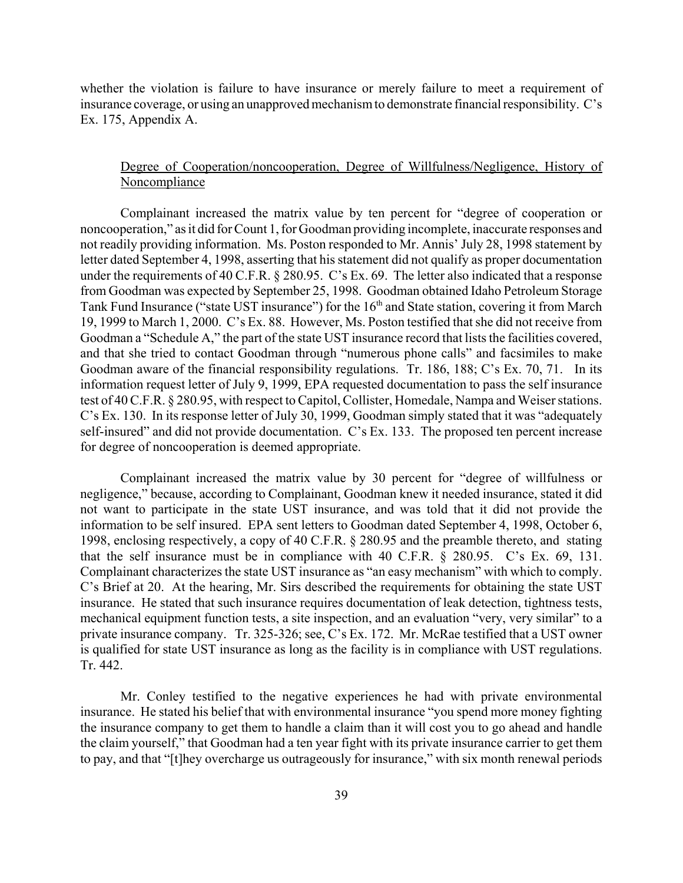whether the violation is failure to have insurance or merely failure to meet a requirement of insurance coverage, or using an unapproved mechanism to demonstrate financial responsibility. C's Ex. 175, Appendix A.

# Degree of Cooperation/noncooperation, Degree of Willfulness/Negligence, History of **Noncompliance**

Complainant increased the matrix value by ten percent for "degree of cooperation or noncooperation," as it did for Count 1, for Goodman providing incomplete, inaccurate responses and not readily providing information. Ms. Poston responded to Mr. Annis' July 28, 1998 statement by letter dated September 4, 1998, asserting that his statement did not qualify as proper documentation under the requirements of 40 C.F.R. § 280.95. C's Ex. 69. The letter also indicated that a response from Goodman was expected by September 25, 1998. Goodman obtained Idaho Petroleum Storage Tank Fund Insurance ("state UST insurance") for the 16<sup>th</sup> and State station, covering it from March 19, 1999 to March 1, 2000. C's Ex. 88. However, Ms. Poston testified that she did not receive from Goodman a "Schedule A," the part of the state UST insurance record that lists the facilities covered, and that she tried to contact Goodman through "numerous phone calls" and facsimiles to make Goodman aware of the financial responsibility regulations. Tr. 186, 188; C's Ex. 70, 71. In its information request letter of July 9, 1999, EPA requested documentation to pass the self insurance test of 40 C.F.R. § 280.95, with respect to Capitol, Collister, Homedale, Nampa and Weiser stations. C's Ex. 130. In its response letter of July 30, 1999, Goodman simply stated that it was "adequately self-insured" and did not provide documentation. C's Ex. 133. The proposed ten percent increase for degree of noncooperation is deemed appropriate.

Complainant increased the matrix value by 30 percent for "degree of willfulness or negligence," because, according to Complainant, Goodman knew it needed insurance, stated it did not want to participate in the state UST insurance, and was told that it did not provide the information to be self insured. EPA sent letters to Goodman dated September 4, 1998, October 6, 1998, enclosing respectively, a copy of 40 C.F.R. § 280.95 and the preamble thereto, and stating that the self insurance must be in compliance with 40 C.F.R. § 280.95. C's Ex. 69, 131. Complainant characterizes the state UST insurance as "an easy mechanism" with which to comply. C's Brief at 20. At the hearing, Mr. Sirs described the requirements for obtaining the state UST insurance. He stated that such insurance requires documentation of leak detection, tightness tests, mechanical equipment function tests, a site inspection, and an evaluation "very, very similar" to a private insurance company. Tr. 325-326; see, C's Ex. 172. Mr. McRae testified that a UST owner is qualified for state UST insurance as long as the facility is in compliance with UST regulations. Tr. 442.

Mr. Conley testified to the negative experiences he had with private environmental insurance. He stated his belief that with environmental insurance "you spend more money fighting the insurance company to get them to handle a claim than it will cost you to go ahead and handle the claim yourself," that Goodman had a ten year fight with its private insurance carrier to get them to pay, and that "[t]hey overcharge us outrageously for insurance," with six month renewal periods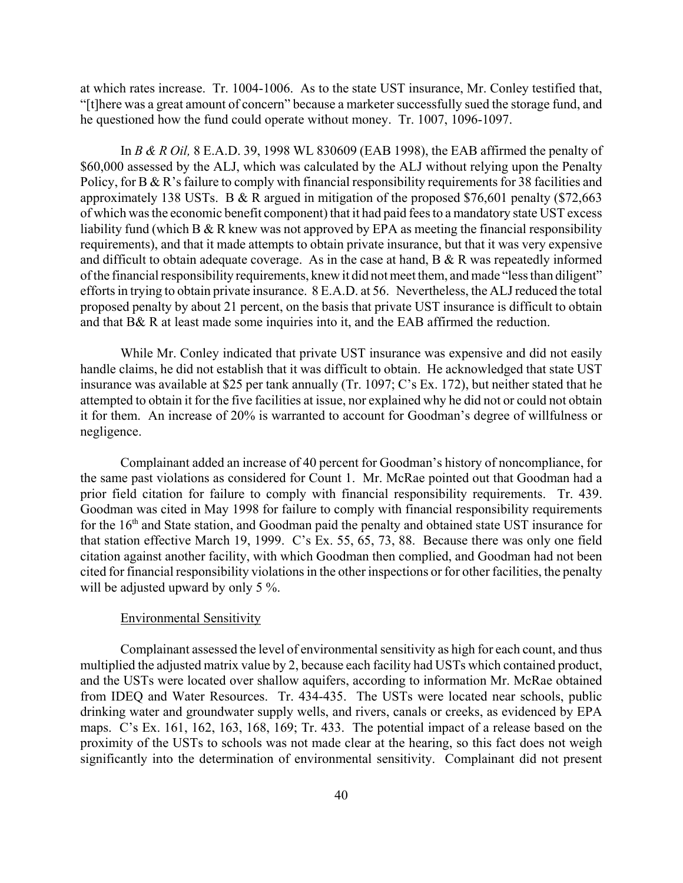at which rates increase. Tr. 1004-1006. As to the state UST insurance, Mr. Conley testified that, "[t]here was a great amount of concern" because a marketer successfully sued the storage fund, and he questioned how the fund could operate without money. Tr. 1007, 1096-1097.

In *B & R Oil,* 8 E.A.D. 39, 1998 WL 830609 (EAB 1998), the EAB affirmed the penalty of \$60,000 assessed by the ALJ, which was calculated by the ALJ without relying upon the Penalty Policy, for B & R's failure to comply with financial responsibility requirements for 38 facilities and approximately 138 USTs. B & R argued in mitigation of the proposed \$76,601 penalty (\$72,663 of which was the economic benefit component) that it had paid fees to a mandatory state UST excess liability fund (which B & R knew was not approved by EPA as meeting the financial responsibility requirements), and that it made attempts to obtain private insurance, but that it was very expensive and difficult to obtain adequate coverage. As in the case at hand, B & R was repeatedly informed of the financial responsibility requirements, knew it did not meet them, and made "less than diligent" efforts in trying to obtain private insurance. 8 E.A.D. at 56. Nevertheless, the ALJ reduced the total proposed penalty by about 21 percent, on the basis that private UST insurance is difficult to obtain and that B& R at least made some inquiries into it, and the EAB affirmed the reduction.

While Mr. Conley indicated that private UST insurance was expensive and did not easily handle claims, he did not establish that it was difficult to obtain. He acknowledged that state UST insurance was available at \$25 per tank annually (Tr. 1097; C's Ex. 172), but neither stated that he attempted to obtain it for the five facilities at issue, nor explained why he did not or could not obtain it for them. An increase of 20% is warranted to account for Goodman's degree of willfulness or negligence.

Complainant added an increase of 40 percent for Goodman's history of noncompliance, for the same past violations as considered for Count 1. Mr. McRae pointed out that Goodman had a prior field citation for failure to comply with financial responsibility requirements. Tr. 439. Goodman was cited in May 1998 for failure to comply with financial responsibility requirements for the 16<sup>th</sup> and State station, and Goodman paid the penalty and obtained state UST insurance for that station effective March 19, 1999. C's Ex. 55, 65, 73, 88. Because there was only one field citation against another facility, with which Goodman then complied, and Goodman had not been cited for financial responsibility violations in the other inspections or for other facilities, the penalty will be adjusted upward by only 5 %.

### Environmental Sensitivity

Complainant assessed the level of environmental sensitivity as high for each count, and thus multiplied the adjusted matrix value by 2, because each facility had USTs which contained product, and the USTs were located over shallow aquifers, according to information Mr. McRae obtained from IDEQ and Water Resources. Tr. 434-435. The USTs were located near schools, public drinking water and groundwater supply wells, and rivers, canals or creeks, as evidenced by EPA maps. C's Ex. 161, 162, 163, 168, 169; Tr. 433. The potential impact of a release based on the proximity of the USTs to schools was not made clear at the hearing, so this fact does not weigh significantly into the determination of environmental sensitivity. Complainant did not present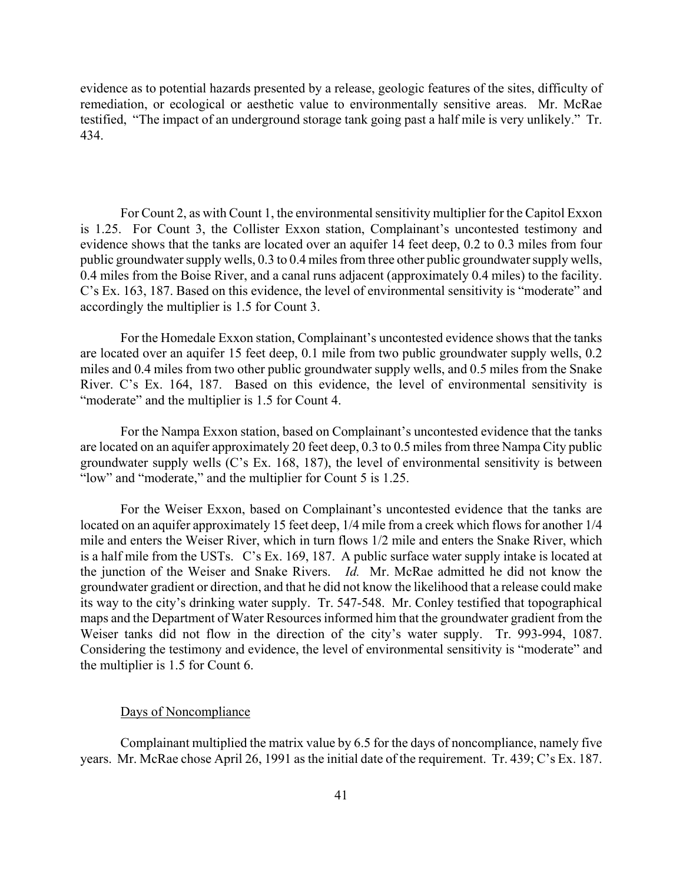evidence as to potential hazards presented by a release, geologic features of the sites, difficulty of remediation, or ecological or aesthetic value to environmentally sensitive areas. Mr. McRae testified, "The impact of an underground storage tank going past a half mile is very unlikely." Tr. 434.

For Count 2, as with Count 1, the environmental sensitivity multiplier for the Capitol Exxon is 1.25. For Count 3, the Collister Exxon station, Complainant's uncontested testimony and evidence shows that the tanks are located over an aquifer 14 feet deep, 0.2 to 0.3 miles from four public groundwater supply wells, 0.3 to 0.4 miles from three other public groundwater supply wells, 0.4 miles from the Boise River, and a canal runs adjacent (approximately 0.4 miles) to the facility. C's Ex. 163, 187. Based on this evidence, the level of environmental sensitivity is "moderate" and accordingly the multiplier is 1.5 for Count 3.

For the Homedale Exxon station, Complainant's uncontested evidence shows that the tanks are located over an aquifer 15 feet deep, 0.1 mile from two public groundwater supply wells, 0.2 miles and 0.4 miles from two other public groundwater supply wells, and 0.5 miles from the Snake River. C's Ex. 164, 187. Based on this evidence, the level of environmental sensitivity is "moderate" and the multiplier is 1.5 for Count 4.

For the Nampa Exxon station, based on Complainant's uncontested evidence that the tanks are located on an aquifer approximately 20 feet deep, 0.3 to 0.5 miles from three Nampa City public groundwater supply wells (C's Ex. 168, 187), the level of environmental sensitivity is between "low" and "moderate," and the multiplier for Count 5 is 1.25.

For the Weiser Exxon, based on Complainant's uncontested evidence that the tanks are located on an aquifer approximately 15 feet deep, 1/4 mile from a creek which flows for another 1/4 mile and enters the Weiser River, which in turn flows 1/2 mile and enters the Snake River, which is a half mile from the USTs. C's Ex. 169, 187. A public surface water supply intake is located at the junction of the Weiser and Snake Rivers. *Id.* Mr. McRae admitted he did not know the groundwater gradient or direction, and that he did not know the likelihood that a release could make its way to the city's drinking water supply. Tr. 547-548. Mr. Conley testified that topographical maps and the Department of Water Resources informed him that the groundwater gradient from the Weiser tanks did not flow in the direction of the city's water supply. Tr. 993-994, 1087. Considering the testimony and evidence, the level of environmental sensitivity is "moderate" and the multiplier is 1.5 for Count 6.

#### Days of Noncompliance

Complainant multiplied the matrix value by 6.5 for the days of noncompliance, namely five years. Mr. McRae chose April 26, 1991 as the initial date of the requirement. Tr. 439; C's Ex. 187.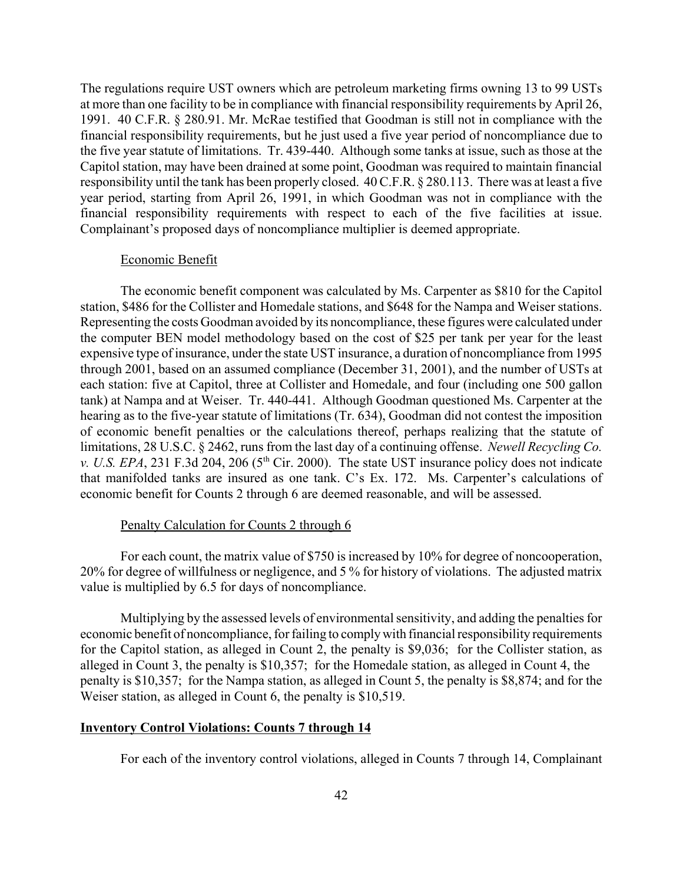The regulations require UST owners which are petroleum marketing firms owning 13 to 99 USTs at more than one facility to be in compliance with financial responsibility requirements by April 26, 1991. 40 C.F.R. § 280.91. Mr. McRae testified that Goodman is still not in compliance with the financial responsibility requirements, but he just used a five year period of noncompliance due to the five year statute of limitations. Tr. 439-440. Although some tanks at issue, such as those at the Capitol station, may have been drained at some point, Goodman was required to maintain financial responsibility until the tank has been properly closed. 40 C.F.R. § 280.113. There was at least a five year period, starting from April 26, 1991, in which Goodman was not in compliance with the financial responsibility requirements with respect to each of the five facilities at issue. Complainant's proposed days of noncompliance multiplier is deemed appropriate.

#### Economic Benefit

The economic benefit component was calculated by Ms. Carpenter as \$810 for the Capitol station, \$486 for the Collister and Homedale stations, and \$648 for the Nampa and Weiser stations. Representing the costs Goodman avoided by its noncompliance, these figures were calculated under the computer BEN model methodology based on the cost of \$25 per tank per year for the least expensive type of insurance, under the state UST insurance, a duration of noncompliance from 1995 through 2001, based on an assumed compliance (December 31, 2001), and the number of USTs at each station: five at Capitol, three at Collister and Homedale, and four (including one 500 gallon tank) at Nampa and at Weiser. Tr. 440-441. Although Goodman questioned Ms. Carpenter at the hearing as to the five-year statute of limitations (Tr. 634), Goodman did not contest the imposition of economic benefit penalties or the calculations thereof, perhaps realizing that the statute of limitations, 28 U.S.C. § 2462, runs from the last day of a continuing offense. *Newell Recycling Co. v. U.S. EPA*, 231 F.3d 204, 206 (5<sup>th</sup> Cir. 2000). The state UST insurance policy does not indicate that manifolded tanks are insured as one tank. C's Ex. 172. Ms. Carpenter's calculations of economic benefit for Counts 2 through 6 are deemed reasonable, and will be assessed.

#### Penalty Calculation for Counts 2 through 6

For each count, the matrix value of \$750 is increased by 10% for degree of noncooperation, 20% for degree of willfulness or negligence, and 5 % for history of violations. The adjusted matrix value is multiplied by 6.5 for days of noncompliance.

Multiplying by the assessed levels of environmental sensitivity, and adding the penalties for economic benefit of noncompliance, for failing to comply with financial responsibility requirements for the Capitol station, as alleged in Count 2, the penalty is \$9,036; for the Collister station, as alleged in Count 3, the penalty is \$10,357; for the Homedale station, as alleged in Count 4, the penalty is \$10,357; for the Nampa station, as alleged in Count 5, the penalty is \$8,874; and for the Weiser station, as alleged in Count 6, the penalty is \$10,519.

#### **Inventory Control Violations: Counts 7 through 14**

For each of the inventory control violations, alleged in Counts 7 through 14, Complainant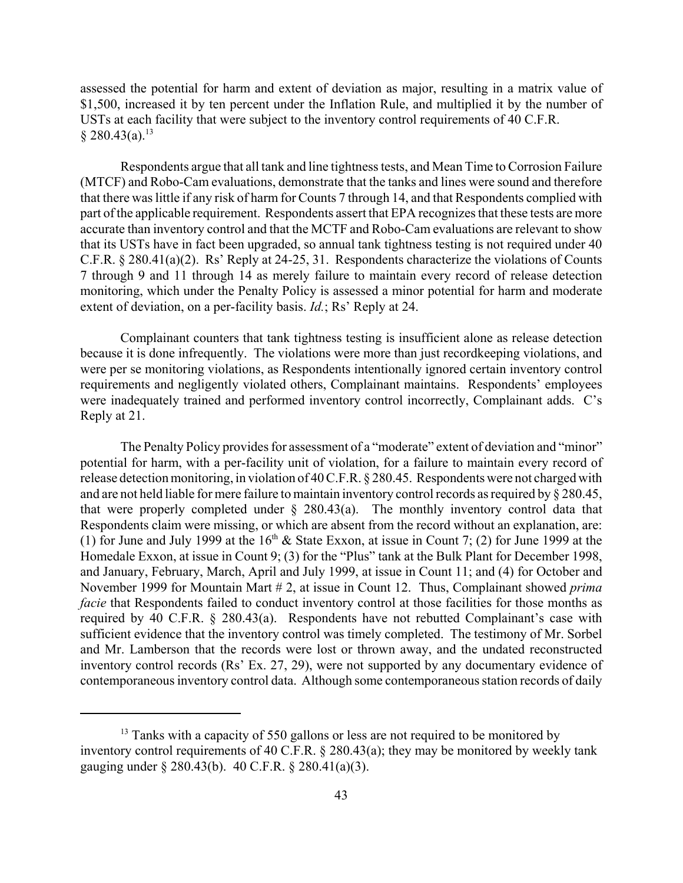assessed the potential for harm and extent of deviation as major, resulting in a matrix value of \$1,500, increased it by ten percent under the Inflation Rule, and multiplied it by the number of USTs at each facility that were subject to the inventory control requirements of 40 C.F.R.  $§ 280.43(a).$ <sup>13</sup>

Respondents argue that all tank and line tightness tests, and Mean Time to Corrosion Failure (MTCF) and Robo-Cam evaluations, demonstrate that the tanks and lines were sound and therefore that there was little if any risk of harm for Counts 7 through 14, and that Respondents complied with part of the applicable requirement. Respondents assert that EPA recognizes that these tests are more accurate than inventory control and that the MCTF and Robo-Cam evaluations are relevant to show that its USTs have in fact been upgraded, so annual tank tightness testing is not required under 40 C.F.R. § 280.41(a)(2). Rs' Reply at 24-25, 31. Respondents characterize the violations of Counts 7 through 9 and 11 through 14 as merely failure to maintain every record of release detection monitoring, which under the Penalty Policy is assessed a minor potential for harm and moderate extent of deviation, on a per-facility basis. *Id.*; Rs' Reply at 24.

Complainant counters that tank tightness testing is insufficient alone as release detection because it is done infrequently. The violations were more than just recordkeeping violations, and were per se monitoring violations, as Respondents intentionally ignored certain inventory control requirements and negligently violated others, Complainant maintains. Respondents' employees were inadequately trained and performed inventory control incorrectly, Complainant adds. C's Reply at 21.

The Penalty Policy provides for assessment of a "moderate" extent of deviation and "minor" potential for harm, with a per-facility unit of violation, for a failure to maintain every record of release detection monitoring, in violation of 40 C.F.R. § 280.45. Respondents were not charged with and are not held liable for mere failure to maintain inventory control records as required by § 280.45, that were properly completed under § 280.43(a). The monthly inventory control data that Respondents claim were missing, or which are absent from the record without an explanation, are: (1) for June and July 1999 at the  $16<sup>th</sup>$  & State Exxon, at issue in Count 7; (2) for June 1999 at the Homedale Exxon, at issue in Count 9; (3) for the "Plus" tank at the Bulk Plant for December 1998, and January, February, March, April and July 1999, at issue in Count 11; and (4) for October and November 1999 for Mountain Mart # 2, at issue in Count 12. Thus, Complainant showed *prima facie* that Respondents failed to conduct inventory control at those facilities for those months as required by 40 C.F.R. § 280.43(a). Respondents have not rebutted Complainant's case with sufficient evidence that the inventory control was timely completed. The testimony of Mr. Sorbel and Mr. Lamberson that the records were lost or thrown away, and the undated reconstructed inventory control records (Rs' Ex. 27, 29), were not supported by any documentary evidence of contemporaneous inventory control data. Although some contemporaneous station records of daily

 $13$  Tanks with a capacity of 550 gallons or less are not required to be monitored by inventory control requirements of 40 C.F.R. § 280.43(a); they may be monitored by weekly tank gauging under § 280.43(b). 40 C.F.R. § 280.41(a)(3).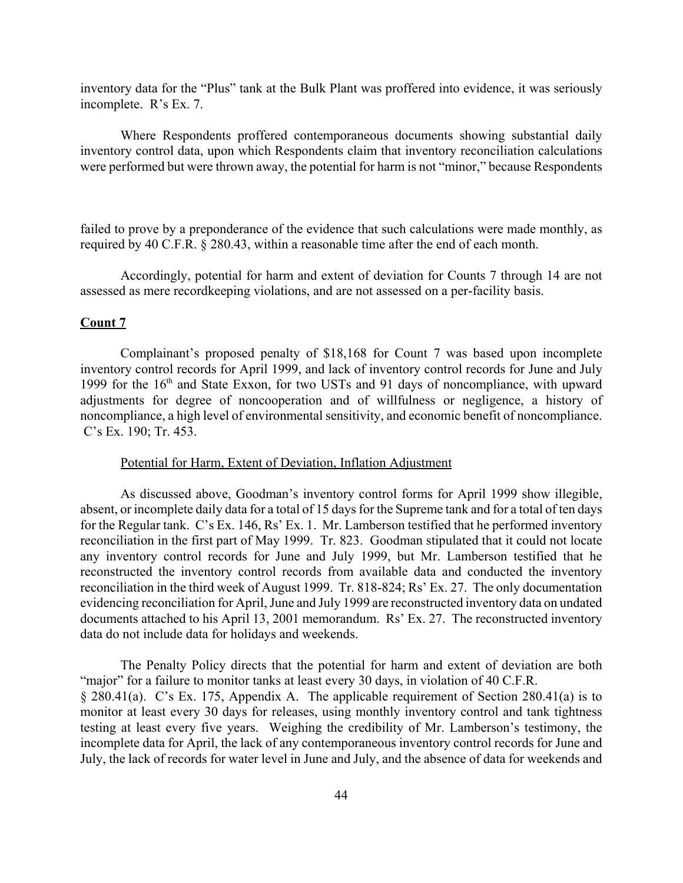inventory data for the "Plus" tank at the Bulk Plant was proffered into evidence, it was seriously incomplete. R's Ex. 7.

Where Respondents proffered contemporaneous documents showing substantial daily inventory control data, upon which Respondents claim that inventory reconciliation calculations were performed but were thrown away, the potential for harm is not "minor," because Respondents

failed to prove by a preponderance of the evidence that such calculations were made monthly, as required by 40 C.F.R. § 280.43, within a reasonable time after the end of each month.

Accordingly, potential for harm and extent of deviation for Counts 7 through 14 are not assessed as mere recordkeeping violations, and are not assessed on a per-facility basis.

#### **Count 7**

Complainant's proposed penalty of \$18,168 for Count 7 was based upon incomplete inventory control records for April 1999, and lack of inventory control records for June and July 1999 for the 16th and State Exxon, for two USTs and 91 days of noncompliance, with upward adjustments for degree of noncooperation and of willfulness or negligence, a history of noncompliance, a high level of environmental sensitivity, and economic benefit of noncompliance. C's Ex. 190; Tr. 453.

#### Potential for Harm, Extent of Deviation, Inflation Adjustment

As discussed above, Goodman's inventory control forms for April 1999 show illegible, absent, or incomplete daily data for a total of 15 days for the Supreme tank and for a total of ten days for the Regular tank. C's Ex. 146, Rs' Ex. 1. Mr. Lamberson testified that he performed inventory reconciliation in the first part of May 1999. Tr. 823. Goodman stipulated that it could not locate any inventory control records for June and July 1999, but Mr. Lamberson testified that he reconstructed the inventory control records from available data and conducted the inventory reconciliation in the third week of August 1999. Tr. 818-824; Rs' Ex. 27. The only documentation evidencing reconciliation for April, June and July 1999 are reconstructed inventory data on undated documents attached to his April 13, 2001 memorandum. Rs' Ex. 27. The reconstructed inventory data do not include data for holidays and weekends.

The Penalty Policy directs that the potential for harm and extent of deviation are both "major" for a failure to monitor tanks at least every 30 days, in violation of 40 C.F.R. § 280.41(a). C's Ex. 175, Appendix A. The applicable requirement of Section 280.41(a) is to monitor at least every 30 days for releases, using monthly inventory control and tank tightness testing at least every five years. Weighing the credibility of Mr. Lamberson's testimony, the incomplete data for April, the lack of any contemporaneous inventory control records for June and July, the lack of records for water level in June and July, and the absence of data for weekends and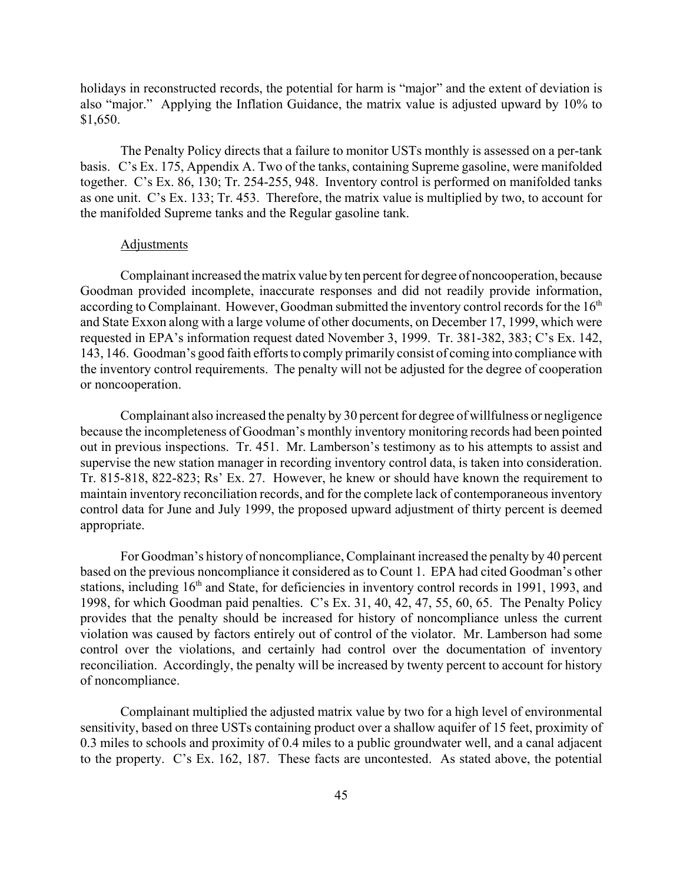holidays in reconstructed records, the potential for harm is "major" and the extent of deviation is also "major." Applying the Inflation Guidance, the matrix value is adjusted upward by 10% to \$1,650.

The Penalty Policy directs that a failure to monitor USTs monthly is assessed on a per-tank basis. C's Ex. 175, Appendix A. Two of the tanks, containing Supreme gasoline, were manifolded together. C's Ex. 86, 130; Tr. 254-255, 948. Inventory control is performed on manifolded tanks as one unit. C's Ex. 133; Tr. 453. Therefore, the matrix value is multiplied by two, to account for the manifolded Supreme tanks and the Regular gasoline tank.

### Adjustments

Complainant increased the matrix value by ten percent for degree of noncooperation, because Goodman provided incomplete, inaccurate responses and did not readily provide information, according to Complainant. However, Goodman submitted the inventory control records for the 16<sup>th</sup> and State Exxon along with a large volume of other documents, on December 17, 1999, which were requested in EPA's information request dated November 3, 1999. Tr. 381-382, 383; C's Ex. 142, 143, 146. Goodman's good faith efforts to comply primarily consist of coming into compliance with the inventory control requirements. The penalty will not be adjusted for the degree of cooperation or noncooperation.

Complainant also increased the penalty by 30 percent for degree of willfulness or negligence because the incompleteness of Goodman's monthly inventory monitoring records had been pointed out in previous inspections. Tr. 451. Mr. Lamberson's testimony as to his attempts to assist and supervise the new station manager in recording inventory control data, is taken into consideration. Tr. 815-818, 822-823; Rs' Ex. 27. However, he knew or should have known the requirement to maintain inventory reconciliation records, and for the complete lack of contemporaneous inventory control data for June and July 1999, the proposed upward adjustment of thirty percent is deemed appropriate.

For Goodman's history of noncompliance, Complainant increased the penalty by 40 percent based on the previous noncompliance it considered as to Count 1. EPA had cited Goodman's other stations, including 16<sup>th</sup> and State, for deficiencies in inventory control records in 1991, 1993, and 1998, for which Goodman paid penalties. C's Ex. 31, 40, 42, 47, 55, 60, 65. The Penalty Policy provides that the penalty should be increased for history of noncompliance unless the current violation was caused by factors entirely out of control of the violator. Mr. Lamberson had some control over the violations, and certainly had control over the documentation of inventory reconciliation. Accordingly, the penalty will be increased by twenty percent to account for history of noncompliance.

Complainant multiplied the adjusted matrix value by two for a high level of environmental sensitivity, based on three USTs containing product over a shallow aquifer of 15 feet, proximity of 0.3 miles to schools and proximity of 0.4 miles to a public groundwater well, and a canal adjacent to the property. C's Ex. 162, 187. These facts are uncontested. As stated above, the potential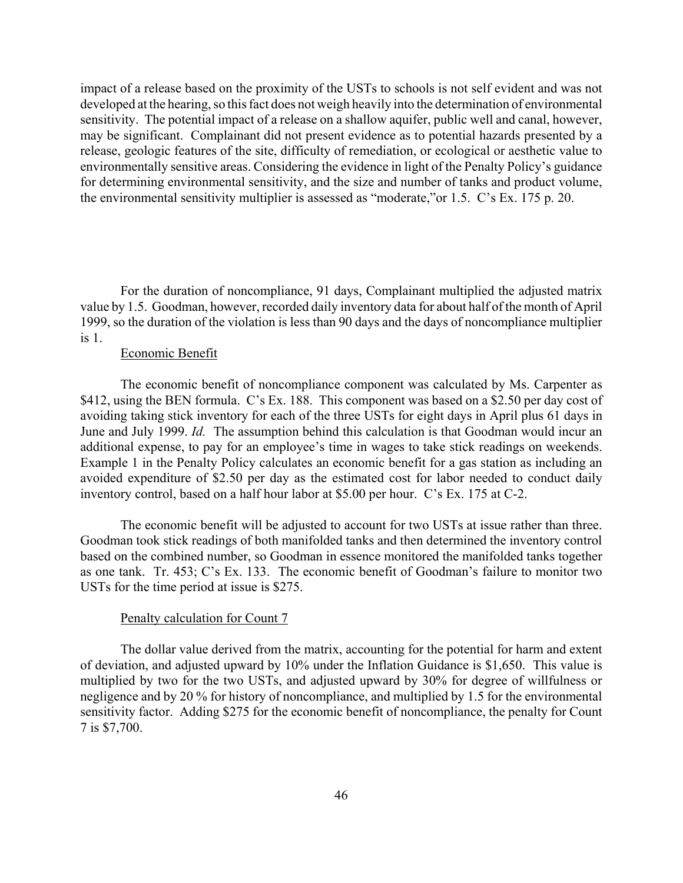impact of a release based on the proximity of the USTs to schools is not self evident and was not developed at the hearing, so this fact does not weigh heavily into the determination of environmental sensitivity. The potential impact of a release on a shallow aquifer, public well and canal, however, may be significant. Complainant did not present evidence as to potential hazards presented by a release, geologic features of the site, difficulty of remediation, or ecological or aesthetic value to environmentally sensitive areas. Considering the evidence in light of the Penalty Policy's guidance for determining environmental sensitivity, and the size and number of tanks and product volume, the environmental sensitivity multiplier is assessed as "moderate,"or 1.5. C's Ex. 175 p. 20.

For the duration of noncompliance, 91 days, Complainant multiplied the adjusted matrix value by 1.5. Goodman, however, recorded daily inventory data for about half of the month of April 1999, so the duration of the violation is less than 90 days and the days of noncompliance multiplier is 1.

#### Economic Benefit

The economic benefit of noncompliance component was calculated by Ms. Carpenter as \$412, using the BEN formula. C's Ex. 188. This component was based on a \$2.50 per day cost of avoiding taking stick inventory for each of the three USTs for eight days in April plus 61 days in June and July 1999. *Id.* The assumption behind this calculation is that Goodman would incur an additional expense, to pay for an employee's time in wages to take stick readings on weekends. Example 1 in the Penalty Policy calculates an economic benefit for a gas station as including an avoided expenditure of \$2.50 per day as the estimated cost for labor needed to conduct daily inventory control, based on a half hour labor at \$5.00 per hour. C's Ex. 175 at C-2.

The economic benefit will be adjusted to account for two USTs at issue rather than three. Goodman took stick readings of both manifolded tanks and then determined the inventory control based on the combined number, so Goodman in essence monitored the manifolded tanks together as one tank. Tr. 453; C's Ex. 133. The economic benefit of Goodman's failure to monitor two USTs for the time period at issue is \$275.

### Penalty calculation for Count 7

The dollar value derived from the matrix, accounting for the potential for harm and extent of deviation, and adjusted upward by 10% under the Inflation Guidance is \$1,650. This value is multiplied by two for the two USTs, and adjusted upward by 30% for degree of willfulness or negligence and by 20 % for history of noncompliance, and multiplied by 1.5 for the environmental sensitivity factor. Adding \$275 for the economic benefit of noncompliance, the penalty for Count 7 is \$7,700.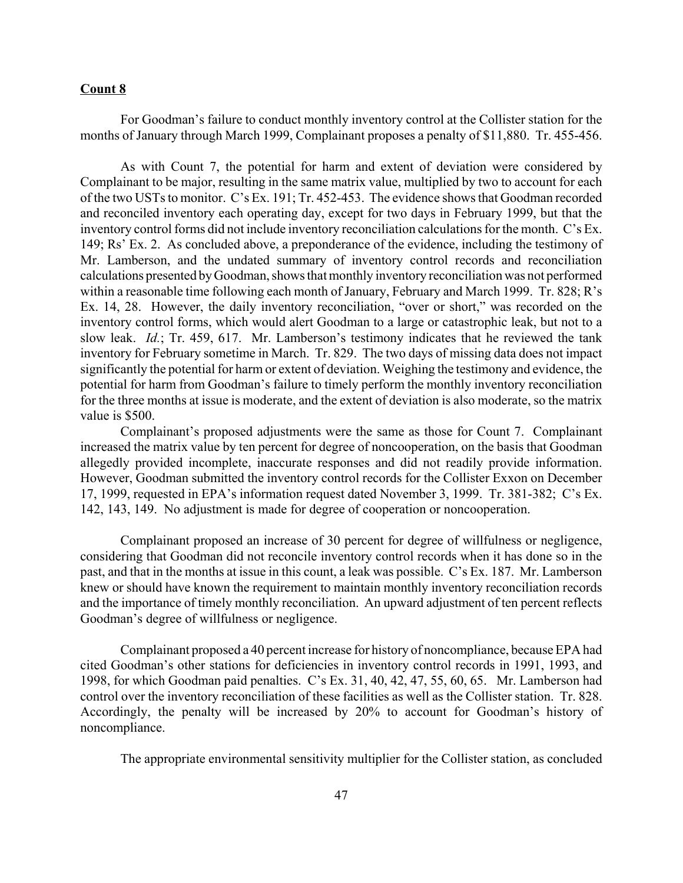## **Count 8**

For Goodman's failure to conduct monthly inventory control at the Collister station for the months of January through March 1999, Complainant proposes a penalty of \$11,880. Tr. 455-456.

As with Count 7, the potential for harm and extent of deviation were considered by Complainant to be major, resulting in the same matrix value, multiplied by two to account for each of the two USTs to monitor. C's Ex. 191; Tr. 452-453. The evidence shows that Goodman recorded and reconciled inventory each operating day, except for two days in February 1999, but that the inventory control forms did not include inventory reconciliation calculations for the month. C's Ex. 149; Rs' Ex. 2. As concluded above, a preponderance of the evidence, including the testimony of Mr. Lamberson, and the undated summary of inventory control records and reconciliation calculations presented by Goodman, shows that monthly inventory reconciliation was not performed within a reasonable time following each month of January, February and March 1999. Tr. 828; R's Ex. 14, 28. However, the daily inventory reconciliation, "over or short," was recorded on the inventory control forms, which would alert Goodman to a large or catastrophic leak, but not to a slow leak. *Id.*; Tr. 459, 617. Mr. Lamberson's testimony indicates that he reviewed the tank inventory for February sometime in March. Tr. 829. The two days of missing data does not impact significantly the potential for harm or extent of deviation. Weighing the testimony and evidence, the potential for harm from Goodman's failure to timely perform the monthly inventory reconciliation for the three months at issue is moderate, and the extent of deviation is also moderate, so the matrix value is \$500.

Complainant's proposed adjustments were the same as those for Count 7. Complainant increased the matrix value by ten percent for degree of noncooperation, on the basis that Goodman allegedly provided incomplete, inaccurate responses and did not readily provide information. However, Goodman submitted the inventory control records for the Collister Exxon on December 17, 1999, requested in EPA's information request dated November 3, 1999. Tr. 381-382; C's Ex. 142, 143, 149. No adjustment is made for degree of cooperation or noncooperation.

Complainant proposed an increase of 30 percent for degree of willfulness or negligence, considering that Goodman did not reconcile inventory control records when it has done so in the past, and that in the months at issue in this count, a leak was possible. C's Ex. 187. Mr. Lamberson knew or should have known the requirement to maintain monthly inventory reconciliation records and the importance of timely monthly reconciliation. An upward adjustment of ten percent reflects Goodman's degree of willfulness or negligence.

Complainant proposed a 40 percent increase for history of noncompliance, because EPA had cited Goodman's other stations for deficiencies in inventory control records in 1991, 1993, and 1998, for which Goodman paid penalties. C's Ex. 31, 40, 42, 47, 55, 60, 65. Mr. Lamberson had control over the inventory reconciliation of these facilities as well as the Collister station. Tr. 828. Accordingly, the penalty will be increased by 20% to account for Goodman's history of noncompliance.

The appropriate environmental sensitivity multiplier for the Collister station, as concluded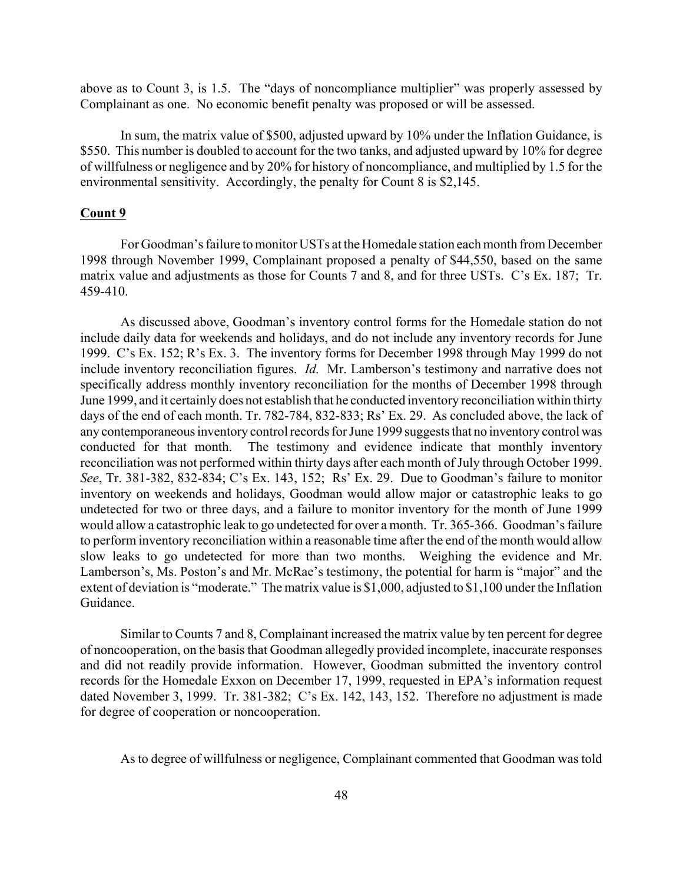above as to Count 3, is 1.5. The "days of noncompliance multiplier" was properly assessed by Complainant as one. No economic benefit penalty was proposed or will be assessed.

In sum, the matrix value of \$500, adjusted upward by 10% under the Inflation Guidance, is \$550. This number is doubled to account for the two tanks, and adjusted upward by 10% for degree of willfulness or negligence and by 20% for history of noncompliance, and multiplied by 1.5 for the environmental sensitivity. Accordingly, the penalty for Count 8 is \$2,145.

### **Count 9**

For Goodman's failure to monitor USTs at the Homedale station each month from December 1998 through November 1999, Complainant proposed a penalty of \$44,550, based on the same matrix value and adjustments as those for Counts 7 and 8, and for three USTs. C's Ex. 187; Tr. 459-410.

As discussed above, Goodman's inventory control forms for the Homedale station do not include daily data for weekends and holidays, and do not include any inventory records for June 1999. C's Ex. 152; R's Ex. 3. The inventory forms for December 1998 through May 1999 do not include inventory reconciliation figures. *Id.* Mr. Lamberson's testimony and narrative does not specifically address monthly inventory reconciliation for the months of December 1998 through June 1999, and it certainly does not establish that he conducted inventory reconciliation within thirty days of the end of each month. Tr. 782-784, 832-833; Rs' Ex. 29. As concluded above, the lack of any contemporaneous inventory control records for June 1999 suggests that no inventory control was conducted for that month. The testimony and evidence indicate that monthly inventory reconciliation was not performed within thirty days after each month of July through October 1999. *See*, Tr. 381-382, 832-834; C's Ex. 143, 152; Rs' Ex. 29. Due to Goodman's failure to monitor inventory on weekends and holidays, Goodman would allow major or catastrophic leaks to go undetected for two or three days, and a failure to monitor inventory for the month of June 1999 would allow a catastrophic leak to go undetected for over a month. Tr. 365-366. Goodman's failure to perform inventory reconciliation within a reasonable time after the end of the month would allow slow leaks to go undetected for more than two months. Weighing the evidence and Mr. Lamberson's, Ms. Poston's and Mr. McRae's testimony, the potential for harm is "major" and the extent of deviation is "moderate." The matrix value is \$1,000, adjusted to \$1,100 under the Inflation Guidance.

Similar to Counts 7 and 8, Complainant increased the matrix value by ten percent for degree of noncooperation, on the basis that Goodman allegedly provided incomplete, inaccurate responses and did not readily provide information. However, Goodman submitted the inventory control records for the Homedale Exxon on December 17, 1999, requested in EPA's information request dated November 3, 1999. Tr. 381-382; C's Ex. 142, 143, 152. Therefore no adjustment is made for degree of cooperation or noncooperation.

As to degree of willfulness or negligence, Complainant commented that Goodman was told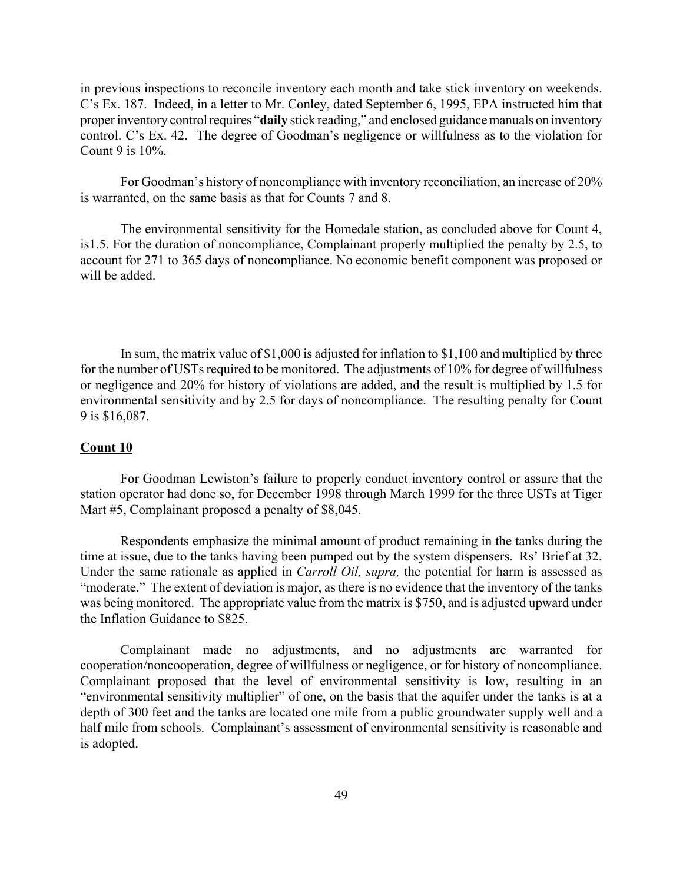in previous inspections to reconcile inventory each month and take stick inventory on weekends. C's Ex. 187. Indeed, in a letter to Mr. Conley, dated September 6, 1995, EPA instructed him that proper inventory control requires "**daily** stick reading," and enclosed guidance manuals on inventory control. C's Ex. 42. The degree of Goodman's negligence or willfulness as to the violation for Count 9 is  $10\%$ .

For Goodman's history of noncompliance with inventory reconciliation, an increase of 20% is warranted, on the same basis as that for Counts 7 and 8.

The environmental sensitivity for the Homedale station, as concluded above for Count 4, is1.5. For the duration of noncompliance, Complainant properly multiplied the penalty by 2.5, to account for 271 to 365 days of noncompliance. No economic benefit component was proposed or will be added.

In sum, the matrix value of \$1,000 is adjusted for inflation to \$1,100 and multiplied by three for the number of USTs required to be monitored. The adjustments of 10% for degree of willfulness or negligence and 20% for history of violations are added, and the result is multiplied by 1.5 for environmental sensitivity and by 2.5 for days of noncompliance. The resulting penalty for Count 9 is \$16,087.

# **Count 10**

For Goodman Lewiston's failure to properly conduct inventory control or assure that the station operator had done so, for December 1998 through March 1999 for the three USTs at Tiger Mart #5, Complainant proposed a penalty of \$8,045.

Respondents emphasize the minimal amount of product remaining in the tanks during the time at issue, due to the tanks having been pumped out by the system dispensers. Rs' Brief at 32. Under the same rationale as applied in *Carroll Oil, supra,* the potential for harm is assessed as "moderate." The extent of deviation is major, as there is no evidence that the inventory of the tanks was being monitored. The appropriate value from the matrix is \$750, and is adjusted upward under the Inflation Guidance to \$825.

Complainant made no adjustments, and no adjustments are warranted for cooperation/noncooperation, degree of willfulness or negligence, or for history of noncompliance. Complainant proposed that the level of environmental sensitivity is low, resulting in an "environmental sensitivity multiplier" of one, on the basis that the aquifer under the tanks is at a depth of 300 feet and the tanks are located one mile from a public groundwater supply well and a half mile from schools. Complainant's assessment of environmental sensitivity is reasonable and is adopted.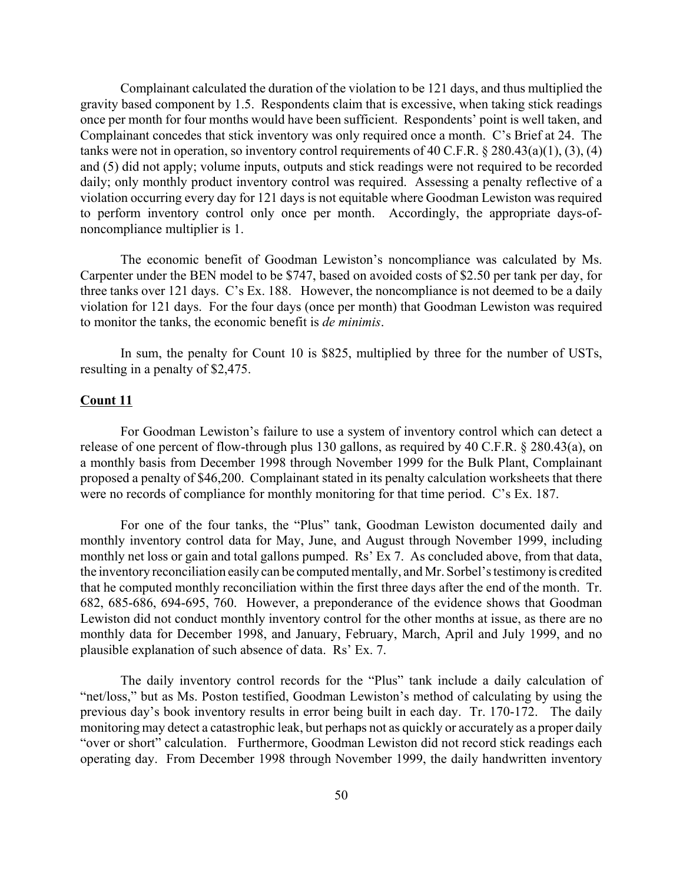Complainant calculated the duration of the violation to be 121 days, and thus multiplied the gravity based component by 1.5. Respondents claim that is excessive, when taking stick readings once per month for four months would have been sufficient. Respondents' point is well taken, and Complainant concedes that stick inventory was only required once a month. C's Brief at 24. The tanks were not in operation, so inventory control requirements of 40 C.F.R. § 280.43(a)(1), (3), (4) and (5) did not apply; volume inputs, outputs and stick readings were not required to be recorded daily; only monthly product inventory control was required. Assessing a penalty reflective of a violation occurring every day for 121 days is not equitable where Goodman Lewiston was required to perform inventory control only once per month. Accordingly, the appropriate days-ofnoncompliance multiplier is 1.

The economic benefit of Goodman Lewiston's noncompliance was calculated by Ms. Carpenter under the BEN model to be \$747, based on avoided costs of \$2.50 per tank per day, for three tanks over 121 days. C's Ex. 188. However, the noncompliance is not deemed to be a daily violation for 121 days. For the four days (once per month) that Goodman Lewiston was required to monitor the tanks, the economic benefit is *de minimis*.

In sum, the penalty for Count 10 is \$825, multiplied by three for the number of USTs, resulting in a penalty of \$2,475.

## **Count 11**

For Goodman Lewiston's failure to use a system of inventory control which can detect a release of one percent of flow-through plus 130 gallons, as required by 40 C.F.R. § 280.43(a), on a monthly basis from December 1998 through November 1999 for the Bulk Plant, Complainant proposed a penalty of \$46,200. Complainant stated in its penalty calculation worksheets that there were no records of compliance for monthly monitoring for that time period. C's Ex. 187.

For one of the four tanks, the "Plus" tank, Goodman Lewiston documented daily and monthly inventory control data for May, June, and August through November 1999, including monthly net loss or gain and total gallons pumped. Rs' Ex 7. As concluded above, from that data, the inventory reconciliation easily can be computed mentally, and Mr. Sorbel's testimony is credited that he computed monthly reconciliation within the first three days after the end of the month. Tr. 682, 685-686, 694-695, 760. However, a preponderance of the evidence shows that Goodman Lewiston did not conduct monthly inventory control for the other months at issue, as there are no monthly data for December 1998, and January, February, March, April and July 1999, and no plausible explanation of such absence of data. Rs' Ex. 7.

The daily inventory control records for the "Plus" tank include a daily calculation of "net/loss," but as Ms. Poston testified, Goodman Lewiston's method of calculating by using the previous day's book inventory results in error being built in each day. Tr. 170-172. The daily monitoring may detect a catastrophic leak, but perhaps not as quickly or accurately as a proper daily "over or short" calculation. Furthermore, Goodman Lewiston did not record stick readings each operating day. From December 1998 through November 1999, the daily handwritten inventory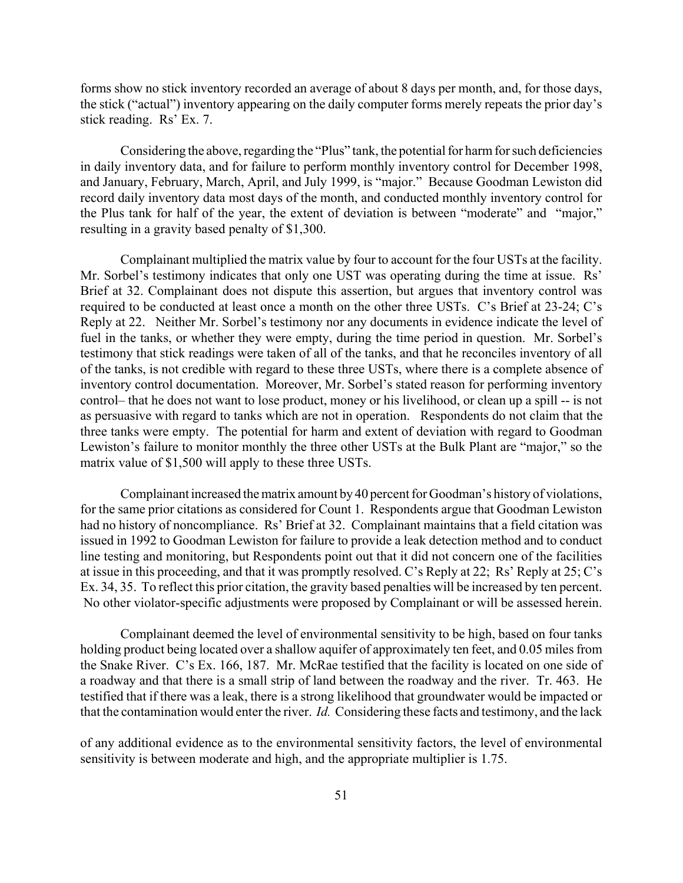forms show no stick inventory recorded an average of about 8 days per month, and, for those days, the stick ("actual") inventory appearing on the daily computer forms merely repeats the prior day's stick reading. Rs' Ex. 7.

Considering the above, regarding the "Plus" tank, the potential for harm for such deficiencies in daily inventory data, and for failure to perform monthly inventory control for December 1998, and January, February, March, April, and July 1999, is "major." Because Goodman Lewiston did record daily inventory data most days of the month, and conducted monthly inventory control for the Plus tank for half of the year, the extent of deviation is between "moderate" and "major," resulting in a gravity based penalty of \$1,300.

Complainant multiplied the matrix value by four to account for the four USTs at the facility. Mr. Sorbel's testimony indicates that only one UST was operating during the time at issue. Rs' Brief at 32. Complainant does not dispute this assertion, but argues that inventory control was required to be conducted at least once a month on the other three USTs. C's Brief at 23-24; C's Reply at 22. Neither Mr. Sorbel's testimony nor any documents in evidence indicate the level of fuel in the tanks, or whether they were empty, during the time period in question. Mr. Sorbel's testimony that stick readings were taken of all of the tanks, and that he reconciles inventory of all of the tanks, is not credible with regard to these three USTs, where there is a complete absence of inventory control documentation. Moreover, Mr. Sorbel's stated reason for performing inventory control– that he does not want to lose product, money or his livelihood, or clean up a spill -- is not as persuasive with regard to tanks which are not in operation. Respondents do not claim that the three tanks were empty. The potential for harm and extent of deviation with regard to Goodman Lewiston's failure to monitor monthly the three other USTs at the Bulk Plant are "major," so the matrix value of \$1,500 will apply to these three USTs.

Complainant increased the matrix amount by 40 percent for Goodman's history of violations, for the same prior citations as considered for Count 1. Respondents argue that Goodman Lewiston had no history of noncompliance. Rs' Brief at 32. Complainant maintains that a field citation was issued in 1992 to Goodman Lewiston for failure to provide a leak detection method and to conduct line testing and monitoring, but Respondents point out that it did not concern one of the facilities at issue in this proceeding, and that it was promptly resolved. C's Reply at 22; Rs' Reply at 25; C's Ex. 34, 35. To reflect this prior citation, the gravity based penalties will be increased by ten percent. No other violator-specific adjustments were proposed by Complainant or will be assessed herein.

Complainant deemed the level of environmental sensitivity to be high, based on four tanks holding product being located over a shallow aquifer of approximately ten feet, and 0.05 miles from the Snake River. C's Ex. 166, 187. Mr. McRae testified that the facility is located on one side of a roadway and that there is a small strip of land between the roadway and the river. Tr. 463. He testified that if there was a leak, there is a strong likelihood that groundwater would be impacted or that the contamination would enter the river. *Id.* Considering these facts and testimony, and the lack

of any additional evidence as to the environmental sensitivity factors, the level of environmental sensitivity is between moderate and high, and the appropriate multiplier is 1.75.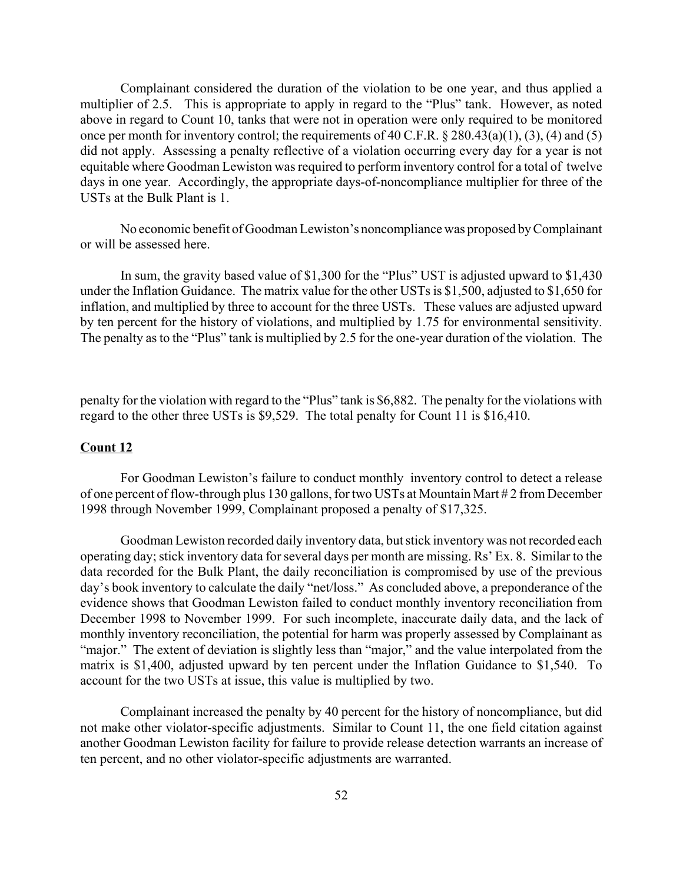Complainant considered the duration of the violation to be one year, and thus applied a multiplier of 2.5. This is appropriate to apply in regard to the "Plus" tank. However, as noted above in regard to Count 10, tanks that were not in operation were only required to be monitored once per month for inventory control; the requirements of 40 C.F.R. § 280.43(a)(1), (3), (4) and (5) did not apply. Assessing a penalty reflective of a violation occurring every day for a year is not equitable where Goodman Lewiston was required to perform inventory control for a total of twelve days in one year. Accordingly, the appropriate days-of-noncompliance multiplier for three of the USTs at the Bulk Plant is 1.

No economic benefit of Goodman Lewiston's noncompliance was proposed by Complainant or will be assessed here.

In sum, the gravity based value of \$1,300 for the "Plus" UST is adjusted upward to \$1,430 under the Inflation Guidance. The matrix value for the other USTs is \$1,500, adjusted to \$1,650 for inflation, and multiplied by three to account for the three USTs. These values are adjusted upward by ten percent for the history of violations, and multiplied by 1.75 for environmental sensitivity. The penalty as to the "Plus" tank is multiplied by 2.5 for the one-year duration of the violation. The

penalty for the violation with regard to the "Plus" tank is \$6,882. The penalty for the violations with regard to the other three USTs is \$9,529. The total penalty for Count 11 is \$16,410.

# **Count 12**

For Goodman Lewiston's failure to conduct monthly inventory control to detect a release of one percent of flow-through plus 130 gallons, for two USTs at Mountain Mart # 2 from December 1998 through November 1999, Complainant proposed a penalty of \$17,325.

Goodman Lewiston recorded daily inventory data, but stick inventory was not recorded each operating day; stick inventory data for several days per month are missing. Rs' Ex. 8. Similar to the data recorded for the Bulk Plant, the daily reconciliation is compromised by use of the previous day's book inventory to calculate the daily "net/loss." As concluded above, a preponderance of the evidence shows that Goodman Lewiston failed to conduct monthly inventory reconciliation from December 1998 to November 1999. For such incomplete, inaccurate daily data, and the lack of monthly inventory reconciliation, the potential for harm was properly assessed by Complainant as "major." The extent of deviation is slightly less than "major," and the value interpolated from the matrix is \$1,400, adjusted upward by ten percent under the Inflation Guidance to \$1,540. To account for the two USTs at issue, this value is multiplied by two.

Complainant increased the penalty by 40 percent for the history of noncompliance, but did not make other violator-specific adjustments. Similar to Count 11, the one field citation against another Goodman Lewiston facility for failure to provide release detection warrants an increase of ten percent, and no other violator-specific adjustments are warranted.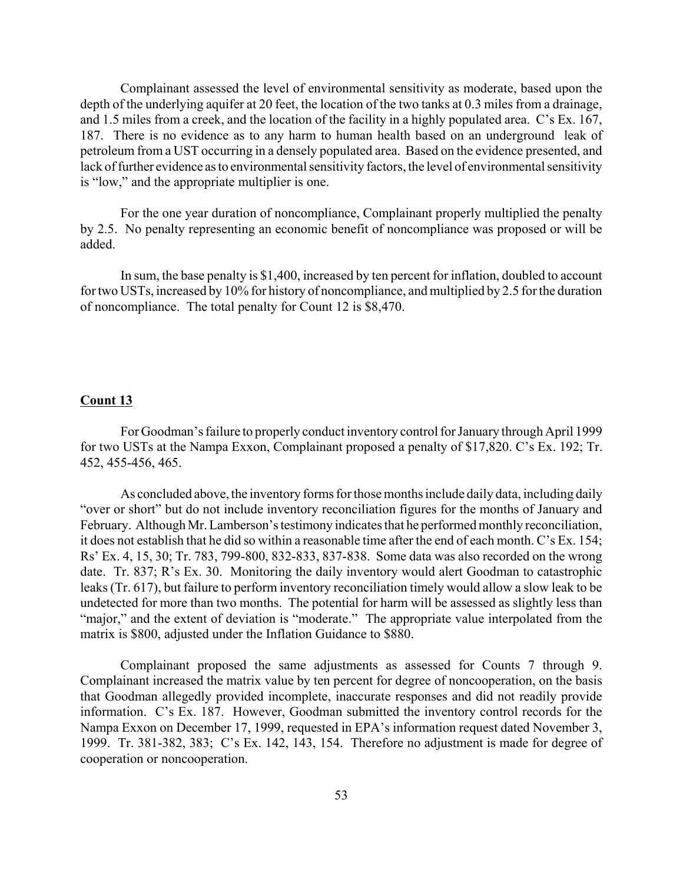Complainant assessed the level of environmental sensitivity as moderate, based upon the depth of the underlying aquifer at 20 feet, the location of the two tanks at 0.3 miles from a drainage, and 1.5 miles from a creek, and the location of the facility in a highly populated area. C's Ex. 167, 187. There is no evidence as to any harm to human health based on an underground leak of petroleum from a UST occurring in a densely populated area. Based on the evidence presented, and lack of further evidence as to environmental sensitivity factors, the level of environmental sensitivity is "low," and the appropriate multiplier is one.

For the one year duration of noncompliance, Complainant properly multiplied the penalty by 2.5. No penalty representing an economic benefit of noncompliance was proposed or will be added.

In sum, the base penalty is \$1,400, increased by ten percent for inflation, doubled to account for two USTs, increased by 10% for history of noncompliance, and multiplied by 2.5 for the duration of noncompliance. The total penalty for Count 12 is \$8,470.

#### **Count 13**

For Goodman's failure to properly conduct inventory control for January through April 1999 for two USTs at the Nampa Exxon, Complainant proposed a penalty of \$17,820. C's Ex. 192; Tr. 452, 455-456, 465.

As concluded above, the inventory forms for those months include daily data, including daily "over or short" but do not include inventory reconciliation figures for the months of January and February. Although Mr. Lamberson's testimony indicates that he performed monthly reconciliation, it does not establish that he did so within a reasonable time after the end of each month. C's Ex. 154; Rs' Ex. 4, 15, 30; Tr. 783, 799-800, 832-833, 837-838. Some data was also recorded on the wrong date. Tr. 837; R's Ex. 30. Monitoring the daily inventory would alert Goodman to catastrophic leaks (Tr. 617), but failure to perform inventory reconciliation timely would allow a slow leak to be undetected for more than two months. The potential for harm will be assessed as slightly less than "major," and the extent of deviation is "moderate." The appropriate value interpolated from the matrix is \$800, adjusted under the Inflation Guidance to \$880.

Complainant proposed the same adjustments as assessed for Counts 7 through 9. Complainant increased the matrix value by ten percent for degree of noncooperation, on the basis that Goodman allegedly provided incomplete, inaccurate responses and did not readily provide information. C's Ex. 187. However, Goodman submitted the inventory control records for the Nampa Exxon on December 17, 1999, requested in EPA's information request dated November 3, 1999. Tr. 381-382, 383; C's Ex. 142, 143, 154. Therefore no adjustment is made for degree of cooperation or noncooperation.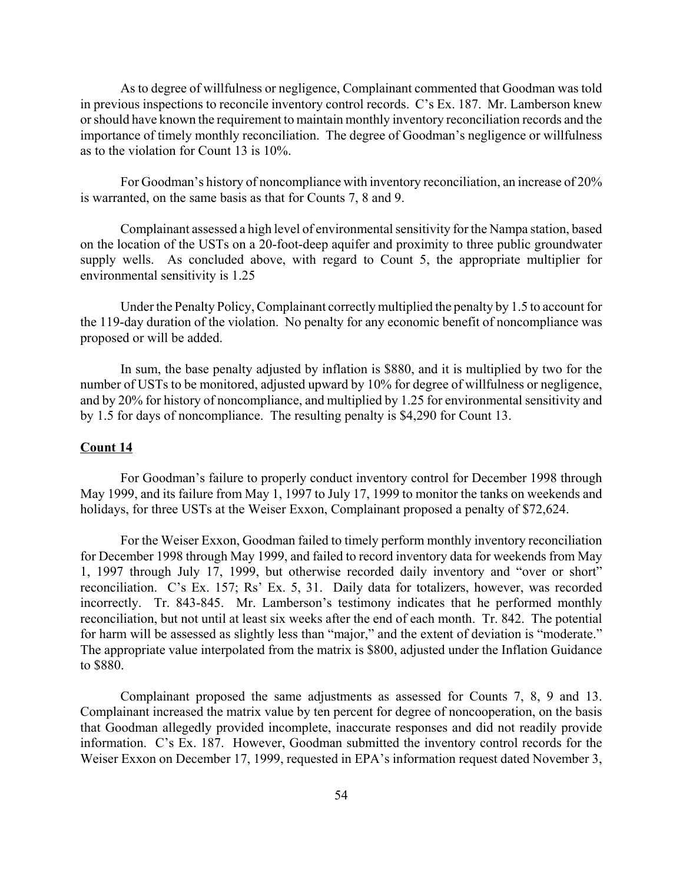As to degree of willfulness or negligence, Complainant commented that Goodman was told in previous inspections to reconcile inventory control records. C's Ex. 187. Mr. Lamberson knew or should have known the requirement to maintain monthly inventory reconciliation records and the importance of timely monthly reconciliation. The degree of Goodman's negligence or willfulness as to the violation for Count 13 is 10%.

For Goodman's history of noncompliance with inventory reconciliation, an increase of 20% is warranted, on the same basis as that for Counts 7, 8 and 9.

Complainant assessed a high level of environmental sensitivity for the Nampa station, based on the location of the USTs on a 20-foot-deep aquifer and proximity to three public groundwater supply wells. As concluded above, with regard to Count 5, the appropriate multiplier for environmental sensitivity is 1.25

Under the Penalty Policy, Complainant correctly multiplied the penalty by 1.5 to account for the 119-day duration of the violation. No penalty for any economic benefit of noncompliance was proposed or will be added.

In sum, the base penalty adjusted by inflation is \$880, and it is multiplied by two for the number of USTs to be monitored, adjusted upward by 10% for degree of willfulness or negligence, and by 20% for history of noncompliance, and multiplied by 1.25 for environmental sensitivity and by 1.5 for days of noncompliance. The resulting penalty is \$4,290 for Count 13.

## **Count 14**

For Goodman's failure to properly conduct inventory control for December 1998 through May 1999, and its failure from May 1, 1997 to July 17, 1999 to monitor the tanks on weekends and holidays, for three USTs at the Weiser Exxon, Complainant proposed a penalty of \$72,624.

For the Weiser Exxon, Goodman failed to timely perform monthly inventory reconciliation for December 1998 through May 1999, and failed to record inventory data for weekends from May 1, 1997 through July 17, 1999, but otherwise recorded daily inventory and "over or short" reconciliation. C's Ex. 157; Rs' Ex. 5, 31. Daily data for totalizers, however, was recorded incorrectly. Tr. 843-845. Mr. Lamberson's testimony indicates that he performed monthly reconciliation, but not until at least six weeks after the end of each month. Tr. 842. The potential for harm will be assessed as slightly less than "major," and the extent of deviation is "moderate." The appropriate value interpolated from the matrix is \$800, adjusted under the Inflation Guidance to \$880.

Complainant proposed the same adjustments as assessed for Counts 7, 8, 9 and 13. Complainant increased the matrix value by ten percent for degree of noncooperation, on the basis that Goodman allegedly provided incomplete, inaccurate responses and did not readily provide information. C's Ex. 187. However, Goodman submitted the inventory control records for the Weiser Exxon on December 17, 1999, requested in EPA's information request dated November 3,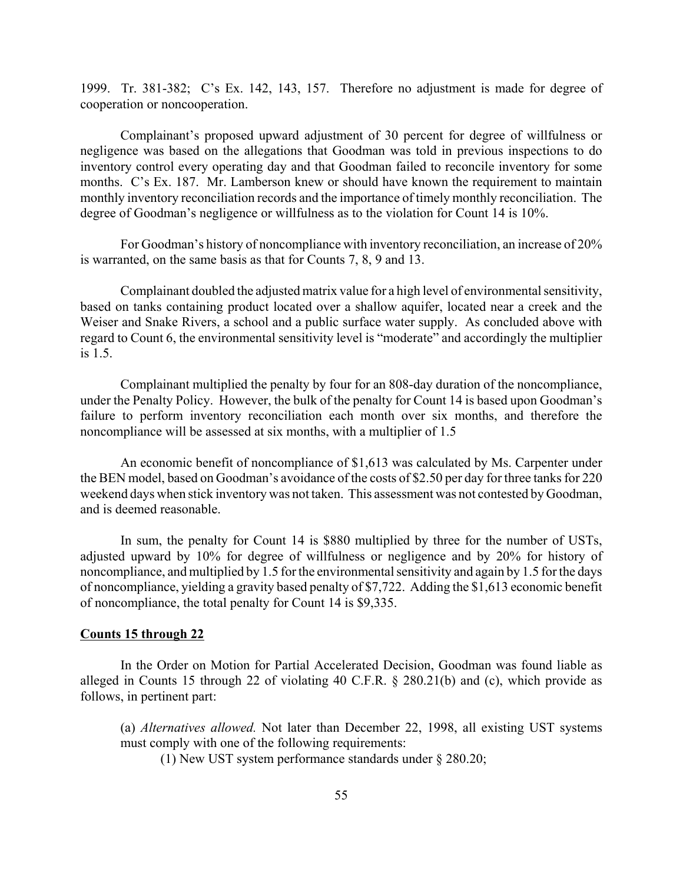1999. Tr. 381-382; C's Ex. 142, 143, 157. Therefore no adjustment is made for degree of cooperation or noncooperation.

Complainant's proposed upward adjustment of 30 percent for degree of willfulness or negligence was based on the allegations that Goodman was told in previous inspections to do inventory control every operating day and that Goodman failed to reconcile inventory for some months. C's Ex. 187. Mr. Lamberson knew or should have known the requirement to maintain monthly inventory reconciliation records and the importance of timely monthly reconciliation. The degree of Goodman's negligence or willfulness as to the violation for Count 14 is 10%.

For Goodman's history of noncompliance with inventory reconciliation, an increase of 20% is warranted, on the same basis as that for Counts 7, 8, 9 and 13.

Complainant doubled the adjusted matrix value for a high level of environmental sensitivity, based on tanks containing product located over a shallow aquifer, located near a creek and the Weiser and Snake Rivers, a school and a public surface water supply. As concluded above with regard to Count 6, the environmental sensitivity level is "moderate" and accordingly the multiplier is 1.5.

Complainant multiplied the penalty by four for an 808-day duration of the noncompliance, under the Penalty Policy. However, the bulk of the penalty for Count 14 is based upon Goodman's failure to perform inventory reconciliation each month over six months, and therefore the noncompliance will be assessed at six months, with a multiplier of 1.5

An economic benefit of noncompliance of \$1,613 was calculated by Ms. Carpenter under the BEN model, based on Goodman's avoidance of the costs of \$2.50 per day for three tanks for 220 weekend days when stick inventory was not taken. This assessment was not contested by Goodman, and is deemed reasonable.

In sum, the penalty for Count 14 is \$880 multiplied by three for the number of USTs, adjusted upward by 10% for degree of willfulness or negligence and by 20% for history of noncompliance, and multiplied by 1.5 for the environmental sensitivity and again by 1.5 for the days of noncompliance, yielding a gravity based penalty of \$7,722. Adding the \$1,613 economic benefit of noncompliance, the total penalty for Count 14 is \$9,335.

#### **Counts 15 through 22**

In the Order on Motion for Partial Accelerated Decision, Goodman was found liable as alleged in Counts 15 through 22 of violating 40 C.F.R. § 280.21(b) and (c), which provide as follows, in pertinent part:

(a) *Alternatives allowed.* Not later than December 22, 1998, all existing UST systems must comply with one of the following requirements:

(1) New UST system performance standards under § 280.20;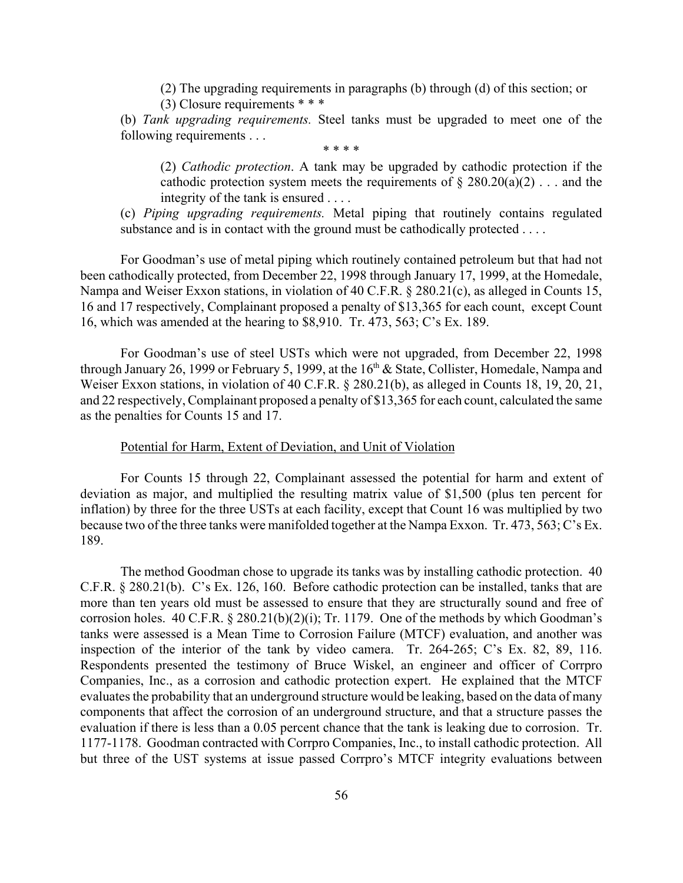(2) The upgrading requirements in paragraphs (b) through (d) of this section; or

(3) Closure requirements \* \* \*

(b) *Tank upgrading requirements.* Steel tanks must be upgraded to meet one of the following requirements . . .

\* \* \* \*

(2) *Cathodic protection*. A tank may be upgraded by cathodic protection if the cathodic protection system meets the requirements of  $\S 280.20(a)(2)$ ... and the integrity of the tank is ensured . . . .

(c) *Piping upgrading requirements.* Metal piping that routinely contains regulated substance and is in contact with the ground must be cathodically protected . . . .

For Goodman's use of metal piping which routinely contained petroleum but that had not been cathodically protected, from December 22, 1998 through January 17, 1999, at the Homedale, Nampa and Weiser Exxon stations, in violation of 40 C.F.R. § 280.21(c), as alleged in Counts 15, 16 and 17 respectively, Complainant proposed a penalty of \$13,365 for each count, except Count 16, which was amended at the hearing to \$8,910. Tr. 473, 563; C's Ex. 189.

For Goodman's use of steel USTs which were not upgraded, from December 22, 1998 through January 26, 1999 or February 5, 1999, at the  $16<sup>th</sup>$  & State, Collister, Homedale, Nampa and Weiser Exxon stations, in violation of 40 C.F.R. § 280.21(b), as alleged in Counts 18, 19, 20, 21, and 22 respectively, Complainant proposed a penalty of \$13,365 for each count, calculated the same as the penalties for Counts 15 and 17.

## Potential for Harm, Extent of Deviation, and Unit of Violation

For Counts 15 through 22, Complainant assessed the potential for harm and extent of deviation as major, and multiplied the resulting matrix value of \$1,500 (plus ten percent for inflation) by three for the three USTs at each facility, except that Count 16 was multiplied by two because two of the three tanks were manifolded together at the Nampa Exxon. Tr. 473, 563; C's Ex. 189.

The method Goodman chose to upgrade its tanks was by installing cathodic protection. 40 C.F.R. § 280.21(b). C's Ex. 126, 160. Before cathodic protection can be installed, tanks that are more than ten years old must be assessed to ensure that they are structurally sound and free of corrosion holes. 40 C.F.R. § 280.21(b)(2)(i); Tr. 1179. One of the methods by which Goodman's tanks were assessed is a Mean Time to Corrosion Failure (MTCF) evaluation, and another was inspection of the interior of the tank by video camera. Tr. 264-265; C's Ex. 82, 89, 116. Respondents presented the testimony of Bruce Wiskel, an engineer and officer of Corrpro Companies, Inc., as a corrosion and cathodic protection expert. He explained that the MTCF evaluates the probability that an underground structure would be leaking, based on the data of many components that affect the corrosion of an underground structure, and that a structure passes the evaluation if there is less than a 0.05 percent chance that the tank is leaking due to corrosion. Tr. 1177-1178. Goodman contracted with Corrpro Companies, Inc., to install cathodic protection. All but three of the UST systems at issue passed Corrpro's MTCF integrity evaluations between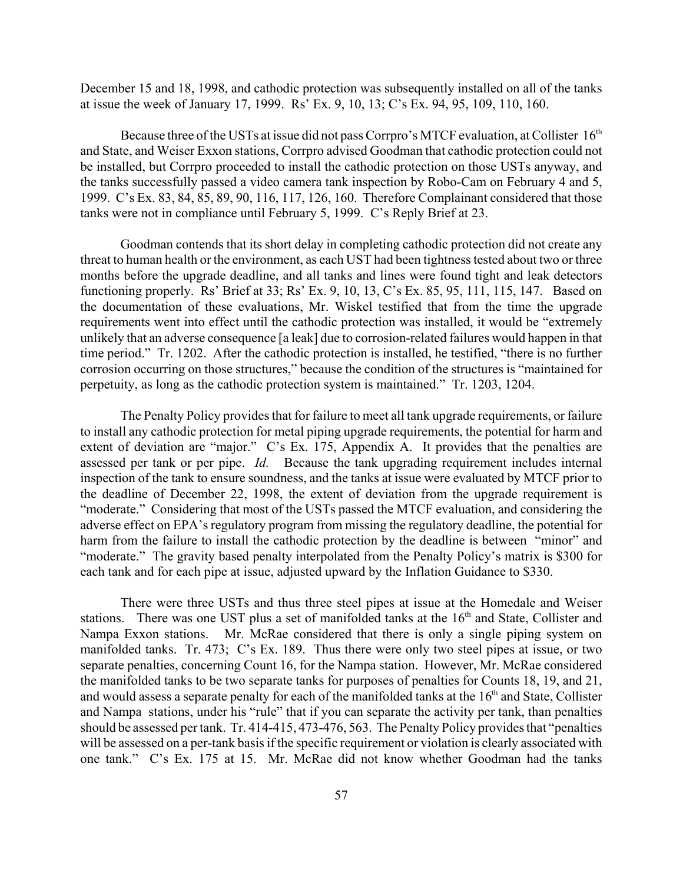December 15 and 18, 1998, and cathodic protection was subsequently installed on all of the tanks at issue the week of January 17, 1999. Rs' Ex. 9, 10, 13; C's Ex. 94, 95, 109, 110, 160.

Because three of the USTs at issue did not pass Corrpro's MTCF evaluation, at Collister  $16<sup>th</sup>$ and State, and Weiser Exxon stations, Corrpro advised Goodman that cathodic protection could not be installed, but Corrpro proceeded to install the cathodic protection on those USTs anyway, and the tanks successfully passed a video camera tank inspection by Robo-Cam on February 4 and 5, 1999. C's Ex. 83, 84, 85, 89, 90, 116, 117, 126, 160. Therefore Complainant considered that those tanks were not in compliance until February 5, 1999. C's Reply Brief at 23.

Goodman contends that its short delay in completing cathodic protection did not create any threat to human health or the environment, as each UST had been tightness tested about two or three months before the upgrade deadline, and all tanks and lines were found tight and leak detectors functioning properly. Rs' Brief at 33; Rs' Ex. 9, 10, 13, C's Ex. 85, 95, 111, 115, 147. Based on the documentation of these evaluations, Mr. Wiskel testified that from the time the upgrade requirements went into effect until the cathodic protection was installed, it would be "extremely unlikely that an adverse consequence [a leak] due to corrosion-related failures would happen in that time period." Tr. 1202. After the cathodic protection is installed, he testified, "there is no further corrosion occurring on those structures," because the condition of the structures is "maintained for perpetuity, as long as the cathodic protection system is maintained." Tr. 1203, 1204.

The Penalty Policy provides that for failure to meet all tank upgrade requirements, or failure to install any cathodic protection for metal piping upgrade requirements, the potential for harm and extent of deviation are "major." C's Ex. 175, Appendix A. It provides that the penalties are assessed per tank or per pipe. *Id.* Because the tank upgrading requirement includes internal inspection of the tank to ensure soundness, and the tanks at issue were evaluated by MTCF prior to the deadline of December 22, 1998, the extent of deviation from the upgrade requirement is "moderate." Considering that most of the USTs passed the MTCF evaluation, and considering the adverse effect on EPA's regulatory program from missing the regulatory deadline, the potential for harm from the failure to install the cathodic protection by the deadline is between "minor" and "moderate." The gravity based penalty interpolated from the Penalty Policy's matrix is \$300 for each tank and for each pipe at issue, adjusted upward by the Inflation Guidance to \$330.

There were three USTs and thus three steel pipes at issue at the Homedale and Weiser stations. There was one UST plus a set of manifolded tanks at the 16<sup>th</sup> and State, Collister and Nampa Exxon stations. Mr. McRae considered that there is only a single piping system on manifolded tanks. Tr. 473; C's Ex. 189. Thus there were only two steel pipes at issue, or two separate penalties, concerning Count 16, for the Nampa station. However, Mr. McRae considered the manifolded tanks to be two separate tanks for purposes of penalties for Counts 18, 19, and 21, and would assess a separate penalty for each of the manifolded tanks at the  $16<sup>th</sup>$  and State, Collister and Nampa stations, under his "rule" that if you can separate the activity per tank, than penalties should be assessed per tank. Tr. 414-415, 473-476, 563. The Penalty Policy provides that "penalties will be assessed on a per-tank basis if the specific requirement or violation is clearly associated with one tank." C's Ex. 175 at 15. Mr. McRae did not know whether Goodman had the tanks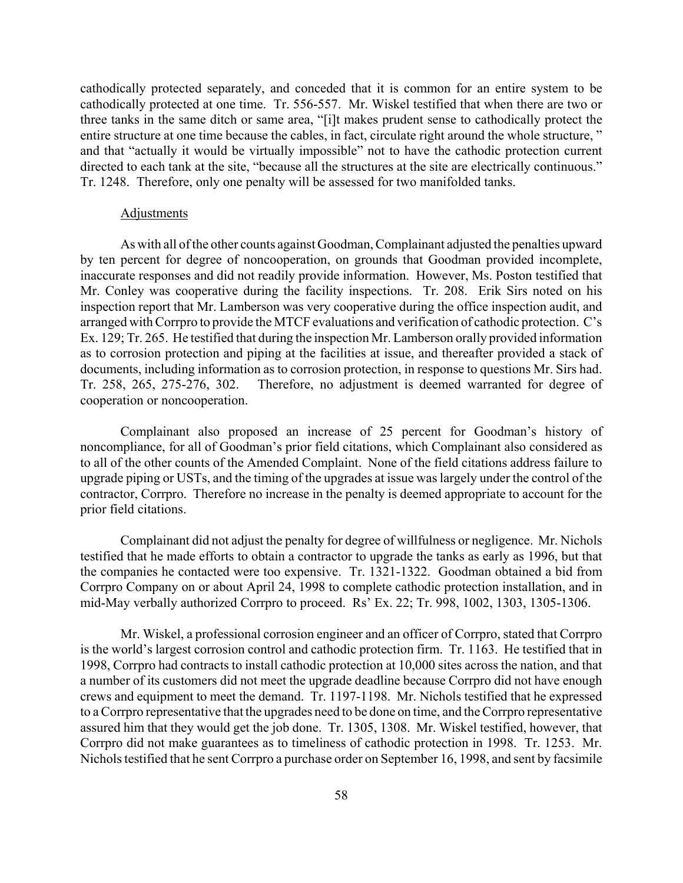cathodically protected separately, and conceded that it is common for an entire system to be cathodically protected at one time. Tr. 556-557. Mr. Wiskel testified that when there are two or three tanks in the same ditch or same area, "[i]t makes prudent sense to cathodically protect the entire structure at one time because the cables, in fact, circulate right around the whole structure, " and that "actually it would be virtually impossible" not to have the cathodic protection current directed to each tank at the site, "because all the structures at the site are electrically continuous." Tr. 1248. Therefore, only one penalty will be assessed for two manifolded tanks.

### **Adjustments**

As with all of the other counts against Goodman, Complainant adjusted the penalties upward by ten percent for degree of noncooperation, on grounds that Goodman provided incomplete, inaccurate responses and did not readily provide information. However, Ms. Poston testified that Mr. Conley was cooperative during the facility inspections. Tr. 208. Erik Sirs noted on his inspection report that Mr. Lamberson was very cooperative during the office inspection audit, and arranged with Corrpro to provide the MTCF evaluations and verification of cathodic protection. C's Ex. 129; Tr. 265. He testified that during the inspection Mr. Lamberson orally provided information as to corrosion protection and piping at the facilities at issue, and thereafter provided a stack of documents, including information as to corrosion protection, in response to questions Mr. Sirs had. Tr. 258, 265, 275-276, 302. Therefore, no adjustment is deemed warranted for degree of cooperation or noncooperation.

Complainant also proposed an increase of 25 percent for Goodman's history of noncompliance, for all of Goodman's prior field citations, which Complainant also considered as to all of the other counts of the Amended Complaint. None of the field citations address failure to upgrade piping or USTs, and the timing of the upgrades at issue was largely under the control of the contractor, Corrpro. Therefore no increase in the penalty is deemed appropriate to account for the prior field citations.

Complainant did not adjust the penalty for degree of willfulness or negligence. Mr. Nichols testified that he made efforts to obtain a contractor to upgrade the tanks as early as 1996, but that the companies he contacted were too expensive. Tr. 1321-1322. Goodman obtained a bid from Corrpro Company on or about April 24, 1998 to complete cathodic protection installation, and in mid-May verbally authorized Corrpro to proceed. Rs' Ex. 22; Tr. 998, 1002, 1303, 1305-1306.

Mr. Wiskel, a professional corrosion engineer and an officer of Corrpro, stated that Corrpro is the world's largest corrosion control and cathodic protection firm. Tr. 1163. He testified that in 1998, Corrpro had contracts to install cathodic protection at 10,000 sites across the nation, and that a number of its customers did not meet the upgrade deadline because Corrpro did not have enough crews and equipment to meet the demand. Tr. 1197-1198. Mr. Nichols testified that he expressed to a Corrpro representative that the upgrades need to be done on time, and the Corrpro representative assured him that they would get the job done. Tr. 1305, 1308. Mr. Wiskel testified, however, that Corrpro did not make guarantees as to timeliness of cathodic protection in 1998. Tr. 1253. Mr. Nichols testified that he sent Corrpro a purchase order on September 16, 1998, and sent by facsimile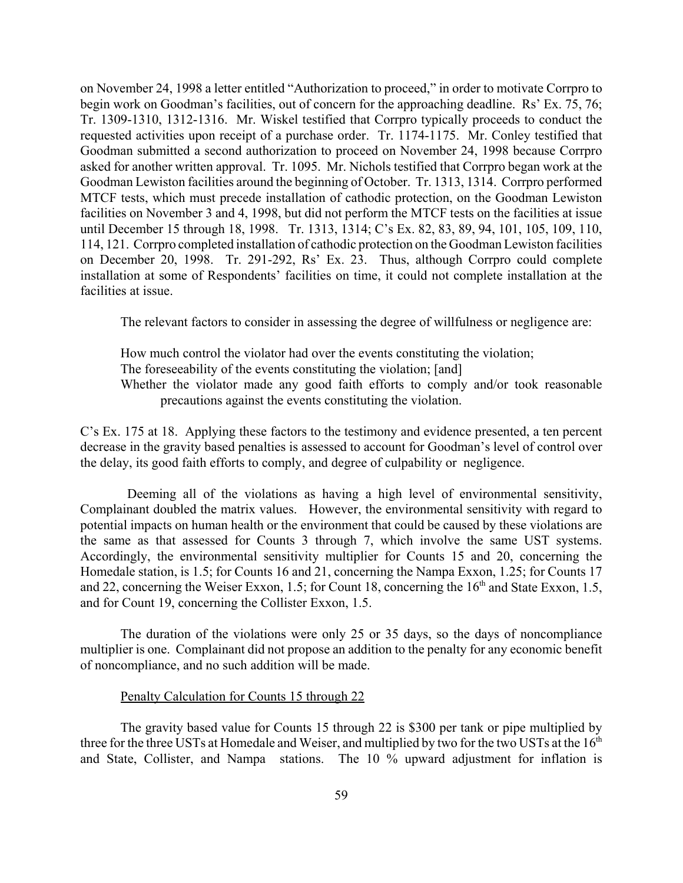on November 24, 1998 a letter entitled "Authorization to proceed," in order to motivate Corrpro to begin work on Goodman's facilities, out of concern for the approaching deadline. Rs' Ex. 75, 76; Tr. 1309-1310, 1312-1316. Mr. Wiskel testified that Corrpro typically proceeds to conduct the requested activities upon receipt of a purchase order. Tr. 1174-1175. Mr. Conley testified that Goodman submitted a second authorization to proceed on November 24, 1998 because Corrpro asked for another written approval. Tr. 1095. Mr. Nichols testified that Corrpro began work at the Goodman Lewiston facilities around the beginning of October. Tr. 1313, 1314. Corrpro performed MTCF tests, which must precede installation of cathodic protection, on the Goodman Lewiston facilities on November 3 and 4, 1998, but did not perform the MTCF tests on the facilities at issue until December 15 through 18, 1998. Tr. 1313, 1314; C's Ex. 82, 83, 89, 94, 101, 105, 109, 110, 114, 121. Corrpro completed installation of cathodic protection on the Goodman Lewiston facilities on December 20, 1998. Tr. 291-292, Rs' Ex. 23. Thus, although Corrpro could complete installation at some of Respondents' facilities on time, it could not complete installation at the facilities at issue.

The relevant factors to consider in assessing the degree of willfulness or negligence are:

How much control the violator had over the events constituting the violation; The foreseeability of the events constituting the violation; [and] Whether the violator made any good faith efforts to comply and/or took reasonable precautions against the events constituting the violation.

C's Ex. 175 at 18. Applying these factors to the testimony and evidence presented, a ten percent decrease in the gravity based penalties is assessed to account for Goodman's level of control over the delay, its good faith efforts to comply, and degree of culpability or negligence.

Deeming all of the violations as having a high level of environmental sensitivity, Complainant doubled the matrix values. However, the environmental sensitivity with regard to potential impacts on human health or the environment that could be caused by these violations are the same as that assessed for Counts 3 through 7, which involve the same UST systems. Accordingly, the environmental sensitivity multiplier for Counts 15 and 20, concerning the Homedale station, is 1.5; for Counts 16 and 21, concerning the Nampa Exxon, 1.25; for Counts 17 and 22, concerning the Weiser Exxon, 1.5; for Count 18, concerning the  $16<sup>th</sup>$  and State Exxon, 1.5, and for Count 19, concerning the Collister Exxon, 1.5.

The duration of the violations were only 25 or 35 days, so the days of noncompliance multiplier is one. Complainant did not propose an addition to the penalty for any economic benefit of noncompliance, and no such addition will be made.

#### Penalty Calculation for Counts 15 through 22

The gravity based value for Counts 15 through 22 is \$300 per tank or pipe multiplied by three for the three USTs at Homedale and Weiser, and multiplied by two for the two USTs at the 16<sup>th</sup> and State, Collister, and Nampa stations. The 10 % upward adjustment for inflation is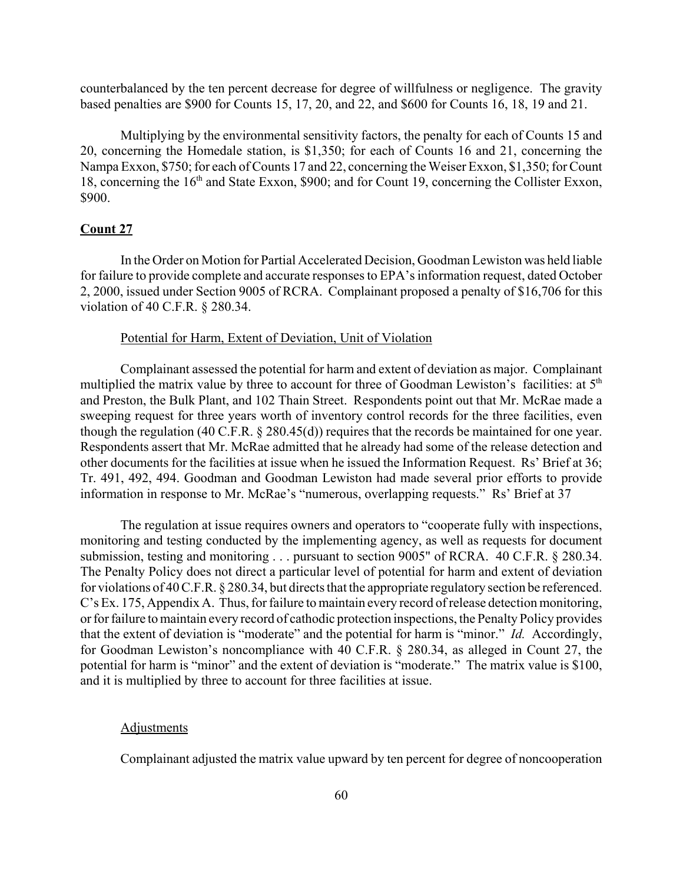counterbalanced by the ten percent decrease for degree of willfulness or negligence. The gravity based penalties are \$900 for Counts 15, 17, 20, and 22, and \$600 for Counts 16, 18, 19 and 21.

Multiplying by the environmental sensitivity factors, the penalty for each of Counts 15 and 20, concerning the Homedale station, is \$1,350; for each of Counts 16 and 21, concerning the Nampa Exxon, \$750; for each of Counts 17 and 22, concerning the Weiser Exxon, \$1,350; for Count 18, concerning the 16<sup>th</sup> and State Exxon, \$900; and for Count 19, concerning the Collister Exxon, \$900.

## **Count 27**

In the Order on Motion for Partial Accelerated Decision, Goodman Lewiston was held liable for failure to provide complete and accurate responses to EPA's information request, dated October 2, 2000, issued under Section 9005 of RCRA. Complainant proposed a penalty of \$16,706 for this violation of 40 C.F.R. § 280.34.

# Potential for Harm, Extent of Deviation, Unit of Violation

Complainant assessed the potential for harm and extent of deviation as major. Complainant multiplied the matrix value by three to account for three of Goodman Lewiston's facilities: at  $5<sup>th</sup>$ and Preston, the Bulk Plant, and 102 Thain Street. Respondents point out that Mr. McRae made a sweeping request for three years worth of inventory control records for the three facilities, even though the regulation (40 C.F.R. § 280.45(d)) requires that the records be maintained for one year. Respondents assert that Mr. McRae admitted that he already had some of the release detection and other documents for the facilities at issue when he issued the Information Request. Rs' Brief at 36; Tr. 491, 492, 494. Goodman and Goodman Lewiston had made several prior efforts to provide information in response to Mr. McRae's "numerous, overlapping requests." Rs' Brief at 37

The regulation at issue requires owners and operators to "cooperate fully with inspections, monitoring and testing conducted by the implementing agency, as well as requests for document submission, testing and monitoring . . . pursuant to section 9005" of RCRA. 40 C.F.R. § 280.34. The Penalty Policy does not direct a particular level of potential for harm and extent of deviation for violations of 40 C.F.R. § 280.34, but directs that the appropriate regulatory section be referenced. C's Ex. 175, Appendix A. Thus, for failure to maintain every record of release detection monitoring, or for failure to maintain every record of cathodic protection inspections, the Penalty Policy provides that the extent of deviation is "moderate" and the potential for harm is "minor." *Id.* Accordingly, for Goodman Lewiston's noncompliance with 40 C.F.R. § 280.34, as alleged in Count 27, the potential for harm is "minor" and the extent of deviation is "moderate." The matrix value is \$100, and it is multiplied by three to account for three facilities at issue.

#### **Adjustments**

Complainant adjusted the matrix value upward by ten percent for degree of noncooperation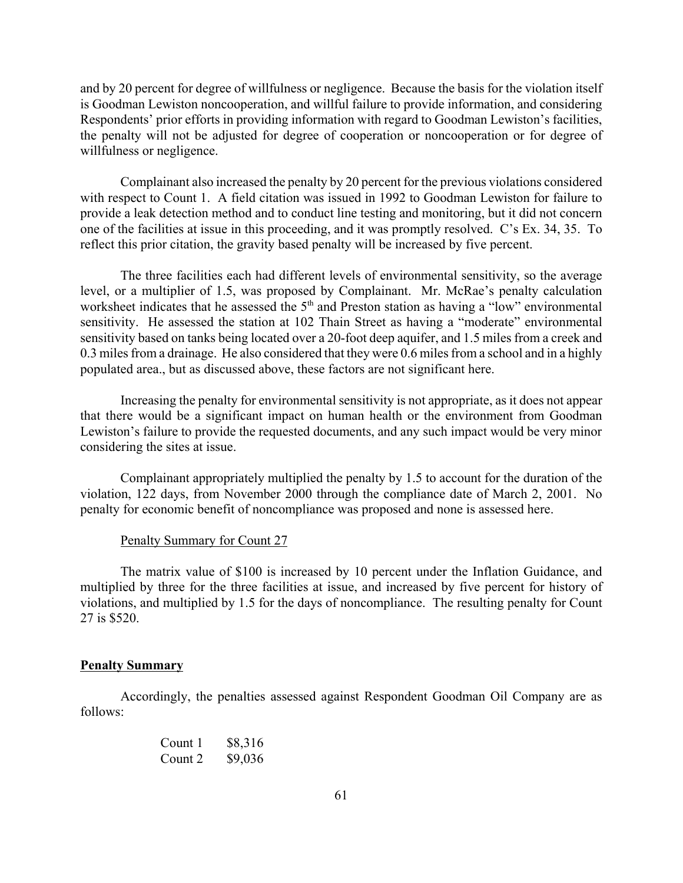and by 20 percent for degree of willfulness or negligence. Because the basis for the violation itself is Goodman Lewiston noncooperation, and willful failure to provide information, and considering Respondents' prior efforts in providing information with regard to Goodman Lewiston's facilities, the penalty will not be adjusted for degree of cooperation or noncooperation or for degree of willfulness or negligence.

Complainant also increased the penalty by 20 percent for the previous violations considered with respect to Count 1. A field citation was issued in 1992 to Goodman Lewiston for failure to provide a leak detection method and to conduct line testing and monitoring, but it did not concern one of the facilities at issue in this proceeding, and it was promptly resolved. C's Ex. 34, 35. To reflect this prior citation, the gravity based penalty will be increased by five percent.

The three facilities each had different levels of environmental sensitivity, so the average level, or a multiplier of 1.5, was proposed by Complainant. Mr. McRae's penalty calculation worksheet indicates that he assessed the 5<sup>th</sup> and Preston station as having a "low" environmental sensitivity. He assessed the station at 102 Thain Street as having a "moderate" environmental sensitivity based on tanks being located over a 20-foot deep aquifer, and 1.5 miles from a creek and 0.3 miles from a drainage. He also considered that they were 0.6 miles from a school and in a highly populated area., but as discussed above, these factors are not significant here.

Increasing the penalty for environmental sensitivity is not appropriate, as it does not appear that there would be a significant impact on human health or the environment from Goodman Lewiston's failure to provide the requested documents, and any such impact would be very minor considering the sites at issue.

Complainant appropriately multiplied the penalty by 1.5 to account for the duration of the violation, 122 days, from November 2000 through the compliance date of March 2, 2001. No penalty for economic benefit of noncompliance was proposed and none is assessed here.

#### Penalty Summary for Count 27

The matrix value of \$100 is increased by 10 percent under the Inflation Guidance, and multiplied by three for the three facilities at issue, and increased by five percent for history of violations, and multiplied by 1.5 for the days of noncompliance. The resulting penalty for Count 27 is \$520.

#### **Penalty Summary**

Accordingly, the penalties assessed against Respondent Goodman Oil Company are as follows:

| Count 1 | \$8,316 |
|---------|---------|
| Count 2 | \$9,036 |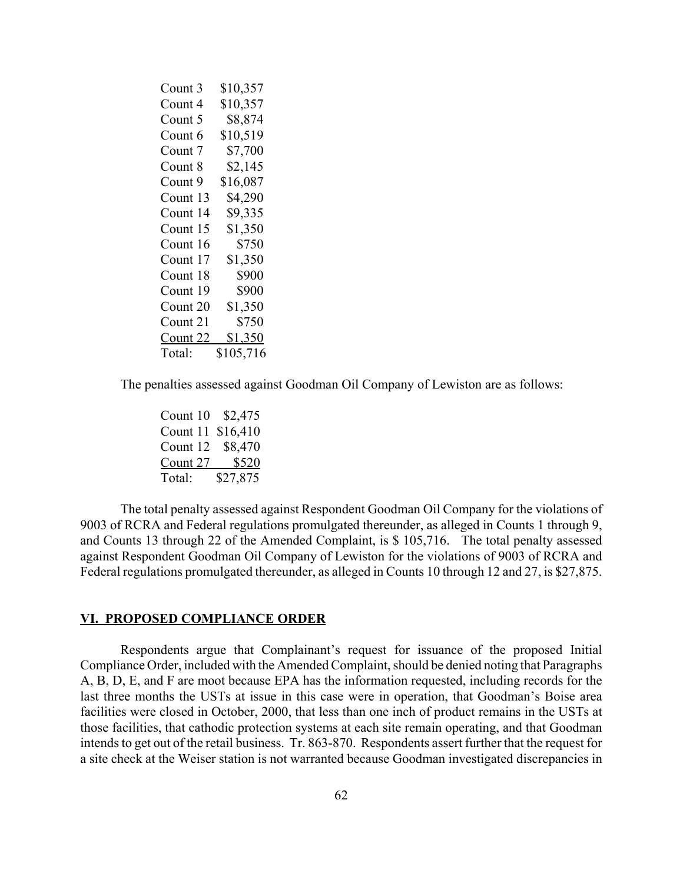| Count 3  | \$10,357       |
|----------|----------------|
| Count 4  | \$10,357       |
| Count 5  | \$8,874        |
| Count 6  | \$10,519       |
| Count 7  | \$7,700        |
| Count 8  | \$2,145        |
| Count 9  | \$16,087       |
| Count 13 | \$4,290        |
| Count 14 | \$9,335        |
| Count 15 | \$1,350        |
| Count 16 | \$750          |
| Count 17 | \$1,350        |
| Count 18 | \$900          |
| Count 19 | \$900          |
| Count 20 | \$1,350        |
| Count 21 | \$750          |
| Count 22 | <u>\$1,350</u> |
| Total:   | \$105,716      |

The penalties assessed against Goodman Oil Company of Lewiston are as follows:

Count 10 \$2,475 Count 11 \$16,410 Count 12 \$8,470 Count 27 \$520 Total: \$27,875

The total penalty assessed against Respondent Goodman Oil Company for the violations of 9003 of RCRA and Federal regulations promulgated thereunder, as alleged in Counts 1 through 9, and Counts 13 through 22 of the Amended Complaint, is \$ 105,716. The total penalty assessed against Respondent Goodman Oil Company of Lewiston for the violations of 9003 of RCRA and Federal regulations promulgated thereunder, as alleged in Counts 10 through 12 and 27, is \$27,875.

### **VI. PROPOSED COMPLIANCE ORDER**

Respondents argue that Complainant's request for issuance of the proposed Initial Compliance Order, included with the Amended Complaint, should be denied noting that Paragraphs A, B, D, E, and F are moot because EPA has the information requested, including records for the last three months the USTs at issue in this case were in operation, that Goodman's Boise area facilities were closed in October, 2000, that less than one inch of product remains in the USTs at those facilities, that cathodic protection systems at each site remain operating, and that Goodman intends to get out of the retail business. Tr. 863-870. Respondents assert further that the request for a site check at the Weiser station is not warranted because Goodman investigated discrepancies in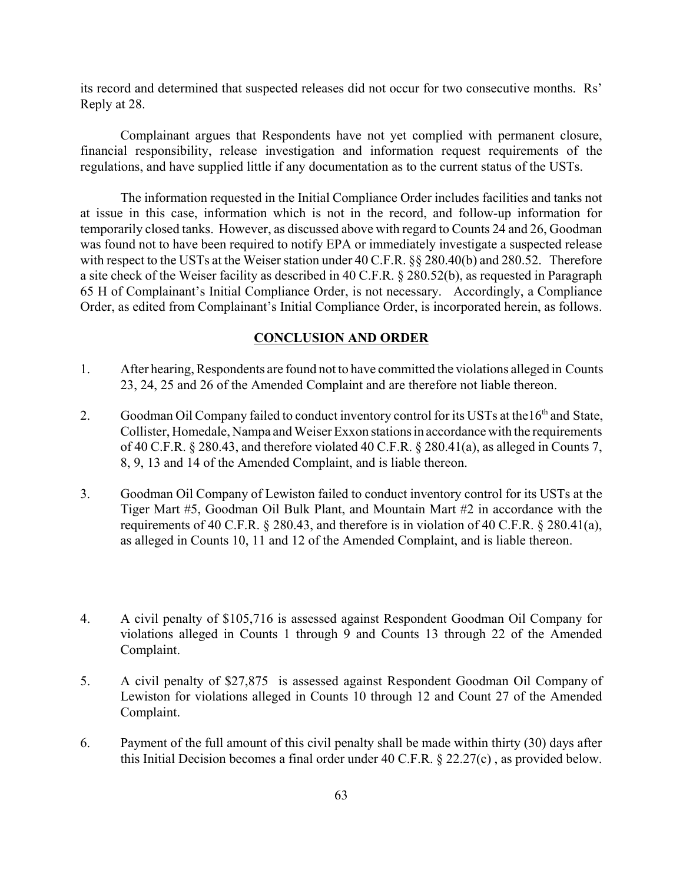its record and determined that suspected releases did not occur for two consecutive months. Rs' Reply at 28.

Complainant argues that Respondents have not yet complied with permanent closure, financial responsibility, release investigation and information request requirements of the regulations, and have supplied little if any documentation as to the current status of the USTs.

The information requested in the Initial Compliance Order includes facilities and tanks not at issue in this case, information which is not in the record, and follow-up information for temporarily closed tanks. However, as discussed above with regard to Counts 24 and 26, Goodman was found not to have been required to notify EPA or immediately investigate a suspected release with respect to the USTs at the Weiser station under 40 C.F.R. §§ 280.40(b) and 280.52. Therefore a site check of the Weiser facility as described in 40 C.F.R. § 280.52(b), as requested in Paragraph 65 H of Complainant's Initial Compliance Order, is not necessary. Accordingly, a Compliance Order, as edited from Complainant's Initial Compliance Order, is incorporated herein, as follows.

## **CONCLUSION AND ORDER**

- 1. After hearing, Respondents are found not to have committed the violations alleged in Counts 23, 24, 25 and 26 of the Amended Complaint and are therefore not liable thereon.
- 2. Goodman Oil Company failed to conduct inventory control for its USTs at the 16<sup>th</sup> and State, Collister, Homedale, Nampa and Weiser Exxon stations in accordance with the requirements of 40 C.F.R. § 280.43, and therefore violated 40 C.F.R. § 280.41(a), as alleged in Counts 7, 8, 9, 13 and 14 of the Amended Complaint, and is liable thereon.
- 3. Goodman Oil Company of Lewiston failed to conduct inventory control for its USTs at the Tiger Mart #5, Goodman Oil Bulk Plant, and Mountain Mart #2 in accordance with the requirements of 40 C.F.R. § 280.43, and therefore is in violation of 40 C.F.R. § 280.41(a), as alleged in Counts 10, 11 and 12 of the Amended Complaint, and is liable thereon.
- 4. A civil penalty of \$105,716 is assessed against Respondent Goodman Oil Company for violations alleged in Counts 1 through 9 and Counts 13 through 22 of the Amended Complaint.
- 5. A civil penalty of \$27,875 is assessed against Respondent Goodman Oil Company of Lewiston for violations alleged in Counts 10 through 12 and Count 27 of the Amended Complaint.
- 6. Payment of the full amount of this civil penalty shall be made within thirty (30) days after this Initial Decision becomes a final order under 40 C.F.R. § 22.27(c) , as provided below.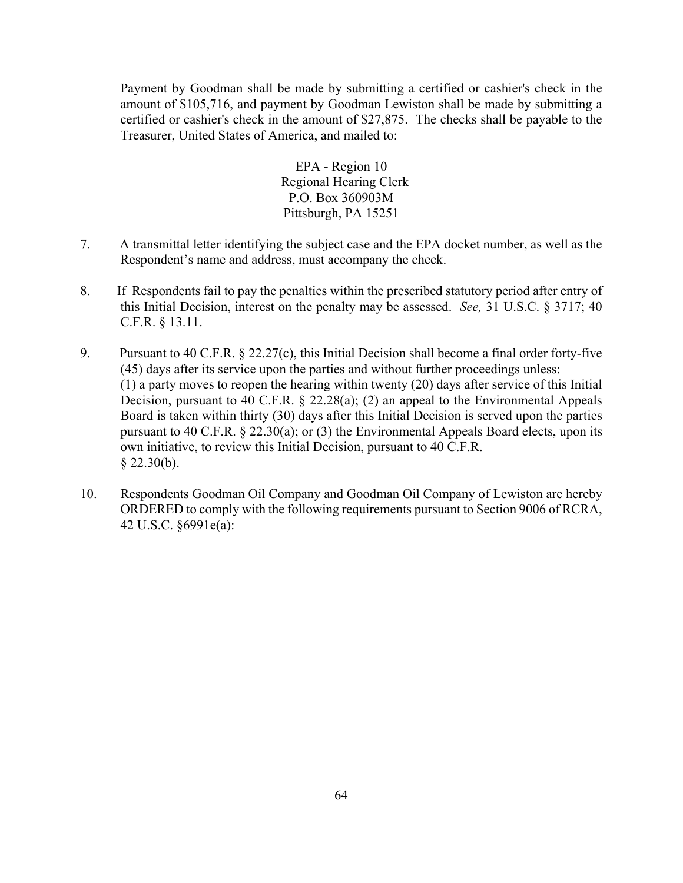Payment by Goodman shall be made by submitting a certified or cashier's check in the amount of \$105,716, and payment by Goodman Lewiston shall be made by submitting a certified or cashier's check in the amount of \$27,875. The checks shall be payable to the Treasurer, United States of America, and mailed to:

> EPA - Region 10 Regional Hearing Clerk P.O. Box 360903M Pittsburgh, PA 15251

- 7. A transmittal letter identifying the subject case and the EPA docket number, as well as the Respondent's name and address, must accompany the check.
- 8. If Respondents fail to pay the penalties within the prescribed statutory period after entry of this Initial Decision, interest on the penalty may be assessed. *See,* 31 U.S.C. § 3717; 40 C.F.R. § 13.11.
- 9. Pursuant to 40 C.F.R. § 22.27(c), this Initial Decision shall become a final order forty-five (45) days after its service upon the parties and without further proceedings unless: (1) a party moves to reopen the hearing within twenty (20) days after service of this Initial Decision, pursuant to 40 C.F.R. § 22.28(a); (2) an appeal to the Environmental Appeals Board is taken within thirty (30) days after this Initial Decision is served upon the parties pursuant to 40 C.F.R. § 22.30(a); or (3) the Environmental Appeals Board elects, upon its own initiative, to review this Initial Decision, pursuant to 40 C.F.R.  $§$  22.30(b).
- 10. Respondents Goodman Oil Company and Goodman Oil Company of Lewiston are hereby ORDERED to comply with the following requirements pursuant to Section 9006 of RCRA, 42 U.S.C. §6991e(a):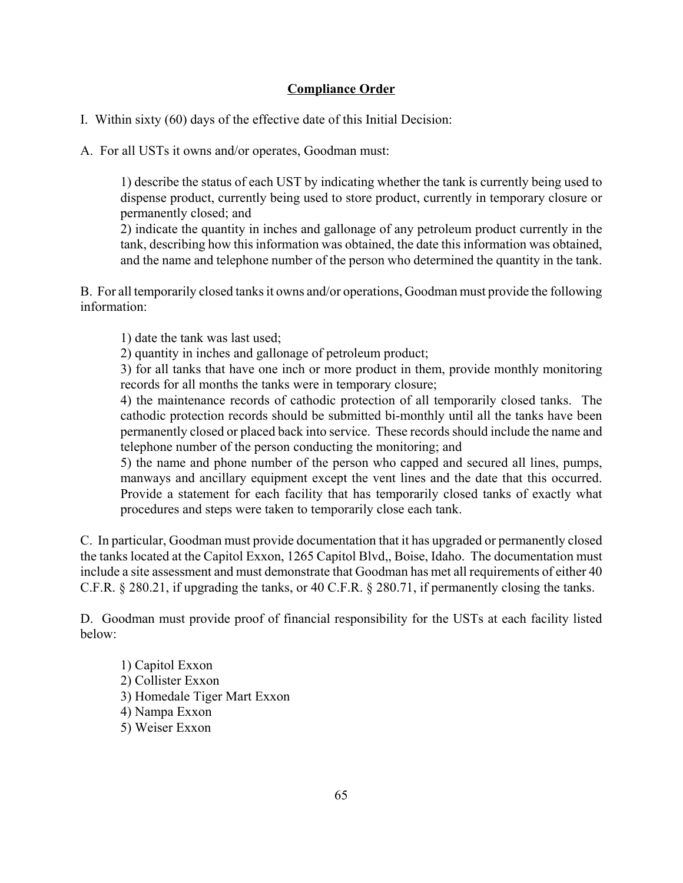# **Compliance Order**

I. Within sixty (60) days of the effective date of this Initial Decision:

A. For all USTs it owns and/or operates, Goodman must:

1) describe the status of each UST by indicating whether the tank is currently being used to dispense product, currently being used to store product, currently in temporary closure or permanently closed; and

2) indicate the quantity in inches and gallonage of any petroleum product currently in the tank, describing how this information was obtained, the date this information was obtained, and the name and telephone number of the person who determined the quantity in the tank.

B. For all temporarily closed tanks it owns and/or operations, Goodman must provide the following information:

1) date the tank was last used;

2) quantity in inches and gallonage of petroleum product;

3) for all tanks that have one inch or more product in them, provide monthly monitoring records for all months the tanks were in temporary closure;

4) the maintenance records of cathodic protection of all temporarily closed tanks. The cathodic protection records should be submitted bi-monthly until all the tanks have been permanently closed or placed back into service. These records should include the name and telephone number of the person conducting the monitoring; and

5) the name and phone number of the person who capped and secured all lines, pumps, manways and ancillary equipment except the vent lines and the date that this occurred. Provide a statement for each facility that has temporarily closed tanks of exactly what procedures and steps were taken to temporarily close each tank.

C. In particular, Goodman must provide documentation that it has upgraded or permanently closed the tanks located at the Capitol Exxon, 1265 Capitol Blvd,, Boise, Idaho. The documentation must include a site assessment and must demonstrate that Goodman has met all requirements of either 40 C.F.R. § 280.21, if upgrading the tanks, or 40 C.F.R. § 280.71, if permanently closing the tanks.

D. Goodman must provide proof of financial responsibility for the USTs at each facility listed below:

1) Capitol Exxon 2) Collister Exxon 3) Homedale Tiger Mart Exxon 4) Nampa Exxon 5) Weiser Exxon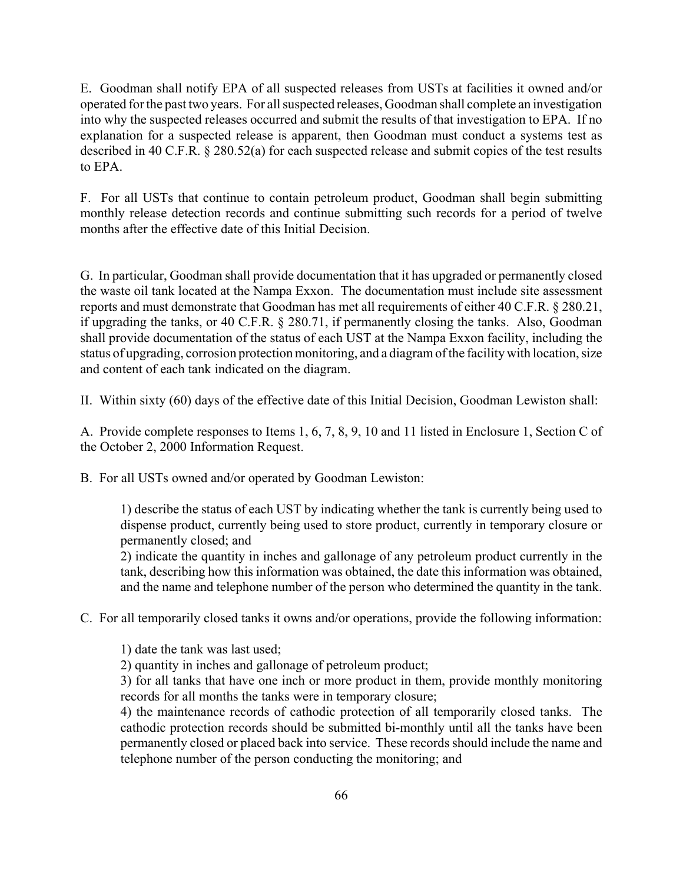E. Goodman shall notify EPA of all suspected releases from USTs at facilities it owned and/or operated for the past two years. For all suspected releases, Goodman shall complete an investigation into why the suspected releases occurred and submit the results of that investigation to EPA. If no explanation for a suspected release is apparent, then Goodman must conduct a systems test as described in 40 C.F.R. § 280.52(a) for each suspected release and submit copies of the test results to EPA.

F. For all USTs that continue to contain petroleum product, Goodman shall begin submitting monthly release detection records and continue submitting such records for a period of twelve months after the effective date of this Initial Decision.

G. In particular, Goodman shall provide documentation that it has upgraded or permanently closed the waste oil tank located at the Nampa Exxon. The documentation must include site assessment reports and must demonstrate that Goodman has met all requirements of either 40 C.F.R. § 280.21, if upgrading the tanks, or 40 C.F.R. § 280.71, if permanently closing the tanks. Also, Goodman shall provide documentation of the status of each UST at the Nampa Exxon facility, including the status of upgrading, corrosion protection monitoring, and a diagram of the facility with location, size and content of each tank indicated on the diagram.

II. Within sixty (60) days of the effective date of this Initial Decision, Goodman Lewiston shall:

A. Provide complete responses to Items 1, 6, 7, 8, 9, 10 and 11 listed in Enclosure 1, Section C of the October 2, 2000 Information Request.

B. For all USTs owned and/or operated by Goodman Lewiston:

1) describe the status of each UST by indicating whether the tank is currently being used to dispense product, currently being used to store product, currently in temporary closure or permanently closed; and

2) indicate the quantity in inches and gallonage of any petroleum product currently in the tank, describing how this information was obtained, the date this information was obtained, and the name and telephone number of the person who determined the quantity in the tank.

C. For all temporarily closed tanks it owns and/or operations, provide the following information:

1) date the tank was last used;

2) quantity in inches and gallonage of petroleum product;

3) for all tanks that have one inch or more product in them, provide monthly monitoring records for all months the tanks were in temporary closure;

4) the maintenance records of cathodic protection of all temporarily closed tanks. The cathodic protection records should be submitted bi-monthly until all the tanks have been permanently closed or placed back into service. These records should include the name and telephone number of the person conducting the monitoring; and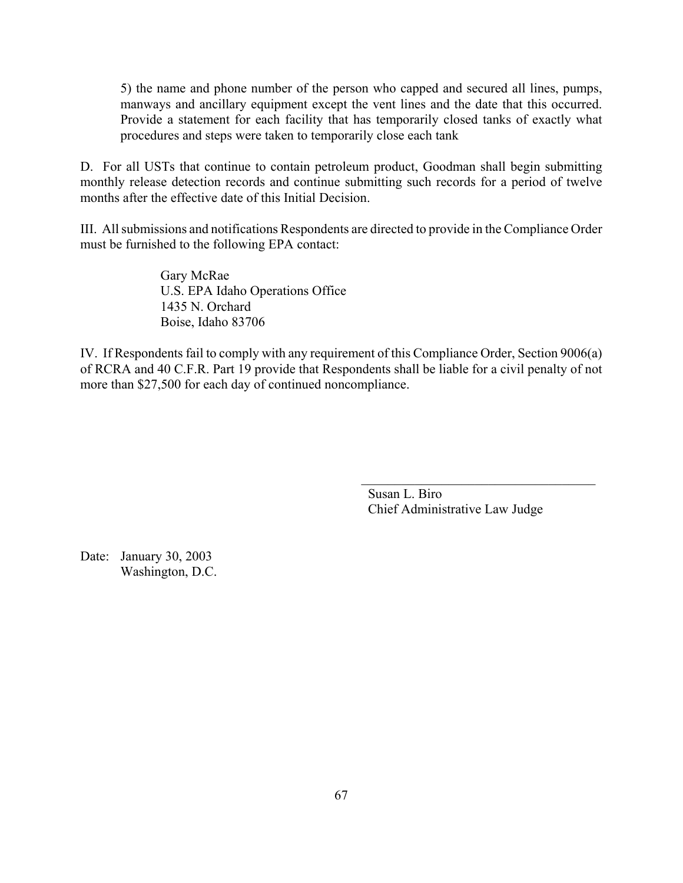5) the name and phone number of the person who capped and secured all lines, pumps, manways and ancillary equipment except the vent lines and the date that this occurred. Provide a statement for each facility that has temporarily closed tanks of exactly what procedures and steps were taken to temporarily close each tank

D. For all USTs that continue to contain petroleum product, Goodman shall begin submitting monthly release detection records and continue submitting such records for a period of twelve months after the effective date of this Initial Decision.

III. All submissions and notifications Respondents are directed to provide in the Compliance Order must be furnished to the following EPA contact:

> Gary McRae U.S. EPA Idaho Operations Office 1435 N. Orchard Boise, Idaho 83706

IV. If Respondents fail to comply with any requirement of this Compliance Order, Section 9006(a) of RCRA and 40 C.F.R. Part 19 provide that Respondents shall be liable for a civil penalty of not more than \$27,500 for each day of continued noncompliance.

> Susan L. Biro Chief Administrative Law Judge

 $\mathcal{L}_\text{max}$  , and the set of the set of the set of the set of the set of the set of the set of the set of the set of the set of the set of the set of the set of the set of the set of the set of the set of the set of the

Date: January 30, 2003 Washington, D.C.